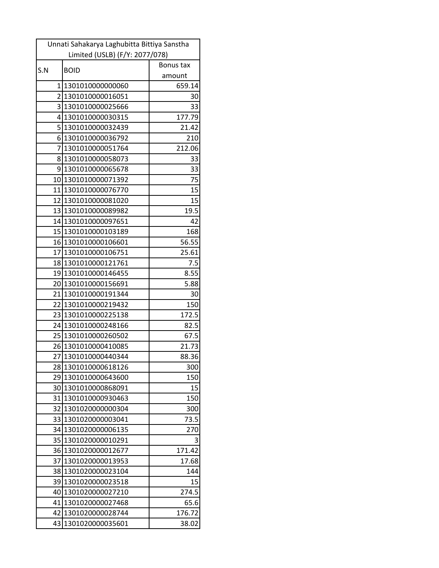| Unnati Sahakarya Laghubitta Bittiya Sanstha |                                        |                  |
|---------------------------------------------|----------------------------------------|------------------|
|                                             | Limited (USLB) (F/Y: 2077/078)         |                  |
| S.N                                         | <b>BOID</b>                            | Bonus tax        |
| $1\vert$                                    | 1301010000000060                       | amount<br>659.14 |
|                                             | 2 1301010000016051                     |                  |
| $\overline{3}$                              |                                        | 30<br>33         |
|                                             | 1301010000025666<br>4 1301010000030315 | 177.79           |
| 5                                           | 1301010000032439                       | 21.42            |
|                                             | 6 1301010000036792                     | 210              |
| $\overline{7}$                              | 1301010000051764                       | 212.06           |
| 81                                          | 1301010000058073                       | 33               |
|                                             | 91301010000065678                      | 33               |
| 10 <sub>l</sub>                             | 1301010000071392                       | 75               |
|                                             | 11 1301010000076770                    | 15               |
| 12                                          | 1301010000081020                       | 15               |
|                                             | 13 1301010000089982                    | 19.5             |
|                                             | 14 1301010000097651                    | 42               |
|                                             | 15 1301010000103189                    | 168              |
|                                             | 16 1301010000106601                    | 56.55            |
| 17                                          | 1301010000106751                       | 25.61            |
| 18                                          | 1301010000121761                       | 7.5              |
|                                             | 19 1301010000146455                    | 8.55             |
|                                             | 20 1301010000156691                    | 5.88             |
|                                             | 21 1301010000191344                    | 30               |
| 22                                          | 1301010000219432                       | 150              |
|                                             | 23 1301010000225138                    | 172.5            |
|                                             | 24 1301010000248166                    | 82.5             |
|                                             | 25 1301010000260502                    | 67.5             |
|                                             | 26 1301010000410085                    | 21.73            |
|                                             | 27 1301010000440344                    | 88.36            |
| 28                                          | 1301010000618126                       | 300              |
| 29                                          | 1301010000643600                       | 150              |
| 30                                          | 1301010000868091                       | 15               |
| 31                                          | 1301010000930463                       | 150              |
| 32                                          | 1301020000000304                       | 300              |
| 33                                          | 1301020000003041                       | 73.5             |
| 34                                          | 1301020000006135                       | 270              |
| 35                                          | 1301020000010291                       | 3                |
| 36                                          | 1301020000012677                       | 171.42           |
| 37                                          | 1301020000013953                       | 17.68            |
| 38                                          | 1301020000023104                       | 144              |
| 39                                          | 1301020000023518                       | 15               |
| 40                                          | 1301020000027210                       | 274.5            |
| 41                                          | 1301020000027468                       | 65.6             |
| 42                                          | 1301020000028744                       | 176.72           |
| 43                                          | 1301020000035601                       | 38.02            |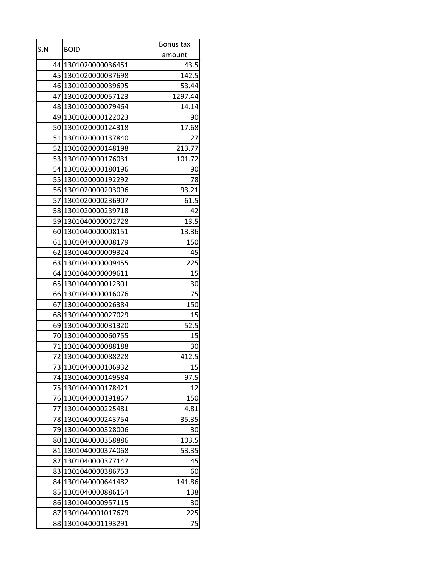| S.N | <b>BOID</b>         | Bonus tax |
|-----|---------------------|-----------|
|     |                     | amount    |
|     | 44 1301020000036451 | 43.5      |
|     | 45 1301020000037698 | 142.5     |
|     | 46 1301020000039695 | 53.44     |
|     | 47 1301020000057123 | 1297.44   |
|     | 48 1301020000079464 | 14.14     |
|     | 49 1301020000122023 | 90        |
|     | 50 1301020000124318 | 17.68     |
|     | 51 1301020000137840 | 27        |
|     | 52 1301020000148198 | 213.77    |
|     | 53 1301020000176031 | 101.72    |
|     | 54 1301020000180196 | 90        |
|     | 55 1301020000192292 | 78        |
|     | 56 1301020000203096 | 93.21     |
|     | 57 1301020000236907 | 61.5      |
|     | 58 1301020000239718 | 42        |
|     | 59 1301040000002728 | 13.5      |
|     | 60 1301040000008151 | 13.36     |
|     | 61 1301040000008179 | 150       |
| 62  | 1301040000009324    | 45        |
|     | 63 1301040000009455 | 225       |
|     | 64 1301040000009611 | 15        |
|     | 65 1301040000012301 | 30        |
|     | 66 1301040000016076 | 75        |
| 67  | 1301040000026384    | 150       |
|     | 68 1301040000027029 | 15        |
| 69  | 1301040000031320    | 52.5      |
|     | 70 1301040000060755 | 15        |
|     | 71 1301040000088188 | 30        |
|     | 72 1301040000088228 | 412.5     |
| 73  | 1301040000106932    | 15        |
| 74  | 1301040000149584    | 97.5      |
| 75  | 1301040000178421    | 12        |
| 76  | 1301040000191867    | 150       |
| 77  | 1301040000225481    | 4.81      |
|     | 78 1301040000243754 | 35.35     |
| 79  | 1301040000328006    | 30        |
| 80  | 1301040000358886    | 103.5     |
| 81  | 1301040000374068    | 53.35     |
| 82  | 1301040000377147    | 45        |
| 83  | 1301040000386753    | 60        |
| 841 | 1301040000641482    | 141.86    |
| 85  | 1301040000886154    | 138       |
| 86  | 1301040000957115    | 30        |
| 87  | 1301040001017679    | 225       |
| 88  | 1301040001193291    | 75        |
|     |                     |           |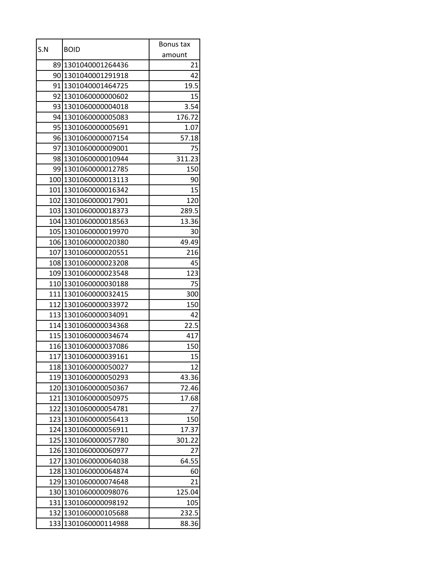| S.N | <b>BOID</b>          | Bonus tax |
|-----|----------------------|-----------|
|     |                      | amount    |
| 89  | 1301040001264436     | 21        |
|     | 90 1301040001291918  | 42        |
| 91  | 1301040001464725     | 19.5      |
|     | 92 1301060000000602  | 15        |
|     | 93 1301060000004018  | 3.54      |
|     | 94 1301060000005083  | 176.72    |
| 95  | 1301060000005691     | 1.07      |
|     | 96 1301060000007154  | 57.18     |
|     | 97 1301060000009001  | 75        |
|     | 98 1301060000010944  | 311.23    |
|     | 99 1301060000012785  | 150       |
|     | 100 1301060000013113 | 90        |
|     | 101 1301060000016342 | 15        |
|     | 102 1301060000017901 | 120       |
|     | 103 1301060000018373 | 289.5     |
|     | 104 1301060000018563 | 13.36     |
|     | 105 1301060000019970 | 30        |
|     | 106 1301060000020380 | 49.49     |
|     | 107 1301060000020551 | 216       |
|     | 108 1301060000023208 | 45        |
|     | 109 1301060000023548 | 123       |
|     | 110 1301060000030188 | 75        |
|     | 111 1301060000032415 | 300       |
|     | 112 1301060000033972 | 150       |
|     | 113 1301060000034091 | 42        |
|     | 114 1301060000034368 | 22.5      |
|     | 115 1301060000034674 | 417       |
|     | 116 1301060000037086 | 150       |
|     | 117 1301060000039161 | 15        |
|     | 118 1301060000050027 | 12        |
| 119 | 1301060000050293     | 43.36     |
| 120 | 1301060000050367     | 72.46     |
| 121 | 1301060000050975     | 17.68     |
| 122 | 1301060000054781     | 27        |
| 123 | 1301060000056413     | 150       |
| 124 | 1301060000056911     | 17.37     |
| 125 | 1301060000057780     | 301.22    |
| 126 | 1301060000060977     | 27        |
| 127 | 1301060000064038     | 64.55     |
| 128 | 1301060000064874     | 60        |
| 129 | 1301060000074648     | 21        |
| 130 | 1301060000098076     | 125.04    |
| 131 | 1301060000098192     | 105       |
| 132 | 1301060000105688     | 232.5     |
| 133 | 1301060000114988     | 88.36     |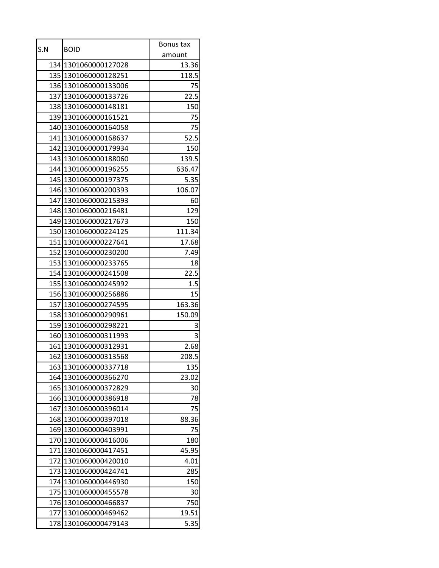| S.N | <b>BOID</b>          | Bonus tax |
|-----|----------------------|-----------|
|     |                      | amount    |
|     | 134 1301060000127028 | 13.36     |
| 135 | 1301060000128251     | 118.5     |
|     | 136 1301060000133006 | 75        |
|     | 137 1301060000133726 | 22.5      |
| 138 | 1301060000148181     | 150       |
|     | 139 1301060000161521 | 75        |
|     | 140 1301060000164058 | 75        |
|     | 141 1301060000168637 | 52.5      |
|     | 142 1301060000179934 | 150       |
|     | 143 1301060000188060 | 139.5     |
|     | 144 1301060000196255 | 636.47    |
|     | 145 1301060000197375 | 5.35      |
|     | 146 1301060000200393 | 106.07    |
| 147 | 1301060000215393     | 60        |
|     | 148 1301060000216481 | 129       |
|     | 149 1301060000217673 | 150       |
|     | 150 1301060000224125 | 111.34    |
|     | 151 1301060000227641 | 17.68     |
|     | 152 1301060000230200 | 7.49      |
|     | 153 1301060000233765 | 18        |
|     | 154 1301060000241508 | 22.5      |
|     | 155 1301060000245992 | 1.5       |
|     | 156 1301060000256886 | 15        |
| 157 | 1301060000274595     | 163.36    |
|     | 158 1301060000290961 | 150.09    |
|     | 159 1301060000298221 | 3         |
|     | 160 1301060000311993 | 3         |
|     | 161 1301060000312931 | 2.68      |
|     | 162 1301060000313568 | 208.5     |
| 163 | 1301060000337718     | 135       |
| 164 | 1301060000366270     | 23.02     |
| 165 | 1301060000372829     | 30        |
| 166 | 1301060000386918     | 78        |
| 167 | 1301060000396014     | 75        |
| 168 | 1301060000397018     | 88.36     |
| 169 | 1301060000403991     | 75        |
| 170 | 1301060000416006     | 180       |
| 171 | 1301060000417451     | 45.95     |
| 172 | 1301060000420010     | 4.01      |
| 173 | 1301060000424741     | 285       |
| 174 | 1301060000446930     | 150       |
| 175 | 1301060000455578     | 30        |
| 176 | 1301060000466837     | 750       |
| 177 | 1301060000469462     | 19.51     |
| 178 | 1301060000479143     | 5.35      |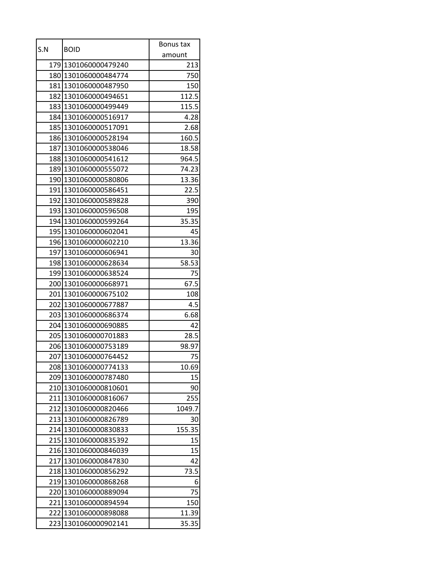|     |                      | Bonus tax |
|-----|----------------------|-----------|
| S.N | <b>BOID</b>          | amount    |
|     | 179 1301060000479240 | 213       |
|     | 180 1301060000484774 | 750       |
|     | 181 1301060000487950 | 150       |
|     | 182 1301060000494651 | 112.5     |
| 183 | 1301060000499449     | 115.5     |
|     | 184 1301060000516917 | 4.28      |
|     | 185 1301060000517091 | 2.68      |
|     | 186 1301060000528194 | 160.5     |
|     | 187 1301060000538046 | 18.58     |
|     | 188 1301060000541612 | 964.5     |
|     | 189 1301060000555072 | 74.23     |
|     | 190 1301060000580806 | 13.36     |
|     | 191 1301060000586451 | 22.5      |
|     | 192 1301060000589828 | 390       |
|     | 193 1301060000596508 | 195       |
|     | 194 1301060000599264 | 35.35     |
|     | 195 1301060000602041 | 45        |
|     | 196 1301060000602210 | 13.36     |
| 197 | 1301060000606941     | 30        |
|     | 198 1301060000628634 | 58.53     |
|     | 199 1301060000638524 | 75        |
|     | 200 1301060000668971 | 67.5      |
|     | 201 1301060000675102 | 108       |
| 202 | 1301060000677887     | 4.5       |
|     | 203 1301060000686374 | 6.68      |
|     | 204 1301060000690885 | 42        |
|     | 205 1301060000701883 | 28.5      |
|     | 206 1301060000753189 | 98.97     |
|     | 207 1301060000764452 | 75        |
| 208 | 1301060000774133     | 10.69     |
| 209 | 1301060000787480     | 15        |
|     | 210 1301060000810601 | 90        |
| 211 | 1301060000816067     | 255       |
| 212 | 1301060000820466     | 1049.7    |
| 213 | 1301060000826789     | 30        |
|     | 214 1301060000830833 | 155.35    |
|     | 215 1301060000835392 | 15        |
| 216 | 1301060000846039     | 15        |
| 217 | 1301060000847830     | 42        |
| 218 | 1301060000856292     | 73.5      |
| 219 | 1301060000868268     | 6         |
| 220 | 1301060000889094     | 75        |
| 221 | 1301060000894594     | 150       |
| 222 | 1301060000898088     | 11.39     |
| 223 | 1301060000902141     | 35.35     |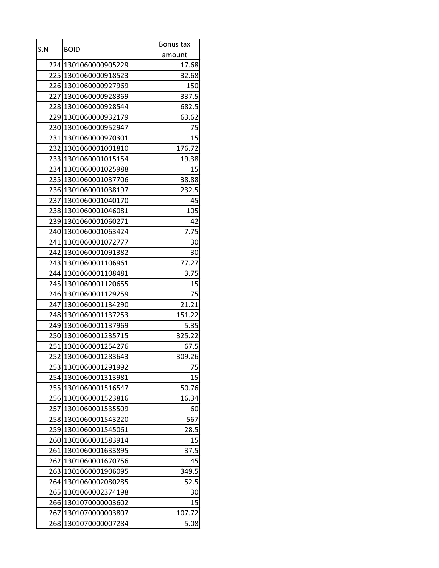| S.N  |                      | Bonus tax |
|------|----------------------|-----------|
|      | <b>BOID</b>          | amount    |
|      | 224 1301060000905229 | 17.68     |
|      | 225 1301060000918523 | 32.68     |
|      | 226 1301060000927969 | 150       |
|      | 227 1301060000928369 | 337.5     |
|      | 228 1301060000928544 | 682.5     |
|      | 229 1301060000932179 | 63.62     |
| 230  | 1301060000952947     | 75        |
|      | 231 1301060000970301 | 15        |
|      | 232 1301060001001810 | 176.72    |
|      | 233 1301060001015154 | 19.38     |
|      | 234 1301060001025988 | 15        |
| 235  | 1301060001037706     | 38.88     |
|      | 236 1301060001038197 | 232.5     |
|      | 237 1301060001040170 | 45        |
|      | 238 1301060001046081 | 105       |
|      | 239 1301060001060271 | 42        |
|      | 240 1301060001063424 | 7.75      |
|      | 241 1301060001072777 | 30        |
|      | 242 1301060001091382 | 30        |
| 2431 | 1301060001106961     | 77.27     |
|      | 244 1301060001108481 | 3.75      |
|      | 245 1301060001120655 | 15        |
|      | 246 1301060001129259 | 75        |
| 2471 | 1301060001134290     | 21.21     |
|      | 248 1301060001137253 | 151.22    |
|      | 249 1301060001137969 | 5.35      |
|      | 250 1301060001235715 | 325.22    |
|      | 251 1301060001254276 | 67.5      |
|      | 252 1301060001283643 | 309.26    |
| 253  | 1301060001291992     | 75        |
| 254  | 1301060001313981     | 15        |
| 255  | 1301060001516547     | 50.76     |
| 256  | 1301060001523816     | 16.34     |
| 257  | 1301060001535509     | 60        |
| 258  | 1301060001543220     | 567       |
| 259  | 1301060001545061     | 28.5      |
| 260  | 1301060001583914     | 15        |
| 261  | 1301060001633895     | 37.5      |
| 262  | 1301060001670756     | 45        |
| 263  | 1301060001906095     | 349.5     |
| 264  | 1301060002080285     | 52.5      |
| 265  | 1301060002374198     | 30        |
| 266  | 1301070000003602     | 15        |
| 267  | 1301070000003807     | 107.72    |
| 268  | 1301070000007284     | 5.08      |
|      |                      |           |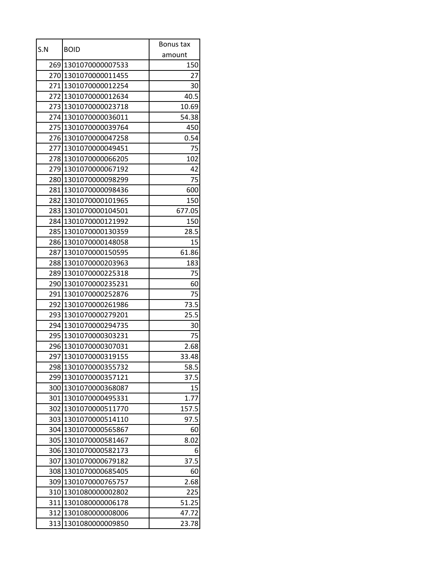| S.N | <b>BOID</b>          | Bonus tax |
|-----|----------------------|-----------|
|     |                      | amount    |
|     | 269 1301070000007533 | 150       |
|     | 270 1301070000011455 | 27        |
|     | 271 1301070000012254 | 30        |
|     | 272 1301070000012634 | 40.5      |
| 273 | 1301070000023718     | 10.69     |
|     | 274 1301070000036011 | 54.38     |
|     | 275 1301070000039764 | 450       |
|     | 276 1301070000047258 | 0.54      |
|     | 277 1301070000049451 | 75        |
|     | 278 1301070000066205 | 102       |
|     | 279 1301070000067192 | 42        |
|     | 280 1301070000098299 | 75        |
|     | 281 1301070000098436 | 600       |
|     | 282 1301070000101965 | 150       |
|     | 283 1301070000104501 | 677.05    |
|     | 284 1301070000121992 | 150       |
|     | 285 1301070000130359 | 28.5      |
|     | 286 1301070000148058 | 15        |
| 287 | 1301070000150595     | 61.86     |
|     | 288 1301070000203963 | 183       |
|     | 289 1301070000225318 | 75        |
|     | 290 1301070000235231 | 60        |
|     | 291 1301070000252876 | 75        |
| 292 | 1301070000261986     | 73.5      |
|     | 293 1301070000279201 | 25.5      |
|     | 294 1301070000294735 | 30        |
|     | 295 1301070000303231 | 75        |
|     | 296 1301070000307031 | 2.68      |
|     | 297 1301070000319155 | 33.48     |
| 298 | 1301070000355732     | 58.5      |
| 299 | 1301070000357121     | 37.5      |
|     | 300 1301070000368087 | 15        |
| 301 | 1301070000495331     | 1.77      |
| 302 | 1301070000511770     | 157.5     |
| 303 | 1301070000514110     | 97.5      |
| 304 | 1301070000565867     | 60        |
|     | 305 1301070000581467 | 8.02      |
| 306 | 1301070000582173     | 6         |
| 307 | 1301070000679182     | 37.5      |
| 308 | 1301070000685405     | 60        |
| 309 | 1301070000765757     | 2.68      |
|     | 310 1301080000002802 | 225       |
| 311 | 1301080000006178     | 51.25     |
|     | 312 1301080000008006 | 47.72     |
| 313 | 1301080000009850     | 23.78     |
|     |                      |           |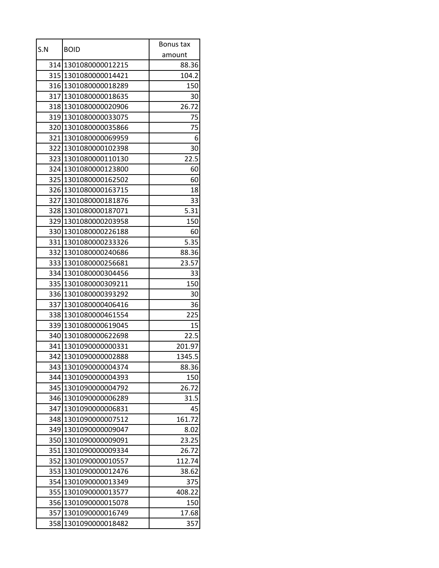|     |                      | Bonus tax |
|-----|----------------------|-----------|
| S.N | <b>BOID</b>          | amount    |
|     | 314 1301080000012215 | 88.36     |
|     | 315 1301080000014421 | 104.2     |
|     | 316 1301080000018289 | 150       |
|     | 317 1301080000018635 | 30        |
|     | 318 1301080000020906 | 26.72     |
|     | 319 1301080000033075 | 75        |
|     | 320 1301080000035866 | 75        |
|     | 321 1301080000069959 | 6         |
|     | 322 1301080000102398 | 30        |
|     | 323 1301080000110130 | 22.5      |
|     | 324 1301080000123800 | 60        |
|     | 325 1301080000162502 | 60        |
|     | 326 1301080000163715 | 18        |
|     | 327 1301080000181876 | 33        |
|     | 328 1301080000187071 | 5.31      |
|     | 329 1301080000203958 | 150       |
|     | 33011301080000226188 | 60        |
|     | 331 1301080000233326 | 5.35      |
|     | 332 1301080000240686 | 88.36     |
|     | 333 1301080000256681 | 23.57     |
|     | 334 1301080000304456 | 33        |
|     | 335 1301080000309211 | 150       |
|     | 336 1301080000393292 | 30        |
| 337 | 1301080000406416     | 36        |
|     | 338 1301080000461554 | 225       |
|     | 339 1301080000619045 | 15        |
|     | 340 1301080000622698 | 22.5      |
|     | 341 1301090000000331 | 201.97    |
|     | 342 1301090000002888 | 1345.5    |
|     | 343 1301090000004374 | 88.36     |
| 344 | 1301090000004393     | 150       |
| 345 | 1301090000004792     | 26.72     |
| 346 | 1301090000006289     | 31.5      |
| 347 | 1301090000006831     | 45        |
| 348 | 1301090000007512     | 161.72    |
| 349 | 1301090000009047     | 8.02      |
| 350 | 1301090000009091     | 23.25     |
| 351 | 1301090000009334     | 26.72     |
| 352 | 1301090000010557     | 112.74    |
| 353 | 1301090000012476     | 38.62     |
| 354 | 1301090000013349     | 375       |
| 355 | 1301090000013577     | 408.22    |
| 356 | 1301090000015078     | 150       |
| 357 | 1301090000016749     | 17.68     |
| 358 | 1301090000018482     | 357       |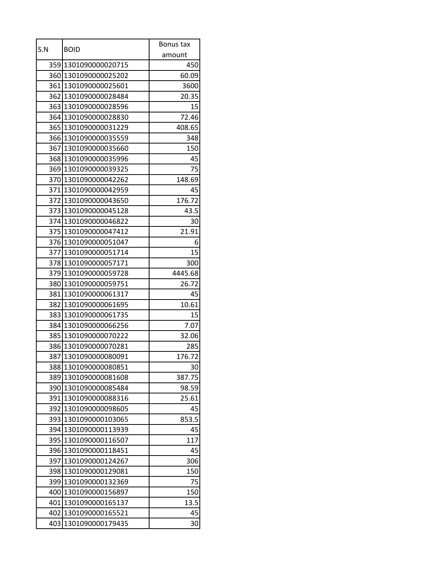| amount<br>359 1301090000020715<br>450<br>360 1301090000025202<br>60.09<br>361 1301090000025601<br>3600<br>362 1301090000028484<br>20.35<br>363 1301090000028596<br>15<br>364 1301090000028830<br>72.46<br>365<br>1301090000031229<br>408.65<br>366 1301090000035559<br>348<br>367<br>1301090000035660<br>150<br>368<br>1301090000035996<br>45<br>369 1301090000039325<br>75<br>370<br>1301090000042262<br>148.69<br>371 1301090000042959<br>45<br>176.72<br>372 1301090000043650<br>373 1301090000045128<br>43.5<br>374 1301090000046822<br>30<br>21.91<br>375 1301090000047412<br>376 1301090000051047<br>6<br>15<br>377<br>1301090000051714<br>378 1301090000057171<br>300<br>4445.68<br>379 1301090000059728<br>380 1301090000059751<br>26.72<br>381 1301090000061317<br>45<br>1301090000061695<br>10.61<br>382<br>383 1301090000061735<br>15<br>384 1301090000066256<br>7.07<br>385 1301090000070222<br>32.06<br>386 1301090000070281<br>285<br>176.72<br>387 1301090000080091<br>1301090000080851<br>388<br>30<br>389<br>1301090000081608<br>387.75<br>1301090000085484<br>390<br>98.59<br>1301090000088316<br>25.61<br>391<br>1301090000098605<br>392<br>45<br>1301090000103065<br>393<br>853.5<br>1301090000113939<br>45<br>394<br>395<br>1301090000116507<br>117<br>1301090000118451<br>45<br>396<br>397<br>1301090000124267<br>306<br>1301090000129081<br>150<br>398<br>399<br>1301090000132369<br>75<br>1301090000156897<br>150<br>400<br>1301090000165137<br>13.5<br>401<br>1301090000165521<br>45<br>402 |     |                  | Bonus tax |
|----------------------------------------------------------------------------------------------------------------------------------------------------------------------------------------------------------------------------------------------------------------------------------------------------------------------------------------------------------------------------------------------------------------------------------------------------------------------------------------------------------------------------------------------------------------------------------------------------------------------------------------------------------------------------------------------------------------------------------------------------------------------------------------------------------------------------------------------------------------------------------------------------------------------------------------------------------------------------------------------------------------------------------------------------------------------------------------------------------------------------------------------------------------------------------------------------------------------------------------------------------------------------------------------------------------------------------------------------------------------------------------------------------------------------------------------------------------------------------------------------------------------|-----|------------------|-----------|
|                                                                                                                                                                                                                                                                                                                                                                                                                                                                                                                                                                                                                                                                                                                                                                                                                                                                                                                                                                                                                                                                                                                                                                                                                                                                                                                                                                                                                                                                                                                      | S.N | <b>BOID</b>      |           |
|                                                                                                                                                                                                                                                                                                                                                                                                                                                                                                                                                                                                                                                                                                                                                                                                                                                                                                                                                                                                                                                                                                                                                                                                                                                                                                                                                                                                                                                                                                                      |     |                  |           |
|                                                                                                                                                                                                                                                                                                                                                                                                                                                                                                                                                                                                                                                                                                                                                                                                                                                                                                                                                                                                                                                                                                                                                                                                                                                                                                                                                                                                                                                                                                                      |     |                  |           |
|                                                                                                                                                                                                                                                                                                                                                                                                                                                                                                                                                                                                                                                                                                                                                                                                                                                                                                                                                                                                                                                                                                                                                                                                                                                                                                                                                                                                                                                                                                                      |     |                  |           |
|                                                                                                                                                                                                                                                                                                                                                                                                                                                                                                                                                                                                                                                                                                                                                                                                                                                                                                                                                                                                                                                                                                                                                                                                                                                                                                                                                                                                                                                                                                                      |     |                  |           |
|                                                                                                                                                                                                                                                                                                                                                                                                                                                                                                                                                                                                                                                                                                                                                                                                                                                                                                                                                                                                                                                                                                                                                                                                                                                                                                                                                                                                                                                                                                                      |     |                  |           |
|                                                                                                                                                                                                                                                                                                                                                                                                                                                                                                                                                                                                                                                                                                                                                                                                                                                                                                                                                                                                                                                                                                                                                                                                                                                                                                                                                                                                                                                                                                                      |     |                  |           |
|                                                                                                                                                                                                                                                                                                                                                                                                                                                                                                                                                                                                                                                                                                                                                                                                                                                                                                                                                                                                                                                                                                                                                                                                                                                                                                                                                                                                                                                                                                                      |     |                  |           |
|                                                                                                                                                                                                                                                                                                                                                                                                                                                                                                                                                                                                                                                                                                                                                                                                                                                                                                                                                                                                                                                                                                                                                                                                                                                                                                                                                                                                                                                                                                                      |     |                  |           |
|                                                                                                                                                                                                                                                                                                                                                                                                                                                                                                                                                                                                                                                                                                                                                                                                                                                                                                                                                                                                                                                                                                                                                                                                                                                                                                                                                                                                                                                                                                                      |     |                  |           |
|                                                                                                                                                                                                                                                                                                                                                                                                                                                                                                                                                                                                                                                                                                                                                                                                                                                                                                                                                                                                                                                                                                                                                                                                                                                                                                                                                                                                                                                                                                                      |     |                  |           |
|                                                                                                                                                                                                                                                                                                                                                                                                                                                                                                                                                                                                                                                                                                                                                                                                                                                                                                                                                                                                                                                                                                                                                                                                                                                                                                                                                                                                                                                                                                                      |     |                  |           |
|                                                                                                                                                                                                                                                                                                                                                                                                                                                                                                                                                                                                                                                                                                                                                                                                                                                                                                                                                                                                                                                                                                                                                                                                                                                                                                                                                                                                                                                                                                                      |     |                  |           |
|                                                                                                                                                                                                                                                                                                                                                                                                                                                                                                                                                                                                                                                                                                                                                                                                                                                                                                                                                                                                                                                                                                                                                                                                                                                                                                                                                                                                                                                                                                                      |     |                  |           |
|                                                                                                                                                                                                                                                                                                                                                                                                                                                                                                                                                                                                                                                                                                                                                                                                                                                                                                                                                                                                                                                                                                                                                                                                                                                                                                                                                                                                                                                                                                                      |     |                  |           |
|                                                                                                                                                                                                                                                                                                                                                                                                                                                                                                                                                                                                                                                                                                                                                                                                                                                                                                                                                                                                                                                                                                                                                                                                                                                                                                                                                                                                                                                                                                                      |     |                  |           |
|                                                                                                                                                                                                                                                                                                                                                                                                                                                                                                                                                                                                                                                                                                                                                                                                                                                                                                                                                                                                                                                                                                                                                                                                                                                                                                                                                                                                                                                                                                                      |     |                  |           |
|                                                                                                                                                                                                                                                                                                                                                                                                                                                                                                                                                                                                                                                                                                                                                                                                                                                                                                                                                                                                                                                                                                                                                                                                                                                                                                                                                                                                                                                                                                                      |     |                  |           |
|                                                                                                                                                                                                                                                                                                                                                                                                                                                                                                                                                                                                                                                                                                                                                                                                                                                                                                                                                                                                                                                                                                                                                                                                                                                                                                                                                                                                                                                                                                                      |     |                  |           |
|                                                                                                                                                                                                                                                                                                                                                                                                                                                                                                                                                                                                                                                                                                                                                                                                                                                                                                                                                                                                                                                                                                                                                                                                                                                                                                                                                                                                                                                                                                                      |     |                  |           |
|                                                                                                                                                                                                                                                                                                                                                                                                                                                                                                                                                                                                                                                                                                                                                                                                                                                                                                                                                                                                                                                                                                                                                                                                                                                                                                                                                                                                                                                                                                                      |     |                  |           |
|                                                                                                                                                                                                                                                                                                                                                                                                                                                                                                                                                                                                                                                                                                                                                                                                                                                                                                                                                                                                                                                                                                                                                                                                                                                                                                                                                                                                                                                                                                                      |     |                  |           |
|                                                                                                                                                                                                                                                                                                                                                                                                                                                                                                                                                                                                                                                                                                                                                                                                                                                                                                                                                                                                                                                                                                                                                                                                                                                                                                                                                                                                                                                                                                                      |     |                  |           |
|                                                                                                                                                                                                                                                                                                                                                                                                                                                                                                                                                                                                                                                                                                                                                                                                                                                                                                                                                                                                                                                                                                                                                                                                                                                                                                                                                                                                                                                                                                                      |     |                  |           |
|                                                                                                                                                                                                                                                                                                                                                                                                                                                                                                                                                                                                                                                                                                                                                                                                                                                                                                                                                                                                                                                                                                                                                                                                                                                                                                                                                                                                                                                                                                                      |     |                  |           |
|                                                                                                                                                                                                                                                                                                                                                                                                                                                                                                                                                                                                                                                                                                                                                                                                                                                                                                                                                                                                                                                                                                                                                                                                                                                                                                                                                                                                                                                                                                                      |     |                  |           |
|                                                                                                                                                                                                                                                                                                                                                                                                                                                                                                                                                                                                                                                                                                                                                                                                                                                                                                                                                                                                                                                                                                                                                                                                                                                                                                                                                                                                                                                                                                                      |     |                  |           |
|                                                                                                                                                                                                                                                                                                                                                                                                                                                                                                                                                                                                                                                                                                                                                                                                                                                                                                                                                                                                                                                                                                                                                                                                                                                                                                                                                                                                                                                                                                                      |     |                  |           |
|                                                                                                                                                                                                                                                                                                                                                                                                                                                                                                                                                                                                                                                                                                                                                                                                                                                                                                                                                                                                                                                                                                                                                                                                                                                                                                                                                                                                                                                                                                                      |     |                  |           |
|                                                                                                                                                                                                                                                                                                                                                                                                                                                                                                                                                                                                                                                                                                                                                                                                                                                                                                                                                                                                                                                                                                                                                                                                                                                                                                                                                                                                                                                                                                                      |     |                  |           |
|                                                                                                                                                                                                                                                                                                                                                                                                                                                                                                                                                                                                                                                                                                                                                                                                                                                                                                                                                                                                                                                                                                                                                                                                                                                                                                                                                                                                                                                                                                                      |     |                  |           |
|                                                                                                                                                                                                                                                                                                                                                                                                                                                                                                                                                                                                                                                                                                                                                                                                                                                                                                                                                                                                                                                                                                                                                                                                                                                                                                                                                                                                                                                                                                                      |     |                  |           |
|                                                                                                                                                                                                                                                                                                                                                                                                                                                                                                                                                                                                                                                                                                                                                                                                                                                                                                                                                                                                                                                                                                                                                                                                                                                                                                                                                                                                                                                                                                                      |     |                  |           |
|                                                                                                                                                                                                                                                                                                                                                                                                                                                                                                                                                                                                                                                                                                                                                                                                                                                                                                                                                                                                                                                                                                                                                                                                                                                                                                                                                                                                                                                                                                                      |     |                  |           |
|                                                                                                                                                                                                                                                                                                                                                                                                                                                                                                                                                                                                                                                                                                                                                                                                                                                                                                                                                                                                                                                                                                                                                                                                                                                                                                                                                                                                                                                                                                                      |     |                  |           |
|                                                                                                                                                                                                                                                                                                                                                                                                                                                                                                                                                                                                                                                                                                                                                                                                                                                                                                                                                                                                                                                                                                                                                                                                                                                                                                                                                                                                                                                                                                                      |     |                  |           |
|                                                                                                                                                                                                                                                                                                                                                                                                                                                                                                                                                                                                                                                                                                                                                                                                                                                                                                                                                                                                                                                                                                                                                                                                                                                                                                                                                                                                                                                                                                                      |     |                  |           |
|                                                                                                                                                                                                                                                                                                                                                                                                                                                                                                                                                                                                                                                                                                                                                                                                                                                                                                                                                                                                                                                                                                                                                                                                                                                                                                                                                                                                                                                                                                                      |     |                  |           |
|                                                                                                                                                                                                                                                                                                                                                                                                                                                                                                                                                                                                                                                                                                                                                                                                                                                                                                                                                                                                                                                                                                                                                                                                                                                                                                                                                                                                                                                                                                                      |     |                  |           |
|                                                                                                                                                                                                                                                                                                                                                                                                                                                                                                                                                                                                                                                                                                                                                                                                                                                                                                                                                                                                                                                                                                                                                                                                                                                                                                                                                                                                                                                                                                                      |     |                  |           |
|                                                                                                                                                                                                                                                                                                                                                                                                                                                                                                                                                                                                                                                                                                                                                                                                                                                                                                                                                                                                                                                                                                                                                                                                                                                                                                                                                                                                                                                                                                                      |     |                  |           |
|                                                                                                                                                                                                                                                                                                                                                                                                                                                                                                                                                                                                                                                                                                                                                                                                                                                                                                                                                                                                                                                                                                                                                                                                                                                                                                                                                                                                                                                                                                                      |     |                  |           |
|                                                                                                                                                                                                                                                                                                                                                                                                                                                                                                                                                                                                                                                                                                                                                                                                                                                                                                                                                                                                                                                                                                                                                                                                                                                                                                                                                                                                                                                                                                                      |     |                  |           |
|                                                                                                                                                                                                                                                                                                                                                                                                                                                                                                                                                                                                                                                                                                                                                                                                                                                                                                                                                                                                                                                                                                                                                                                                                                                                                                                                                                                                                                                                                                                      |     |                  |           |
|                                                                                                                                                                                                                                                                                                                                                                                                                                                                                                                                                                                                                                                                                                                                                                                                                                                                                                                                                                                                                                                                                                                                                                                                                                                                                                                                                                                                                                                                                                                      |     |                  |           |
| 403                                                                                                                                                                                                                                                                                                                                                                                                                                                                                                                                                                                                                                                                                                                                                                                                                                                                                                                                                                                                                                                                                                                                                                                                                                                                                                                                                                                                                                                                                                                  |     | 1301090000179435 | 30        |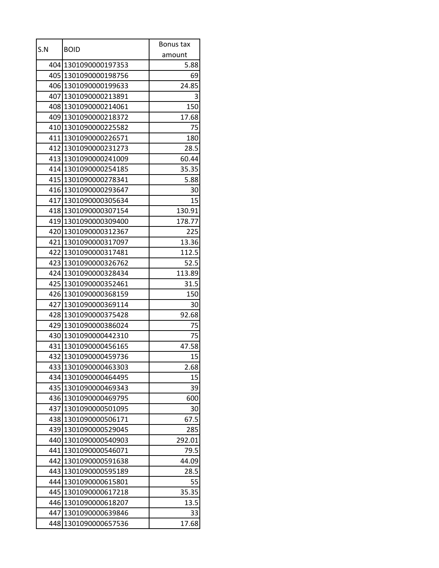| amount<br>404 1301090000197353<br>5.88<br>405 1301090000198756<br>69<br>24.85<br>406 1301090000199633<br>407 1301090000213891<br>3<br>408 1301090000214061<br>150<br>409 1301090000218372<br>17.68<br>410 1301090000225582<br>75<br>411 1301090000226571<br>180<br>412 1301090000231273<br>28.5<br>413 1301090000241009<br>60.44<br>414 1301090000254185<br>35.35<br>415 1301090000278341<br>5.88<br>416 1301090000293647<br>30<br>15<br>417 1301090000305634<br>418 1301090000307154<br>130.91<br>419 1301090000309400<br>178.77<br>420 1301090000312367<br>225<br>421 1301090000317097<br>13.36<br>422 1301090000317481<br>112.5<br>423 1301090000326762<br>52.5<br>424 1301090000328434<br>113.89<br>425 1301090000352461<br>31.5<br>426 1301090000368159<br>150<br>1301090000369114<br>427<br>30<br>92.68<br>428 1301090000375428<br>429 1301090000386024<br>75<br>75<br>430 1301090000442310<br>431 1301090000456165<br>47.58<br>432 1301090000459736<br>15<br>433 1301090000463303<br>2.68<br>15<br>434<br>1301090000464495<br>1301090000469343<br>435<br>39<br>1301090000469795<br>436<br>600<br>1301090000501095<br>437<br>30<br>438<br>1301090000506171<br>67.5<br>439<br>1301090000529045<br>285<br>1301090000540903<br>440<br>292.01<br>441<br>1301090000546071<br>79.5<br>442<br>1301090000591638<br>44.09<br>443<br>1301090000595189<br>28.5<br>444<br>1301090000615801<br>55<br>1301090000617218<br>35.35<br>445 | S.N |                  | Bonus tax |
|--------------------------------------------------------------------------------------------------------------------------------------------------------------------------------------------------------------------------------------------------------------------------------------------------------------------------------------------------------------------------------------------------------------------------------------------------------------------------------------------------------------------------------------------------------------------------------------------------------------------------------------------------------------------------------------------------------------------------------------------------------------------------------------------------------------------------------------------------------------------------------------------------------------------------------------------------------------------------------------------------------------------------------------------------------------------------------------------------------------------------------------------------------------------------------------------------------------------------------------------------------------------------------------------------------------------------------------------------------------------------------------------------------------------------------|-----|------------------|-----------|
|                                                                                                                                                                                                                                                                                                                                                                                                                                                                                                                                                                                                                                                                                                                                                                                                                                                                                                                                                                                                                                                                                                                                                                                                                                                                                                                                                                                                                                |     | <b>BOID</b>      |           |
|                                                                                                                                                                                                                                                                                                                                                                                                                                                                                                                                                                                                                                                                                                                                                                                                                                                                                                                                                                                                                                                                                                                                                                                                                                                                                                                                                                                                                                |     |                  |           |
|                                                                                                                                                                                                                                                                                                                                                                                                                                                                                                                                                                                                                                                                                                                                                                                                                                                                                                                                                                                                                                                                                                                                                                                                                                                                                                                                                                                                                                |     |                  |           |
|                                                                                                                                                                                                                                                                                                                                                                                                                                                                                                                                                                                                                                                                                                                                                                                                                                                                                                                                                                                                                                                                                                                                                                                                                                                                                                                                                                                                                                |     |                  |           |
|                                                                                                                                                                                                                                                                                                                                                                                                                                                                                                                                                                                                                                                                                                                                                                                                                                                                                                                                                                                                                                                                                                                                                                                                                                                                                                                                                                                                                                |     |                  |           |
|                                                                                                                                                                                                                                                                                                                                                                                                                                                                                                                                                                                                                                                                                                                                                                                                                                                                                                                                                                                                                                                                                                                                                                                                                                                                                                                                                                                                                                |     |                  |           |
|                                                                                                                                                                                                                                                                                                                                                                                                                                                                                                                                                                                                                                                                                                                                                                                                                                                                                                                                                                                                                                                                                                                                                                                                                                                                                                                                                                                                                                |     |                  |           |
|                                                                                                                                                                                                                                                                                                                                                                                                                                                                                                                                                                                                                                                                                                                                                                                                                                                                                                                                                                                                                                                                                                                                                                                                                                                                                                                                                                                                                                |     |                  |           |
|                                                                                                                                                                                                                                                                                                                                                                                                                                                                                                                                                                                                                                                                                                                                                                                                                                                                                                                                                                                                                                                                                                                                                                                                                                                                                                                                                                                                                                |     |                  |           |
|                                                                                                                                                                                                                                                                                                                                                                                                                                                                                                                                                                                                                                                                                                                                                                                                                                                                                                                                                                                                                                                                                                                                                                                                                                                                                                                                                                                                                                |     |                  |           |
|                                                                                                                                                                                                                                                                                                                                                                                                                                                                                                                                                                                                                                                                                                                                                                                                                                                                                                                                                                                                                                                                                                                                                                                                                                                                                                                                                                                                                                |     |                  |           |
|                                                                                                                                                                                                                                                                                                                                                                                                                                                                                                                                                                                                                                                                                                                                                                                                                                                                                                                                                                                                                                                                                                                                                                                                                                                                                                                                                                                                                                |     |                  |           |
|                                                                                                                                                                                                                                                                                                                                                                                                                                                                                                                                                                                                                                                                                                                                                                                                                                                                                                                                                                                                                                                                                                                                                                                                                                                                                                                                                                                                                                |     |                  |           |
|                                                                                                                                                                                                                                                                                                                                                                                                                                                                                                                                                                                                                                                                                                                                                                                                                                                                                                                                                                                                                                                                                                                                                                                                                                                                                                                                                                                                                                |     |                  |           |
|                                                                                                                                                                                                                                                                                                                                                                                                                                                                                                                                                                                                                                                                                                                                                                                                                                                                                                                                                                                                                                                                                                                                                                                                                                                                                                                                                                                                                                |     |                  |           |
|                                                                                                                                                                                                                                                                                                                                                                                                                                                                                                                                                                                                                                                                                                                                                                                                                                                                                                                                                                                                                                                                                                                                                                                                                                                                                                                                                                                                                                |     |                  |           |
|                                                                                                                                                                                                                                                                                                                                                                                                                                                                                                                                                                                                                                                                                                                                                                                                                                                                                                                                                                                                                                                                                                                                                                                                                                                                                                                                                                                                                                |     |                  |           |
|                                                                                                                                                                                                                                                                                                                                                                                                                                                                                                                                                                                                                                                                                                                                                                                                                                                                                                                                                                                                                                                                                                                                                                                                                                                                                                                                                                                                                                |     |                  |           |
|                                                                                                                                                                                                                                                                                                                                                                                                                                                                                                                                                                                                                                                                                                                                                                                                                                                                                                                                                                                                                                                                                                                                                                                                                                                                                                                                                                                                                                |     |                  |           |
|                                                                                                                                                                                                                                                                                                                                                                                                                                                                                                                                                                                                                                                                                                                                                                                                                                                                                                                                                                                                                                                                                                                                                                                                                                                                                                                                                                                                                                |     |                  |           |
|                                                                                                                                                                                                                                                                                                                                                                                                                                                                                                                                                                                                                                                                                                                                                                                                                                                                                                                                                                                                                                                                                                                                                                                                                                                                                                                                                                                                                                |     |                  |           |
|                                                                                                                                                                                                                                                                                                                                                                                                                                                                                                                                                                                                                                                                                                                                                                                                                                                                                                                                                                                                                                                                                                                                                                                                                                                                                                                                                                                                                                |     |                  |           |
|                                                                                                                                                                                                                                                                                                                                                                                                                                                                                                                                                                                                                                                                                                                                                                                                                                                                                                                                                                                                                                                                                                                                                                                                                                                                                                                                                                                                                                |     |                  |           |
|                                                                                                                                                                                                                                                                                                                                                                                                                                                                                                                                                                                                                                                                                                                                                                                                                                                                                                                                                                                                                                                                                                                                                                                                                                                                                                                                                                                                                                |     |                  |           |
|                                                                                                                                                                                                                                                                                                                                                                                                                                                                                                                                                                                                                                                                                                                                                                                                                                                                                                                                                                                                                                                                                                                                                                                                                                                                                                                                                                                                                                |     |                  |           |
|                                                                                                                                                                                                                                                                                                                                                                                                                                                                                                                                                                                                                                                                                                                                                                                                                                                                                                                                                                                                                                                                                                                                                                                                                                                                                                                                                                                                                                |     |                  |           |
|                                                                                                                                                                                                                                                                                                                                                                                                                                                                                                                                                                                                                                                                                                                                                                                                                                                                                                                                                                                                                                                                                                                                                                                                                                                                                                                                                                                                                                |     |                  |           |
|                                                                                                                                                                                                                                                                                                                                                                                                                                                                                                                                                                                                                                                                                                                                                                                                                                                                                                                                                                                                                                                                                                                                                                                                                                                                                                                                                                                                                                |     |                  |           |
|                                                                                                                                                                                                                                                                                                                                                                                                                                                                                                                                                                                                                                                                                                                                                                                                                                                                                                                                                                                                                                                                                                                                                                                                                                                                                                                                                                                                                                |     |                  |           |
|                                                                                                                                                                                                                                                                                                                                                                                                                                                                                                                                                                                                                                                                                                                                                                                                                                                                                                                                                                                                                                                                                                                                                                                                                                                                                                                                                                                                                                |     |                  |           |
|                                                                                                                                                                                                                                                                                                                                                                                                                                                                                                                                                                                                                                                                                                                                                                                                                                                                                                                                                                                                                                                                                                                                                                                                                                                                                                                                                                                                                                |     |                  |           |
|                                                                                                                                                                                                                                                                                                                                                                                                                                                                                                                                                                                                                                                                                                                                                                                                                                                                                                                                                                                                                                                                                                                                                                                                                                                                                                                                                                                                                                |     |                  |           |
|                                                                                                                                                                                                                                                                                                                                                                                                                                                                                                                                                                                                                                                                                                                                                                                                                                                                                                                                                                                                                                                                                                                                                                                                                                                                                                                                                                                                                                |     |                  |           |
|                                                                                                                                                                                                                                                                                                                                                                                                                                                                                                                                                                                                                                                                                                                                                                                                                                                                                                                                                                                                                                                                                                                                                                                                                                                                                                                                                                                                                                |     |                  |           |
|                                                                                                                                                                                                                                                                                                                                                                                                                                                                                                                                                                                                                                                                                                                                                                                                                                                                                                                                                                                                                                                                                                                                                                                                                                                                                                                                                                                                                                |     |                  |           |
|                                                                                                                                                                                                                                                                                                                                                                                                                                                                                                                                                                                                                                                                                                                                                                                                                                                                                                                                                                                                                                                                                                                                                                                                                                                                                                                                                                                                                                |     |                  |           |
|                                                                                                                                                                                                                                                                                                                                                                                                                                                                                                                                                                                                                                                                                                                                                                                                                                                                                                                                                                                                                                                                                                                                                                                                                                                                                                                                                                                                                                |     |                  |           |
|                                                                                                                                                                                                                                                                                                                                                                                                                                                                                                                                                                                                                                                                                                                                                                                                                                                                                                                                                                                                                                                                                                                                                                                                                                                                                                                                                                                                                                |     |                  |           |
|                                                                                                                                                                                                                                                                                                                                                                                                                                                                                                                                                                                                                                                                                                                                                                                                                                                                                                                                                                                                                                                                                                                                                                                                                                                                                                                                                                                                                                |     |                  |           |
|                                                                                                                                                                                                                                                                                                                                                                                                                                                                                                                                                                                                                                                                                                                                                                                                                                                                                                                                                                                                                                                                                                                                                                                                                                                                                                                                                                                                                                |     |                  |           |
|                                                                                                                                                                                                                                                                                                                                                                                                                                                                                                                                                                                                                                                                                                                                                                                                                                                                                                                                                                                                                                                                                                                                                                                                                                                                                                                                                                                                                                |     |                  |           |
|                                                                                                                                                                                                                                                                                                                                                                                                                                                                                                                                                                                                                                                                                                                                                                                                                                                                                                                                                                                                                                                                                                                                                                                                                                                                                                                                                                                                                                |     |                  |           |
|                                                                                                                                                                                                                                                                                                                                                                                                                                                                                                                                                                                                                                                                                                                                                                                                                                                                                                                                                                                                                                                                                                                                                                                                                                                                                                                                                                                                                                |     |                  |           |
|                                                                                                                                                                                                                                                                                                                                                                                                                                                                                                                                                                                                                                                                                                                                                                                                                                                                                                                                                                                                                                                                                                                                                                                                                                                                                                                                                                                                                                | 446 | 1301090000618207 | 13.5      |
| 1301090000639846<br>447<br>33                                                                                                                                                                                                                                                                                                                                                                                                                                                                                                                                                                                                                                                                                                                                                                                                                                                                                                                                                                                                                                                                                                                                                                                                                                                                                                                                                                                                  |     |                  |           |
| 17.68<br>448<br>1301090000657536                                                                                                                                                                                                                                                                                                                                                                                                                                                                                                                                                                                                                                                                                                                                                                                                                                                                                                                                                                                                                                                                                                                                                                                                                                                                                                                                                                                               |     |                  |           |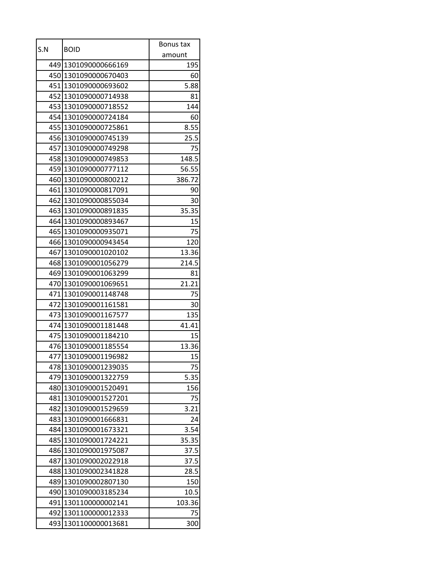|     |                      | Bonus tax |
|-----|----------------------|-----------|
| S.N | <b>BOID</b>          | amount    |
|     | 449 1301090000666169 | 195       |
|     | 450 1301090000670403 | 60        |
|     | 451 1301090000693602 | 5.88      |
|     | 452 1301090000714938 | 81        |
|     | 453 1301090000718552 | 144       |
|     | 454 1301090000724184 | 60        |
| 455 | 1301090000725861     | 8.55      |
|     | 456 1301090000745139 | 25.5      |
|     | 457 1301090000749298 | 75        |
|     | 458 1301090000749853 | 148.5     |
|     | 459 1301090000777112 | 56.55     |
|     | 460 1301090000800212 | 386.72    |
|     | 461 1301090000817091 | 90        |
|     | 462 1301090000855034 | 30        |
|     | 463 1301090000891835 | 35.35     |
|     | 464 1301090000893467 | 15        |
|     | 465 1301090000935071 | 75        |
|     | 466 1301090000943454 | 120       |
| 467 | 1301090001020102     | 13.36     |
|     | 468 1301090001056279 | 214.5     |
|     | 469 1301090001063299 | 81        |
|     | 470 1301090001069651 | 21.21     |
|     | 471 1301090001148748 | 75        |
| 472 | 1301090001161581     | 30        |
|     | 473 1301090001167577 | 135       |
|     | 474 1301090001181448 | 41.41     |
|     | 475 1301090001184210 | 15        |
|     | 476 1301090001185554 | 13.36     |
|     | 477 1301090001196982 | 15        |
|     | 478 1301090001239035 | 75        |
| 479 | 1301090001322759     | 5.35      |
| 480 | 1301090001520491     | 156       |
| 481 | 1301090001527201     | 75        |
| 482 | 1301090001529659     | 3.21      |
| 483 | 1301090001666831     | 24        |
| 484 | 1301090001673321     | 3.54      |
| 485 | 1301090001724221     | 35.35     |
| 486 | 1301090001975087     | 37.5      |
| 487 | 1301090002022918     | 37.5      |
| 488 | 1301090002341828     | 28.5      |
| 489 | 1301090002807130     | 150       |
| 490 | 1301090003185234     | 10.5      |
| 491 | 1301100000002141     | 103.36    |
| 492 | 1301100000012333     | 75        |
| 493 | 1301100000013681     | 300       |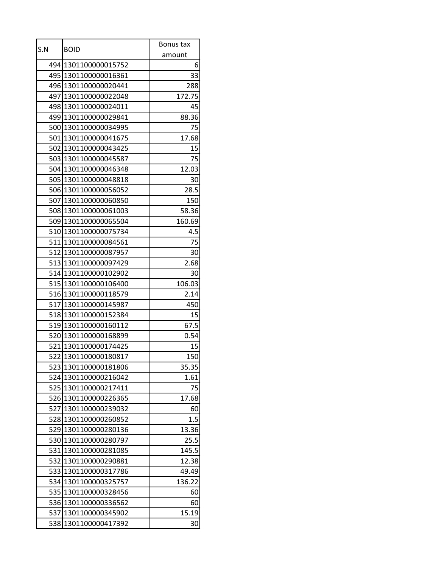|     | <b>BOID</b>          | Bonus tax |
|-----|----------------------|-----------|
| S.N |                      | amount    |
|     | 494 1301100000015752 | 6         |
|     | 495 1301100000016361 | 33        |
|     | 496 1301100000020441 | 288       |
|     | 497 1301100000022048 | 172.75    |
|     | 498 1301100000024011 | 45        |
|     | 499 1301100000029841 | 88.36     |
| 500 | 1301100000034995     | 75        |
|     | 501 1301100000041675 | 17.68     |
|     | 502 1301100000043425 | 15        |
|     | 503 1301100000045587 | 75        |
|     | 504 1301100000046348 | 12.03     |
|     | 505 1301100000048818 | 30        |
|     | 506 1301100000056052 | 28.5      |
|     | 507 1301100000060850 | 150       |
|     | 508 1301100000061003 | 58.36     |
|     | 509 1301100000065504 | 160.69    |
|     | 510 1301100000075734 | 4.5       |
|     | 511 1301100000084561 | 75        |
|     | 512 1301100000087957 | 30        |
| 513 | 1301100000097429     | 2.68      |
|     | 514 1301100000102902 | 30        |
|     | 515 1301100000106400 | 106.03    |
|     | 516 1301100000118579 | 2.14      |
| 517 | 1301100000145987     | 450       |
|     | 518 1301100000152384 | 15        |
|     | 519 1301100000160112 | 67.5      |
|     | 520 1301100000168899 | 0.54      |
|     | 521 1301100000174425 | 15        |
|     | 522 1301100000180817 | 150       |
| 523 | 1301100000181806     | 35.35     |
| 524 | 1301100000216042     | 1.61      |
| 525 | 1301100000217411     | 75        |
| 526 | 1301100000226365     | 17.68     |
| 527 | 1301100000239032     | 60        |
| 528 | 1301100000260852     | 1.5       |
| 529 | 1301100000280136     | 13.36     |
| 530 | 1301100000280797     | 25.5      |
| 531 | 1301100000281085     | 145.5     |
| 532 | 1301100000290881     | 12.38     |
| 533 | 1301100000317786     | 49.49     |
| 534 | 1301100000325757     | 136.22    |
| 535 | 1301100000328456     | 60        |
| 536 | 1301100000336562     | 60        |
| 537 | 1301100000345902     | 15.19     |
| 538 | 1301100000417392     | 30        |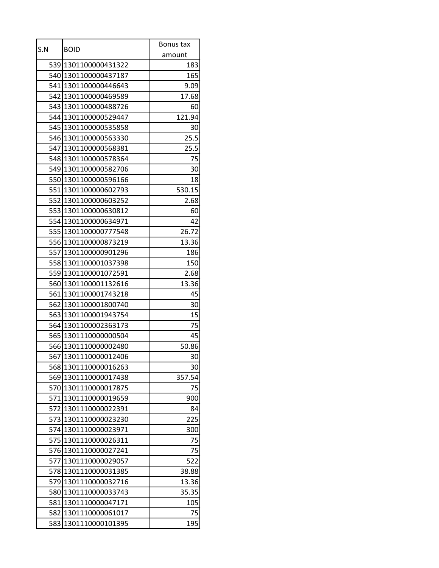| amount<br>539 1301100000431322<br>183<br>540 1301100000437187<br>165<br>541 1301100000446643<br>9.09<br>542 1301100000469589<br>17.68<br>543 1301100000488726<br>60<br>544 1301100000529447<br>121.94<br>545 1301100000535858<br>30<br>546 1301100000563330<br>25.5<br>547 1301100000568381<br>25.5<br>548 1301100000578364<br>75<br>549 1301100000582706<br>30<br>550 1301100000596166<br>18<br>551 1301100000602793<br>530.15<br>552 1301100000603252<br>2.68<br>553 1301100000630812<br>60<br>554 1301100000634971<br>42<br>555 1301100000777548<br>26.72<br>556 1301100000873219<br>13.36<br>557 1301100000901296<br>186<br>558 1301100001037398<br>150<br>559 1301100001072591<br>2.68<br>560 1301100001132616<br>13.36<br>561 1301100001743218<br>45<br>562<br>1301100001800740<br>30<br>15<br>563 1301100001943754<br>75<br>564 1301100002363173<br>45<br>565 1301110000000504<br>566 1301110000002480<br>50.86<br>567 1301110000012406<br>30<br>568 1301110000016263<br>30<br>569<br>1301110000017438<br>357.54<br>1301110000017875<br>75<br>570<br>1301110000019659<br>571<br>900<br>572<br>1301110000022391<br>84<br>573 1301110000023230<br>225<br>1301110000023971<br>574<br>300<br>1301110000026311<br>575<br>75<br>1301110000027241<br>576<br>75<br>1301110000029057<br>577<br>522<br>1301110000031385<br>578<br>38.88<br>579<br>1301110000032716<br>13.36<br>1301110000033743<br>580<br>35.35<br>1301110000047171<br>581<br>105<br>582 1301110000061017<br>75<br>583<br>1301110000101395<br>195 | S.N | <b>BOID</b> | Bonus tax |
|----------------------------------------------------------------------------------------------------------------------------------------------------------------------------------------------------------------------------------------------------------------------------------------------------------------------------------------------------------------------------------------------------------------------------------------------------------------------------------------------------------------------------------------------------------------------------------------------------------------------------------------------------------------------------------------------------------------------------------------------------------------------------------------------------------------------------------------------------------------------------------------------------------------------------------------------------------------------------------------------------------------------------------------------------------------------------------------------------------------------------------------------------------------------------------------------------------------------------------------------------------------------------------------------------------------------------------------------------------------------------------------------------------------------------------------------------------------------------------------------------------------|-----|-------------|-----------|
|                                                                                                                                                                                                                                                                                                                                                                                                                                                                                                                                                                                                                                                                                                                                                                                                                                                                                                                                                                                                                                                                                                                                                                                                                                                                                                                                                                                                                                                                                                                |     |             |           |
|                                                                                                                                                                                                                                                                                                                                                                                                                                                                                                                                                                                                                                                                                                                                                                                                                                                                                                                                                                                                                                                                                                                                                                                                                                                                                                                                                                                                                                                                                                                |     |             |           |
|                                                                                                                                                                                                                                                                                                                                                                                                                                                                                                                                                                                                                                                                                                                                                                                                                                                                                                                                                                                                                                                                                                                                                                                                                                                                                                                                                                                                                                                                                                                |     |             |           |
|                                                                                                                                                                                                                                                                                                                                                                                                                                                                                                                                                                                                                                                                                                                                                                                                                                                                                                                                                                                                                                                                                                                                                                                                                                                                                                                                                                                                                                                                                                                |     |             |           |
|                                                                                                                                                                                                                                                                                                                                                                                                                                                                                                                                                                                                                                                                                                                                                                                                                                                                                                                                                                                                                                                                                                                                                                                                                                                                                                                                                                                                                                                                                                                |     |             |           |
|                                                                                                                                                                                                                                                                                                                                                                                                                                                                                                                                                                                                                                                                                                                                                                                                                                                                                                                                                                                                                                                                                                                                                                                                                                                                                                                                                                                                                                                                                                                |     |             |           |
|                                                                                                                                                                                                                                                                                                                                                                                                                                                                                                                                                                                                                                                                                                                                                                                                                                                                                                                                                                                                                                                                                                                                                                                                                                                                                                                                                                                                                                                                                                                |     |             |           |
|                                                                                                                                                                                                                                                                                                                                                                                                                                                                                                                                                                                                                                                                                                                                                                                                                                                                                                                                                                                                                                                                                                                                                                                                                                                                                                                                                                                                                                                                                                                |     |             |           |
|                                                                                                                                                                                                                                                                                                                                                                                                                                                                                                                                                                                                                                                                                                                                                                                                                                                                                                                                                                                                                                                                                                                                                                                                                                                                                                                                                                                                                                                                                                                |     |             |           |
|                                                                                                                                                                                                                                                                                                                                                                                                                                                                                                                                                                                                                                                                                                                                                                                                                                                                                                                                                                                                                                                                                                                                                                                                                                                                                                                                                                                                                                                                                                                |     |             |           |
|                                                                                                                                                                                                                                                                                                                                                                                                                                                                                                                                                                                                                                                                                                                                                                                                                                                                                                                                                                                                                                                                                                                                                                                                                                                                                                                                                                                                                                                                                                                |     |             |           |
|                                                                                                                                                                                                                                                                                                                                                                                                                                                                                                                                                                                                                                                                                                                                                                                                                                                                                                                                                                                                                                                                                                                                                                                                                                                                                                                                                                                                                                                                                                                |     |             |           |
|                                                                                                                                                                                                                                                                                                                                                                                                                                                                                                                                                                                                                                                                                                                                                                                                                                                                                                                                                                                                                                                                                                                                                                                                                                                                                                                                                                                                                                                                                                                |     |             |           |
|                                                                                                                                                                                                                                                                                                                                                                                                                                                                                                                                                                                                                                                                                                                                                                                                                                                                                                                                                                                                                                                                                                                                                                                                                                                                                                                                                                                                                                                                                                                |     |             |           |
|                                                                                                                                                                                                                                                                                                                                                                                                                                                                                                                                                                                                                                                                                                                                                                                                                                                                                                                                                                                                                                                                                                                                                                                                                                                                                                                                                                                                                                                                                                                |     |             |           |
|                                                                                                                                                                                                                                                                                                                                                                                                                                                                                                                                                                                                                                                                                                                                                                                                                                                                                                                                                                                                                                                                                                                                                                                                                                                                                                                                                                                                                                                                                                                |     |             |           |
|                                                                                                                                                                                                                                                                                                                                                                                                                                                                                                                                                                                                                                                                                                                                                                                                                                                                                                                                                                                                                                                                                                                                                                                                                                                                                                                                                                                                                                                                                                                |     |             |           |
|                                                                                                                                                                                                                                                                                                                                                                                                                                                                                                                                                                                                                                                                                                                                                                                                                                                                                                                                                                                                                                                                                                                                                                                                                                                                                                                                                                                                                                                                                                                |     |             |           |
|                                                                                                                                                                                                                                                                                                                                                                                                                                                                                                                                                                                                                                                                                                                                                                                                                                                                                                                                                                                                                                                                                                                                                                                                                                                                                                                                                                                                                                                                                                                |     |             |           |
|                                                                                                                                                                                                                                                                                                                                                                                                                                                                                                                                                                                                                                                                                                                                                                                                                                                                                                                                                                                                                                                                                                                                                                                                                                                                                                                                                                                                                                                                                                                |     |             |           |
|                                                                                                                                                                                                                                                                                                                                                                                                                                                                                                                                                                                                                                                                                                                                                                                                                                                                                                                                                                                                                                                                                                                                                                                                                                                                                                                                                                                                                                                                                                                |     |             |           |
|                                                                                                                                                                                                                                                                                                                                                                                                                                                                                                                                                                                                                                                                                                                                                                                                                                                                                                                                                                                                                                                                                                                                                                                                                                                                                                                                                                                                                                                                                                                |     |             |           |
|                                                                                                                                                                                                                                                                                                                                                                                                                                                                                                                                                                                                                                                                                                                                                                                                                                                                                                                                                                                                                                                                                                                                                                                                                                                                                                                                                                                                                                                                                                                |     |             |           |
|                                                                                                                                                                                                                                                                                                                                                                                                                                                                                                                                                                                                                                                                                                                                                                                                                                                                                                                                                                                                                                                                                                                                                                                                                                                                                                                                                                                                                                                                                                                |     |             |           |
|                                                                                                                                                                                                                                                                                                                                                                                                                                                                                                                                                                                                                                                                                                                                                                                                                                                                                                                                                                                                                                                                                                                                                                                                                                                                                                                                                                                                                                                                                                                |     |             |           |
|                                                                                                                                                                                                                                                                                                                                                                                                                                                                                                                                                                                                                                                                                                                                                                                                                                                                                                                                                                                                                                                                                                                                                                                                                                                                                                                                                                                                                                                                                                                |     |             |           |
|                                                                                                                                                                                                                                                                                                                                                                                                                                                                                                                                                                                                                                                                                                                                                                                                                                                                                                                                                                                                                                                                                                                                                                                                                                                                                                                                                                                                                                                                                                                |     |             |           |
|                                                                                                                                                                                                                                                                                                                                                                                                                                                                                                                                                                                                                                                                                                                                                                                                                                                                                                                                                                                                                                                                                                                                                                                                                                                                                                                                                                                                                                                                                                                |     |             |           |
|                                                                                                                                                                                                                                                                                                                                                                                                                                                                                                                                                                                                                                                                                                                                                                                                                                                                                                                                                                                                                                                                                                                                                                                                                                                                                                                                                                                                                                                                                                                |     |             |           |
|                                                                                                                                                                                                                                                                                                                                                                                                                                                                                                                                                                                                                                                                                                                                                                                                                                                                                                                                                                                                                                                                                                                                                                                                                                                                                                                                                                                                                                                                                                                |     |             |           |
|                                                                                                                                                                                                                                                                                                                                                                                                                                                                                                                                                                                                                                                                                                                                                                                                                                                                                                                                                                                                                                                                                                                                                                                                                                                                                                                                                                                                                                                                                                                |     |             |           |
|                                                                                                                                                                                                                                                                                                                                                                                                                                                                                                                                                                                                                                                                                                                                                                                                                                                                                                                                                                                                                                                                                                                                                                                                                                                                                                                                                                                                                                                                                                                |     |             |           |
|                                                                                                                                                                                                                                                                                                                                                                                                                                                                                                                                                                                                                                                                                                                                                                                                                                                                                                                                                                                                                                                                                                                                                                                                                                                                                                                                                                                                                                                                                                                |     |             |           |
|                                                                                                                                                                                                                                                                                                                                                                                                                                                                                                                                                                                                                                                                                                                                                                                                                                                                                                                                                                                                                                                                                                                                                                                                                                                                                                                                                                                                                                                                                                                |     |             |           |
|                                                                                                                                                                                                                                                                                                                                                                                                                                                                                                                                                                                                                                                                                                                                                                                                                                                                                                                                                                                                                                                                                                                                                                                                                                                                                                                                                                                                                                                                                                                |     |             |           |
|                                                                                                                                                                                                                                                                                                                                                                                                                                                                                                                                                                                                                                                                                                                                                                                                                                                                                                                                                                                                                                                                                                                                                                                                                                                                                                                                                                                                                                                                                                                |     |             |           |
|                                                                                                                                                                                                                                                                                                                                                                                                                                                                                                                                                                                                                                                                                                                                                                                                                                                                                                                                                                                                                                                                                                                                                                                                                                                                                                                                                                                                                                                                                                                |     |             |           |
|                                                                                                                                                                                                                                                                                                                                                                                                                                                                                                                                                                                                                                                                                                                                                                                                                                                                                                                                                                                                                                                                                                                                                                                                                                                                                                                                                                                                                                                                                                                |     |             |           |
|                                                                                                                                                                                                                                                                                                                                                                                                                                                                                                                                                                                                                                                                                                                                                                                                                                                                                                                                                                                                                                                                                                                                                                                                                                                                                                                                                                                                                                                                                                                |     |             |           |
|                                                                                                                                                                                                                                                                                                                                                                                                                                                                                                                                                                                                                                                                                                                                                                                                                                                                                                                                                                                                                                                                                                                                                                                                                                                                                                                                                                                                                                                                                                                |     |             |           |
|                                                                                                                                                                                                                                                                                                                                                                                                                                                                                                                                                                                                                                                                                                                                                                                                                                                                                                                                                                                                                                                                                                                                                                                                                                                                                                                                                                                                                                                                                                                |     |             |           |
|                                                                                                                                                                                                                                                                                                                                                                                                                                                                                                                                                                                                                                                                                                                                                                                                                                                                                                                                                                                                                                                                                                                                                                                                                                                                                                                                                                                                                                                                                                                |     |             |           |
|                                                                                                                                                                                                                                                                                                                                                                                                                                                                                                                                                                                                                                                                                                                                                                                                                                                                                                                                                                                                                                                                                                                                                                                                                                                                                                                                                                                                                                                                                                                |     |             |           |
|                                                                                                                                                                                                                                                                                                                                                                                                                                                                                                                                                                                                                                                                                                                                                                                                                                                                                                                                                                                                                                                                                                                                                                                                                                                                                                                                                                                                                                                                                                                |     |             |           |
|                                                                                                                                                                                                                                                                                                                                                                                                                                                                                                                                                                                                                                                                                                                                                                                                                                                                                                                                                                                                                                                                                                                                                                                                                                                                                                                                                                                                                                                                                                                |     |             |           |
|                                                                                                                                                                                                                                                                                                                                                                                                                                                                                                                                                                                                                                                                                                                                                                                                                                                                                                                                                                                                                                                                                                                                                                                                                                                                                                                                                                                                                                                                                                                |     |             |           |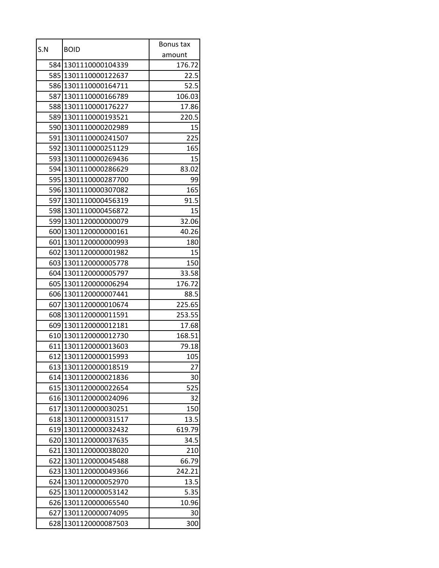| S.N |                      | Bonus tax |
|-----|----------------------|-----------|
|     | <b>BOID</b>          | amount    |
|     | 584 1301110000104339 | 176.72    |
|     | 585 1301110000122637 | 22.5      |
|     | 586 1301110000164711 | 52.5      |
|     | 587 1301110000166789 | 106.03    |
|     | 588 1301110000176227 | 17.86     |
|     | 589 1301110000193521 | 220.5     |
| 590 | 1301110000202989     | 15        |
|     | 591 1301110000241507 | 225       |
|     | 592 1301110000251129 | 165       |
|     | 593 1301110000269436 | 15        |
|     | 594 1301110000286629 | 83.02     |
|     | 595 1301110000287700 | 99        |
|     | 596 1301110000307082 | 165       |
|     | 597 1301110000456319 | 91.5      |
|     | 598 1301110000456872 | 15        |
|     | 599 1301120000000079 | 32.06     |
|     | 600 1301120000000161 | 40.26     |
|     | 601 1301120000000993 | 180       |
|     | 602 1301120000001982 | 15        |
|     | 603 1301120000005778 | 150       |
|     | 604 1301120000005797 | 33.58     |
|     | 605 1301120000006294 | 176.72    |
|     | 606 1301120000007441 | 88.5      |
| 607 | 1301120000010674     | 225.65    |
|     | 608 1301120000011591 | 253.55    |
|     | 609 1301120000012181 | 17.68     |
|     | 610 1301120000012730 | 168.51    |
|     | 611 1301120000013603 | 79.18     |
|     | 612 1301120000015993 | 105       |
| 613 | 1301120000018519     | 27        |
| 614 | 1301120000021836     | 30        |
| 615 | 1301120000022654     | 525       |
| 616 | 1301120000024096     | 32        |
| 617 | 1301120000030251     | 150       |
| 618 | 1301120000031517     | 13.5      |
| 619 | 1301120000032432     | 619.79    |
| 620 | 1301120000037635     | 34.5      |
| 621 | 1301120000038020     | 210       |
| 622 | 1301120000045488     | 66.79     |
| 623 | 1301120000049366     | 242.21    |
| 624 | 1301120000052970     | 13.5      |
| 625 | 1301120000053142     | 5.35      |
| 626 | 1301120000065540     | 10.96     |
| 627 | 1301120000074095     | 30        |
| 628 | 1301120000087503     | 300       |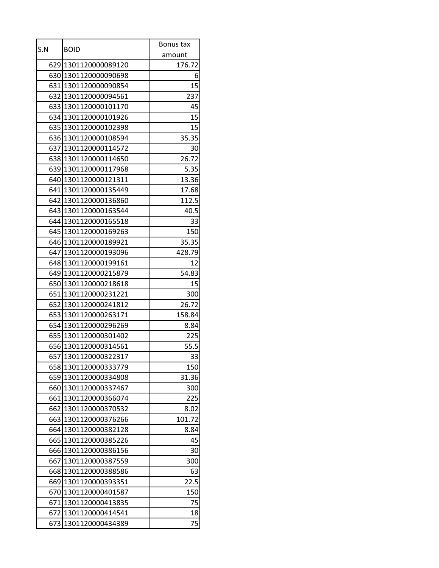|     |                      | Bonus tax |
|-----|----------------------|-----------|
| S.N | <b>BOID</b>          | amount    |
|     | 629 1301120000089120 | 176.72    |
|     | 630 1301120000090698 | 6         |
|     | 631 1301120000090854 | 15        |
|     | 632 1301120000094561 | 237       |
|     | 633 1301120000101170 | 45        |
|     | 634 1301120000101926 | 15        |
|     | 635 1301120000102398 | 15        |
|     | 636 1301120000108594 | 35.35     |
|     | 637 1301120000114572 | 30        |
|     | 638 1301120000114650 | 26.72     |
|     | 639 1301120000117968 | 5.35      |
|     | 640 1301120000121311 | 13.36     |
|     | 641 1301120000135449 | 17.68     |
|     | 642 1301120000136860 | 112.5     |
|     | 643 1301120000163544 | 40.5      |
|     | 644 1301120000165518 | 33        |
|     | 645 1301120000169263 | 150       |
|     | 646 1301120000189921 | 35.35     |
|     | 647 1301120000193096 | 428.79    |
|     | 648 1301120000199161 | 12        |
|     | 649 1301120000215879 | 54.83     |
|     | 650 1301120000218618 | 15        |
|     | 651 1301120000231221 | 300       |
| 652 | 1301120000241812     | 26.72     |
|     | 653 1301120000263171 | 158.84    |
|     | 654 1301120000296269 | 8.84      |
|     | 655 1301120000301402 | 225       |
|     | 656 1301120000314561 | 55.5      |
|     | 657 1301120000322317 | 33        |
|     | 658 1301120000333779 | 150       |
| 659 | 1301120000334808     | 31.36     |
| 660 | 1301120000337467     | 300       |
| 661 | 1301120000366074     | 225       |
| 662 | 1301120000370532     | 8.02      |
| 663 | 1301120000376266     | 101.72    |
| 664 | 1301120000382128     | 8.84      |
| 665 | 1301120000385226     | 45        |
| 666 | 1301120000386156     | 30        |
| 667 | 1301120000387559     | 300       |
| 668 | 1301120000388586     | 63        |
| 669 | 1301120000393351     | 22.5      |
| 670 | 1301120000401587     | 150       |
| 671 | 1301120000413835     | 75        |
|     | 672 1301120000414541 | 18        |
| 673 | 1301120000434389     | 75        |
|     |                      |           |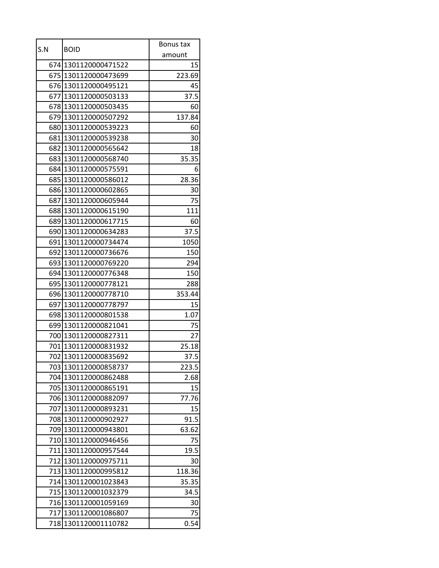| S.N | <b>BOID</b>                                  | Bonus tax     |
|-----|----------------------------------------------|---------------|
|     |                                              | amount        |
|     | 674 1301120000471522                         | 15            |
|     | 675 1301120000473699                         | 223.69        |
|     | 676 1301120000495121                         | 45            |
|     | 677 1301120000503133                         | 37.5          |
|     | 678 1301120000503435                         | 60            |
|     | 679 1301120000507292                         | 137.84        |
|     | 680 1301120000539223                         | 60            |
|     | 681 1301120000539238                         | 30            |
|     | 682 1301120000565642                         | 18            |
|     | 683 1301120000568740                         | 35.35         |
|     | 684 1301120000575591                         | 6             |
|     | 685 1301120000586012                         | 28.36         |
|     | 686 1301120000602865                         | 30            |
| 687 | 1301120000605944                             | 75            |
|     | 688 1301120000615190                         | 111           |
|     | 689 1301120000617715                         | 60            |
|     | 690 1301120000634283                         | 37.5          |
|     | 691 1301120000734474                         | 1050          |
|     | 692 1301120000736676                         | 150           |
|     | 693 1301120000769220                         | 294           |
|     | 694 1301120000776348                         | 150           |
|     | 695 1301120000778121                         | 288           |
|     | 696 1301120000778710                         | 353.44        |
| 697 | 1301120000778797                             | 15            |
|     | 698 1301120000801538                         | 1.07          |
|     | 699 1301120000821041                         | 75            |
|     | 700 1301120000827311<br>701 1301120000831932 | 27            |
|     |                                              | 25.18         |
| 703 | 702 1301120000835692<br>1301120000858737     | 37.5          |
| 704 | 1301120000862488                             | 223.5<br>2.68 |
| 705 | 1301120000865191                             | 15            |
| 706 | 1301120000882097                             | 77.76         |
| 707 | 1301120000893231                             | 15            |
| 708 | 1301120000902927                             | 91.5          |
| 709 | 1301120000943801                             | 63.62         |
|     | 710 1301120000946456                         | 75            |
| 711 | 1301120000957544                             | 19.5          |
| 712 | 1301120000975711                             | 30            |
| 713 | 1301120000995812                             | 118.36        |
| 714 | 1301120001023843                             | 35.35         |
| 715 | 1301120001032379                             | 34.5          |
| 716 | 1301120001059169                             | 30            |
|     | 717 1301120001086807                         | 75            |
| 718 | 1301120001110782                             | 0.54          |
|     |                                              |               |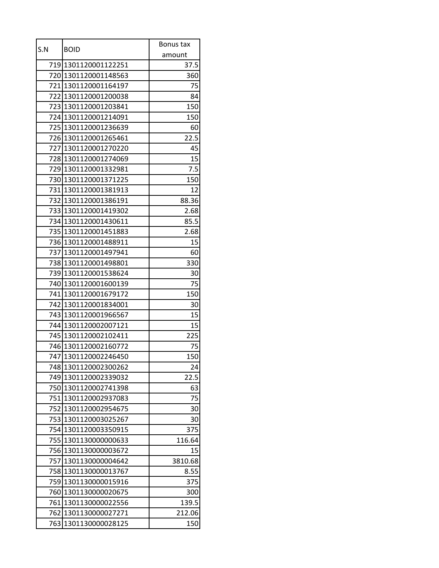| S.N  | <b>BOID</b>          | Bonus tax |
|------|----------------------|-----------|
|      |                      | amount    |
|      | 719 1301120001122251 | 37.5      |
|      | 720 1301120001148563 | 360       |
|      | 721 1301120001164197 | 75        |
|      | 722 1301120001200038 | 84        |
| 7231 | 1301120001203841     | 150       |
|      | 724 1301120001214091 | 150       |
|      | 725 1301120001236639 | 60        |
|      | 726 1301120001265461 | 22.5      |
|      | 727 1301120001270220 | 45        |
|      | 728 1301120001274069 | 15        |
|      | 729 1301120001332981 | 7.5       |
|      | 730 1301120001371225 | 150       |
|      | 731 1301120001381913 | 12        |
|      | 732 1301120001386191 | 88.36     |
|      | 733 1301120001419302 | 2.68      |
|      | 734 1301120001430611 | 85.5      |
|      | 735 1301120001451883 | 2.68      |
|      | 736 1301120001488911 | 15        |
| 737  | 1301120001497941     | 60        |
|      | 738 1301120001498801 | 330       |
|      | 739 1301120001538624 | 30        |
|      | 740 1301120001600139 | 75        |
|      | 741 1301120001679172 | 150       |
| 742  | 1301120001834001     | 30        |
|      | 743 1301120001966567 | 15        |
|      | 744 1301120002007121 | 15        |
|      | 745 1301120002102411 | 225       |
|      | 746 1301120002160772 | 75        |
|      | 747 1301120002246450 | 150       |
| 748  | 1301120002300262     | 24        |
| 749  | 1301120002339032     | 22.5      |
| 750  | 1301120002741398     | 63        |
| 751  | 1301120002937083     | 75        |
| 752  | 1301120002954675     | 30        |
| 753  | 1301120003025267     | 30        |
| 754  | 1301120003350915     | 375       |
| 755  | 1301130000000633     | 116.64    |
| 756  | 1301130000003672     | 15        |
| 757  | 1301130000004642     | 3810.68   |
| 758  | 1301130000013767     | 8.55      |
| 759  | 1301130000015916     | 375       |
| 760  | 1301130000020675     | 300       |
| 761  | 1301130000022556     | 139.5     |
| 762  | 1301130000027271     | 212.06    |
| 763  | 1301130000028125     | 150       |
|      |                      |           |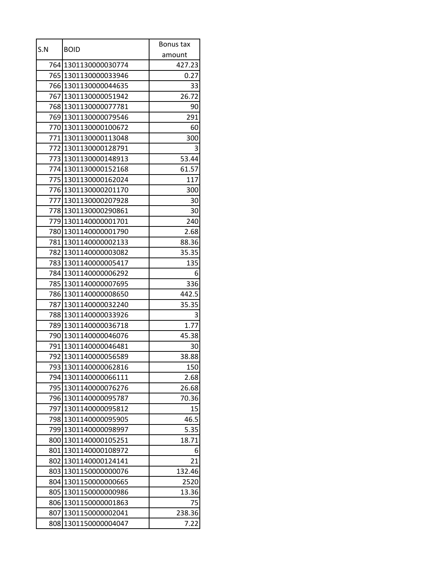| S.N  |                      | Bonus tax |
|------|----------------------|-----------|
|      | <b>BOID</b>          | amount    |
|      | 764 1301130000030774 | 427.23    |
| 765  | 1301130000033946     | 0.27      |
|      | 766 1301130000044635 | 33        |
|      | 767 1301130000051942 | 26.72     |
| 768  | 1301130000077781     | 90        |
|      | 769 1301130000079546 | 291       |
|      | 770 1301130000100672 | 60        |
|      | 771 1301130000113048 | 300       |
|      | 772 1301130000128791 | 3         |
|      | 773 1301130000148913 | 53.44     |
|      | 774 1301130000152168 | 61.57     |
|      | 775 1301130000162024 | 117       |
|      | 776 1301130000201170 | 300       |
| 777  | 1301130000207928     | 30        |
|      | 778 1301130000290861 | 30        |
|      | 779 1301140000001701 | 240       |
|      | 780 1301140000001790 | 2.68      |
|      | 781 1301140000002133 | 88.36     |
| 782  | 1301140000003082     | 35.35     |
|      | 783 1301140000005417 | 135       |
|      | 784 1301140000006292 | 6         |
|      | 785 1301140000007695 | 336       |
|      | 786 1301140000008650 | 442.5     |
| 787  | 1301140000032240     | 35.35     |
|      | 788 1301140000033926 | 3         |
| 7891 | 1301140000036718     | 1.77      |
|      | 790 1301140000046076 | 45.38     |
|      | 791 1301140000046481 | 30        |
|      | 792 1301140000056589 | 38.88     |
| 793  | 1301140000062816     | 150       |
| 794  | 1301140000066111     | 2.68      |
| 795  | 1301140000076276     | 26.68     |
| 796  | 1301140000095787     | 70.36     |
| 797  | 1301140000095812     | 15        |
| 798  | 1301140000095905     | 46.5      |
| 799  | 1301140000098997     | 5.35      |
| 800  | 1301140000105251     | 18.71     |
| 801  | 1301140000108972     | 6         |
| 802  | 1301140000124141     | 21        |
| 803  | 1301150000000076     | 132.46    |
| 804  | 1301150000000665     | 2520      |
| 805  | 1301150000000986     | 13.36     |
| 806  | 1301150000001863     | 75        |
| 807  | 1301150000002041     | 238.36    |
| 808  | 1301150000004047     | 7.22      |
|      |                      |           |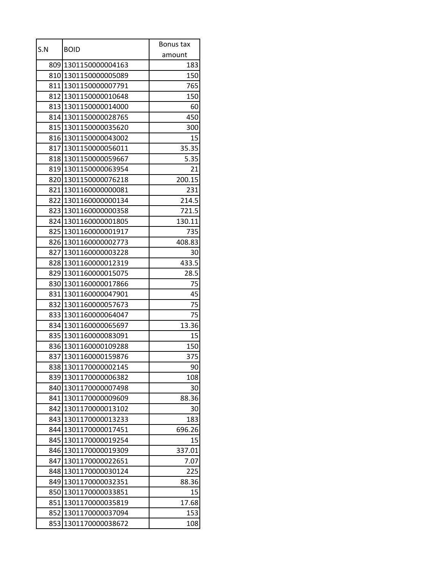| S.N | <b>BOID</b>          | Bonus tax |
|-----|----------------------|-----------|
|     |                      | amount    |
|     | 809 1301150000004163 | 183       |
|     | 810 1301150000005089 | 150       |
|     | 811 1301150000007791 | 765       |
|     | 812 1301150000010648 | 150       |
|     | 813 1301150000014000 | 60        |
|     | 814 1301150000028765 | 450       |
| 815 | 1301150000035620     | 300       |
|     | 816 1301150000043002 | 15        |
|     | 817 1301150000056011 | 35.35     |
|     | 818 1301150000059667 | 5.35      |
|     | 819 1301150000063954 | 21        |
|     | 820 1301150000076218 | 200.15    |
|     | 821 1301160000000081 | 231       |
|     | 822 1301160000000134 | 214.5     |
|     | 823 1301160000000358 | 721.5     |
|     | 824 1301160000001805 | 130.11    |
|     | 825 1301160000001917 | 735       |
|     | 826 1301160000002773 | 408.83    |
| 827 | 1301160000003228     | 30        |
|     | 828 1301160000012319 | 433.5     |
|     | 829 1301160000015075 | 28.5      |
|     | 830 1301160000017866 | 75        |
|     | 831 1301160000047901 | 45        |
| 832 | 1301160000057673     | 75        |
|     | 833 1301160000064047 | 75        |
|     | 834 1301160000065697 | 13.36     |
|     | 835 1301160000083091 | 15        |
|     | 836 1301160000109288 | 150       |
|     | 837 1301160000159876 | 375       |
| 838 | 1301170000002145     | 90        |
| 839 | 1301170000006382     | 108       |
| 840 | 1301170000007498     | 30        |
| 841 | 1301170000009609     | 88.36     |
| 842 | 1301170000013102     | 30        |
| 843 | 1301170000013233     | 183       |
| 844 | 1301170000017451     | 696.26    |
| 845 | 1301170000019254     | 15        |
| 846 | 1301170000019309     | 337.01    |
| 847 | 1301170000022651     | 7.07      |
| 848 | 1301170000030124     | 225       |
| 849 | 1301170000032351     | 88.36     |
| 850 | 1301170000033851     | 15        |
| 851 | 1301170000035819     | 17.68     |
| 852 | 1301170000037094     | 153       |
| 853 | 1301170000038672     | 108       |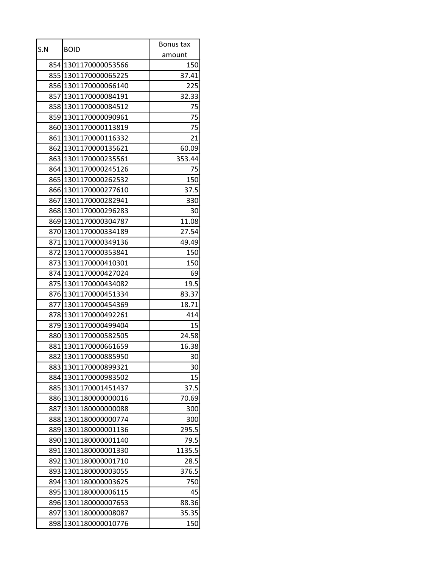| S.N  |                      | Bonus tax |
|------|----------------------|-----------|
|      | <b>BOID</b>          | amount    |
|      | 854 1301170000053566 | 150       |
|      | 855 1301170000065225 | 37.41     |
|      | 856 1301170000066140 | 225       |
|      | 857 1301170000084191 | 32.33     |
|      | 858 1301170000084512 | 75        |
|      | 859 1301170000090961 | 75        |
| 860  | 1301170000113819     | 75        |
|      | 861 1301170000116332 | 21        |
|      | 862 1301170000135621 | 60.09     |
|      | 863 1301170000235561 | 353.44    |
|      | 864 1301170000245126 | 75        |
| 865  | 1301170000262532     | 150       |
|      | 866 1301170000277610 | 37.5      |
|      | 867 1301170000282941 | 330       |
|      | 868 1301170000296283 | 30        |
|      | 869 1301170000304787 | 11.08     |
|      | 870 1301170000334189 | 27.54     |
|      | 871 1301170000349136 | 49.49     |
|      | 872 1301170000353841 | 150       |
|      | 873l1301170000410301 | 150       |
|      | 874 1301170000427024 | 69        |
|      | 875 1301170000434082 | 19.5      |
|      | 876 1301170000451334 | 83.37     |
| 877  | 1301170000454369     | 18.71     |
|      | 878 1301170000492261 | 414       |
| 8791 | 1301170000499404     | 15        |
|      | 880 1301170000582505 | 24.58     |
|      | 881 1301170000661659 | 16.38     |
|      | 882 1301170000885950 | 30        |
| 883  | 1301170000899321     | 30        |
| 884  | 1301170000983502     | 15        |
| 885  | 1301170001451437     | 37.5      |
| 886  | 1301180000000016     | 70.69     |
| 887  | 1301180000000088     | 300       |
| 888  | 1301180000000774     | 300       |
| 889  | 1301180000001136     | 295.5     |
| 890  | 1301180000001140     | 79.5      |
| 891  | 1301180000001330     | 1135.5    |
| 892  | 1301180000001710     | 28.5      |
| 893  | 1301180000003055     | 376.5     |
| 894  | 1301180000003625     | 750       |
| 895  | 1301180000006115     | 45        |
| 896  | 1301180000007653     | 88.36     |
| 897  | 1301180000008087     | 35.35     |
| 898  | 1301180000010776     | 150       |
|      |                      |           |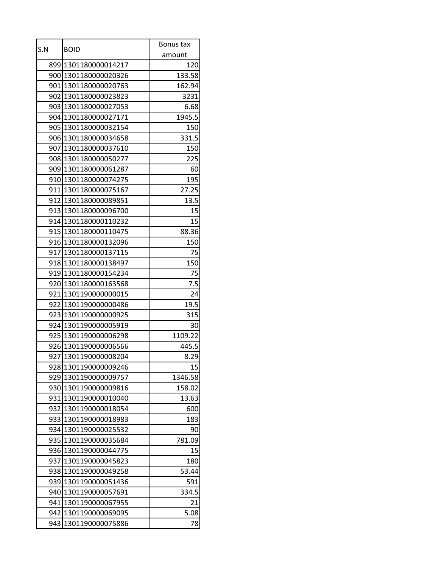| S.N |                      | Bonus tax |
|-----|----------------------|-----------|
|     | <b>BOID</b>          | amount    |
|     | 899 1301180000014217 | 120       |
|     | 900 1301180000020326 | 133.58    |
|     | 901 1301180000020763 | 162.94    |
|     | 902 1301180000023823 | 3231      |
|     | 903 1301180000027053 | 6.68      |
|     | 904 1301180000027171 | 1945.5    |
|     | 905 1301180000032154 | 150       |
|     | 906 1301180000034658 | 331.5     |
|     | 907 1301180000037610 | 150       |
|     | 908 1301180000050277 | 225       |
|     | 909 1301180000061287 | 60        |
|     | 910 1301180000074275 | 195       |
|     | 911 1301180000075167 | 27.25     |
|     | 912 1301180000089851 | 13.5      |
|     | 913 1301180000096700 | 15        |
|     | 914 1301180000110232 | 15        |
|     | 915 1301180000110475 | 88.36     |
|     | 916 1301180000132096 | 150       |
|     | 917 1301180000137115 | 75        |
|     | 918 1301180000138497 | 150       |
|     | 919 1301180000154234 | 75        |
|     | 920 1301180000163568 | 7.5       |
|     | 921 1301190000000015 | 24        |
| 922 | 1301190000000486     | 19.5      |
|     | 923 1301190000000925 | 315       |
|     | 924 1301190000005919 | 30        |
|     | 925 1301190000006298 | 1109.22   |
|     | 926 1301190000006566 | 445.5     |
|     | 927 1301190000008204 | 8.29      |
| 928 | 1301190000009246     | 15        |
| 929 | 1301190000009757     | 1346.58   |
|     | 930 1301190000009816 | 158.02    |
| 931 | 1301190000010040     | 13.63     |
| 932 | 1301190000018054     | 600       |
| 933 | 1301190000018983     | 183       |
| 934 | 1301190000025532     | 90        |
| 935 | 1301190000035684     | 781.09    |
| 936 | 1301190000044775     | 15        |
| 937 | 1301190000045823     | 180       |
| 938 | 1301190000049258     | 53.44     |
| 939 | 1301190000051436     | 591       |
| 940 | 1301190000057691     | 334.5     |
| 941 | 1301190000067955     | 21        |
| 942 | 1301190000069095     | 5.08      |
| 943 | 1301190000075886     | 78        |
|     |                      |           |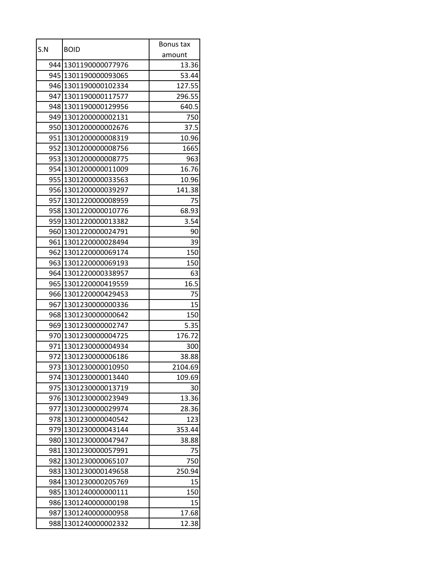| S.N | <b>BOID</b>          | Bonus tax |
|-----|----------------------|-----------|
|     |                      | amount    |
|     | 944 1301190000077976 | 13.36     |
|     | 945 1301190000093065 | 53.44     |
|     | 946 1301190000102334 | 127.55    |
|     | 947 1301190000117577 | 296.55    |
|     | 948 1301190000129956 | 640.5     |
|     | 949 1301200000002131 | 750       |
|     | 950 1301200000002676 | 37.5      |
|     | 951 1301200000008319 | 10.96     |
|     | 952 1301200000008756 | 1665      |
|     | 953 1301200000008775 | 963       |
|     | 954 1301200000011009 | 16.76     |
|     | 955 1301200000033563 | 10.96     |
|     | 956 1301200000039297 | 141.38    |
|     | 957 1301220000008959 | 75        |
|     | 958 1301220000010776 | 68.93     |
|     | 959 1301220000013382 | 3.54      |
|     | 960 1301220000024791 | 90        |
|     | 961 1301220000028494 | 39        |
|     | 962 1301220000069174 | 150       |
|     | 963 1301220000069193 | 150       |
|     | 964 1301220000338957 | 63        |
|     | 965 1301220000419559 | 16.5      |
|     | 966 1301220000429453 | 75        |
| 967 | 1301230000000336     | 15        |
|     | 968 1301230000000642 | 150       |
|     | 969 1301230000002747 | 5.35      |
|     | 970 1301230000004725 | 176.72    |
|     | 971 1301230000004934 | 300       |
|     | 972 1301230000006186 | 38.88     |
|     | 973 1301230000010950 | 2104.69   |
| 974 | 1301230000013440     | 109.69    |
|     | 975 1301230000013719 | 30        |
| 976 | 1301230000023949     | 13.36     |
| 977 | 1301230000029974     | 28.36     |
|     | 978 1301230000040542 | 123       |
| 979 | 1301230000043144     | 353.44    |
|     | 980 1301230000047947 | 38.88     |
| 981 | 1301230000057991     | 75        |
| 982 | 1301230000065107     | 750       |
| 983 | 1301230000149658     | 250.94    |
| 984 | 1301230000205769     | 15        |
|     | 985 1301240000000111 | 150       |
| 986 | 1301240000000198     | 15        |
|     | 987 1301240000000958 | 17.68     |
| 988 | 1301240000002332     | 12.38     |
|     |                      |           |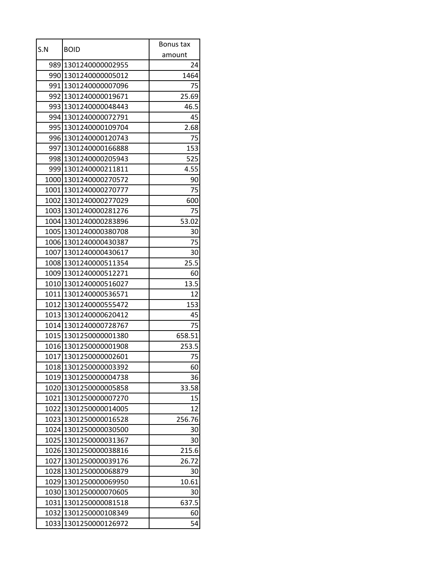| amount<br>989 1301240000002955<br>24<br>990 1301240000005012<br>1464<br>991 1301240000007096<br>75<br>992 1301240000019671<br>25.69<br>993 1301240000048443<br>46.5<br>994 1301240000072791<br>45<br>995 1301240000109704<br>2.68<br>75<br>996 1301240000120743<br>153<br>997 1301240000166888<br>998 1301240000205943<br>525<br>999 1301240000211811<br>4.55<br>1000 1301240000270572<br>90<br>1001 1301240000270777<br>75<br>1002 1301240000277029<br>600<br>1003 1301240000281276<br>75<br>1004 1301240000283896<br>53.02<br>1005 1301240000380708<br>30<br>75<br>1006 1301240000430387<br>1007 1301240000430617<br>30<br>1008 1301240000511354<br>25.5<br>1009 1301240000512271<br>60<br>13.5<br>1010 1301240000516027<br>1011 1301240000536571<br>12<br>153<br>1012 1301240000555472<br>1013 1301240000620412<br>45<br>1014 1301240000728767<br>75<br>1015 1301250000001380<br>658.51<br>1016 1301250000001908<br>253.5<br>75<br>1017 1301250000002601<br>1018 1301250000003392<br>60<br>1019<br>1301250000004738<br>36<br>1020 1301250000005858<br>33.58<br>1021 1301250000007270<br>15<br>1022 1301250000014005<br>12<br>1023 1301250000016528<br>256.76<br>1024 1301250000030500<br>30<br>1025 1301250000031367<br>30<br>215.6<br>1026<br>1301250000038816<br>1301250000039176<br>1027<br>26.72<br>1028 1301250000068879<br>30<br>1029 1301250000069950<br>10.61<br>1030 1301250000070605<br>30<br>637.5<br>1031<br>1301250000081518<br>1032 1301250000108349 | S.N | <b>BOID</b> | Bonus tax |
|-----------------------------------------------------------------------------------------------------------------------------------------------------------------------------------------------------------------------------------------------------------------------------------------------------------------------------------------------------------------------------------------------------------------------------------------------------------------------------------------------------------------------------------------------------------------------------------------------------------------------------------------------------------------------------------------------------------------------------------------------------------------------------------------------------------------------------------------------------------------------------------------------------------------------------------------------------------------------------------------------------------------------------------------------------------------------------------------------------------------------------------------------------------------------------------------------------------------------------------------------------------------------------------------------------------------------------------------------------------------------------------------------------------------------------------------------------------------------|-----|-------------|-----------|
|                                                                                                                                                                                                                                                                                                                                                                                                                                                                                                                                                                                                                                                                                                                                                                                                                                                                                                                                                                                                                                                                                                                                                                                                                                                                                                                                                                                                                                                                       |     |             |           |
|                                                                                                                                                                                                                                                                                                                                                                                                                                                                                                                                                                                                                                                                                                                                                                                                                                                                                                                                                                                                                                                                                                                                                                                                                                                                                                                                                                                                                                                                       |     |             |           |
|                                                                                                                                                                                                                                                                                                                                                                                                                                                                                                                                                                                                                                                                                                                                                                                                                                                                                                                                                                                                                                                                                                                                                                                                                                                                                                                                                                                                                                                                       |     |             |           |
|                                                                                                                                                                                                                                                                                                                                                                                                                                                                                                                                                                                                                                                                                                                                                                                                                                                                                                                                                                                                                                                                                                                                                                                                                                                                                                                                                                                                                                                                       |     |             |           |
|                                                                                                                                                                                                                                                                                                                                                                                                                                                                                                                                                                                                                                                                                                                                                                                                                                                                                                                                                                                                                                                                                                                                                                                                                                                                                                                                                                                                                                                                       |     |             |           |
|                                                                                                                                                                                                                                                                                                                                                                                                                                                                                                                                                                                                                                                                                                                                                                                                                                                                                                                                                                                                                                                                                                                                                                                                                                                                                                                                                                                                                                                                       |     |             |           |
|                                                                                                                                                                                                                                                                                                                                                                                                                                                                                                                                                                                                                                                                                                                                                                                                                                                                                                                                                                                                                                                                                                                                                                                                                                                                                                                                                                                                                                                                       |     |             |           |
|                                                                                                                                                                                                                                                                                                                                                                                                                                                                                                                                                                                                                                                                                                                                                                                                                                                                                                                                                                                                                                                                                                                                                                                                                                                                                                                                                                                                                                                                       |     |             |           |
|                                                                                                                                                                                                                                                                                                                                                                                                                                                                                                                                                                                                                                                                                                                                                                                                                                                                                                                                                                                                                                                                                                                                                                                                                                                                                                                                                                                                                                                                       |     |             |           |
|                                                                                                                                                                                                                                                                                                                                                                                                                                                                                                                                                                                                                                                                                                                                                                                                                                                                                                                                                                                                                                                                                                                                                                                                                                                                                                                                                                                                                                                                       |     |             |           |
|                                                                                                                                                                                                                                                                                                                                                                                                                                                                                                                                                                                                                                                                                                                                                                                                                                                                                                                                                                                                                                                                                                                                                                                                                                                                                                                                                                                                                                                                       |     |             |           |
|                                                                                                                                                                                                                                                                                                                                                                                                                                                                                                                                                                                                                                                                                                                                                                                                                                                                                                                                                                                                                                                                                                                                                                                                                                                                                                                                                                                                                                                                       |     |             |           |
|                                                                                                                                                                                                                                                                                                                                                                                                                                                                                                                                                                                                                                                                                                                                                                                                                                                                                                                                                                                                                                                                                                                                                                                                                                                                                                                                                                                                                                                                       |     |             |           |
|                                                                                                                                                                                                                                                                                                                                                                                                                                                                                                                                                                                                                                                                                                                                                                                                                                                                                                                                                                                                                                                                                                                                                                                                                                                                                                                                                                                                                                                                       |     |             |           |
|                                                                                                                                                                                                                                                                                                                                                                                                                                                                                                                                                                                                                                                                                                                                                                                                                                                                                                                                                                                                                                                                                                                                                                                                                                                                                                                                                                                                                                                                       |     |             |           |
|                                                                                                                                                                                                                                                                                                                                                                                                                                                                                                                                                                                                                                                                                                                                                                                                                                                                                                                                                                                                                                                                                                                                                                                                                                                                                                                                                                                                                                                                       |     |             |           |
|                                                                                                                                                                                                                                                                                                                                                                                                                                                                                                                                                                                                                                                                                                                                                                                                                                                                                                                                                                                                                                                                                                                                                                                                                                                                                                                                                                                                                                                                       |     |             |           |
|                                                                                                                                                                                                                                                                                                                                                                                                                                                                                                                                                                                                                                                                                                                                                                                                                                                                                                                                                                                                                                                                                                                                                                                                                                                                                                                                                                                                                                                                       |     |             |           |
|                                                                                                                                                                                                                                                                                                                                                                                                                                                                                                                                                                                                                                                                                                                                                                                                                                                                                                                                                                                                                                                                                                                                                                                                                                                                                                                                                                                                                                                                       |     |             |           |
|                                                                                                                                                                                                                                                                                                                                                                                                                                                                                                                                                                                                                                                                                                                                                                                                                                                                                                                                                                                                                                                                                                                                                                                                                                                                                                                                                                                                                                                                       |     |             |           |
|                                                                                                                                                                                                                                                                                                                                                                                                                                                                                                                                                                                                                                                                                                                                                                                                                                                                                                                                                                                                                                                                                                                                                                                                                                                                                                                                                                                                                                                                       |     |             |           |
|                                                                                                                                                                                                                                                                                                                                                                                                                                                                                                                                                                                                                                                                                                                                                                                                                                                                                                                                                                                                                                                                                                                                                                                                                                                                                                                                                                                                                                                                       |     |             |           |
|                                                                                                                                                                                                                                                                                                                                                                                                                                                                                                                                                                                                                                                                                                                                                                                                                                                                                                                                                                                                                                                                                                                                                                                                                                                                                                                                                                                                                                                                       |     |             |           |
|                                                                                                                                                                                                                                                                                                                                                                                                                                                                                                                                                                                                                                                                                                                                                                                                                                                                                                                                                                                                                                                                                                                                                                                                                                                                                                                                                                                                                                                                       |     |             |           |
|                                                                                                                                                                                                                                                                                                                                                                                                                                                                                                                                                                                                                                                                                                                                                                                                                                                                                                                                                                                                                                                                                                                                                                                                                                                                                                                                                                                                                                                                       |     |             |           |
|                                                                                                                                                                                                                                                                                                                                                                                                                                                                                                                                                                                                                                                                                                                                                                                                                                                                                                                                                                                                                                                                                                                                                                                                                                                                                                                                                                                                                                                                       |     |             |           |
|                                                                                                                                                                                                                                                                                                                                                                                                                                                                                                                                                                                                                                                                                                                                                                                                                                                                                                                                                                                                                                                                                                                                                                                                                                                                                                                                                                                                                                                                       |     |             |           |
|                                                                                                                                                                                                                                                                                                                                                                                                                                                                                                                                                                                                                                                                                                                                                                                                                                                                                                                                                                                                                                                                                                                                                                                                                                                                                                                                                                                                                                                                       |     |             |           |
|                                                                                                                                                                                                                                                                                                                                                                                                                                                                                                                                                                                                                                                                                                                                                                                                                                                                                                                                                                                                                                                                                                                                                                                                                                                                                                                                                                                                                                                                       |     |             |           |
|                                                                                                                                                                                                                                                                                                                                                                                                                                                                                                                                                                                                                                                                                                                                                                                                                                                                                                                                                                                                                                                                                                                                                                                                                                                                                                                                                                                                                                                                       |     |             |           |
|                                                                                                                                                                                                                                                                                                                                                                                                                                                                                                                                                                                                                                                                                                                                                                                                                                                                                                                                                                                                                                                                                                                                                                                                                                                                                                                                                                                                                                                                       |     |             |           |
|                                                                                                                                                                                                                                                                                                                                                                                                                                                                                                                                                                                                                                                                                                                                                                                                                                                                                                                                                                                                                                                                                                                                                                                                                                                                                                                                                                                                                                                                       |     |             |           |
|                                                                                                                                                                                                                                                                                                                                                                                                                                                                                                                                                                                                                                                                                                                                                                                                                                                                                                                                                                                                                                                                                                                                                                                                                                                                                                                                                                                                                                                                       |     |             |           |
|                                                                                                                                                                                                                                                                                                                                                                                                                                                                                                                                                                                                                                                                                                                                                                                                                                                                                                                                                                                                                                                                                                                                                                                                                                                                                                                                                                                                                                                                       |     |             |           |
|                                                                                                                                                                                                                                                                                                                                                                                                                                                                                                                                                                                                                                                                                                                                                                                                                                                                                                                                                                                                                                                                                                                                                                                                                                                                                                                                                                                                                                                                       |     |             |           |
|                                                                                                                                                                                                                                                                                                                                                                                                                                                                                                                                                                                                                                                                                                                                                                                                                                                                                                                                                                                                                                                                                                                                                                                                                                                                                                                                                                                                                                                                       |     |             |           |
|                                                                                                                                                                                                                                                                                                                                                                                                                                                                                                                                                                                                                                                                                                                                                                                                                                                                                                                                                                                                                                                                                                                                                                                                                                                                                                                                                                                                                                                                       |     |             |           |
|                                                                                                                                                                                                                                                                                                                                                                                                                                                                                                                                                                                                                                                                                                                                                                                                                                                                                                                                                                                                                                                                                                                                                                                                                                                                                                                                                                                                                                                                       |     |             |           |
|                                                                                                                                                                                                                                                                                                                                                                                                                                                                                                                                                                                                                                                                                                                                                                                                                                                                                                                                                                                                                                                                                                                                                                                                                                                                                                                                                                                                                                                                       |     |             |           |
|                                                                                                                                                                                                                                                                                                                                                                                                                                                                                                                                                                                                                                                                                                                                                                                                                                                                                                                                                                                                                                                                                                                                                                                                                                                                                                                                                                                                                                                                       |     |             |           |
|                                                                                                                                                                                                                                                                                                                                                                                                                                                                                                                                                                                                                                                                                                                                                                                                                                                                                                                                                                                                                                                                                                                                                                                                                                                                                                                                                                                                                                                                       |     |             |           |
|                                                                                                                                                                                                                                                                                                                                                                                                                                                                                                                                                                                                                                                                                                                                                                                                                                                                                                                                                                                                                                                                                                                                                                                                                                                                                                                                                                                                                                                                       |     |             |           |
|                                                                                                                                                                                                                                                                                                                                                                                                                                                                                                                                                                                                                                                                                                                                                                                                                                                                                                                                                                                                                                                                                                                                                                                                                                                                                                                                                                                                                                                                       |     |             |           |
|                                                                                                                                                                                                                                                                                                                                                                                                                                                                                                                                                                                                                                                                                                                                                                                                                                                                                                                                                                                                                                                                                                                                                                                                                                                                                                                                                                                                                                                                       |     |             |           |
|                                                                                                                                                                                                                                                                                                                                                                                                                                                                                                                                                                                                                                                                                                                                                                                                                                                                                                                                                                                                                                                                                                                                                                                                                                                                                                                                                                                                                                                                       |     |             | 60        |
| 54<br>1033<br>1301250000126972                                                                                                                                                                                                                                                                                                                                                                                                                                                                                                                                                                                                                                                                                                                                                                                                                                                                                                                                                                                                                                                                                                                                                                                                                                                                                                                                                                                                                                        |     |             |           |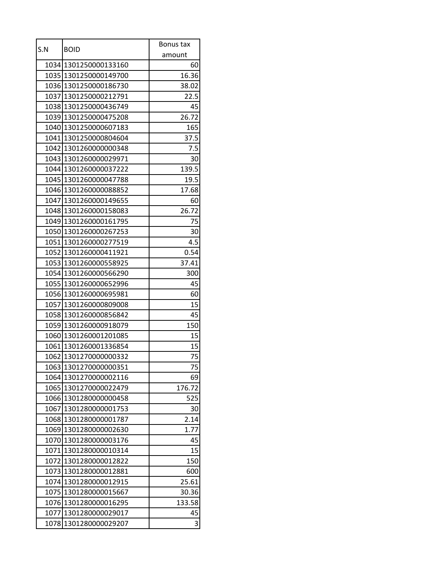| amount<br>1034 1301250000133160<br>60<br>16.36<br>1035 1301250000149700<br>1036 1301250000186730<br>38.02<br>1037 1301250000212791<br>22.5<br>1038 1301250000436749<br>45<br>1039 1301250000475208<br>26.72<br>1040 1301250000607183<br>165<br>1041 1301250000804604<br>37.5<br>1042 1301260000000348<br>7.5<br>1043 1301260000029971<br>30<br>1044 1301260000037222<br>139.5<br>1045 1301260000047788<br>19.5<br>1046 1301260000088852<br>17.68<br>1047 1301260000149655<br>60<br>1048 1301260000158083<br>26.72<br>1049 1301260000161795<br>75<br>1050 1301260000267253<br>30<br>1051 1301260000277519<br>4.5<br>1052 1301260000411921<br>0.54<br>1053 1301260000558925<br>37.41<br>1054 1301260000566290<br>300<br>45<br>1055 1301260000652996<br>1056 1301260000695981<br>60<br>1301260000809008<br>15<br>1057<br>45<br>1058 1301260000856842<br>1059 1301260000918079<br>150<br>1060 1301260001201085<br>15<br>1061 1301260001336854<br>15<br>75<br>1062 1301270000000332<br>1063 1301270000000351<br>75<br>1301270000002116<br>69<br>1064<br>1065 1301270000022479<br>176.72<br>1301280000000458<br>1066<br>525<br>1067<br>1301280000001753<br>30<br>1068 1301280000001787<br>2.14<br>1069<br>1301280000002630<br>1.77<br>1070 1301280000003176<br>45<br>15<br>1071<br>1301280000010314<br>1301280000012822<br>150<br>1072<br>1073 1301280000012881<br>600<br>1074 1301280000012915<br>25.61<br>1075 1301280000015667<br>30.36<br>1301280000016295<br>1076<br>133.58<br>1077 1301280000029017<br>45<br>3 | S.N  | <b>BOID</b>      | Bonus tax |
|----------------------------------------------------------------------------------------------------------------------------------------------------------------------------------------------------------------------------------------------------------------------------------------------------------------------------------------------------------------------------------------------------------------------------------------------------------------------------------------------------------------------------------------------------------------------------------------------------------------------------------------------------------------------------------------------------------------------------------------------------------------------------------------------------------------------------------------------------------------------------------------------------------------------------------------------------------------------------------------------------------------------------------------------------------------------------------------------------------------------------------------------------------------------------------------------------------------------------------------------------------------------------------------------------------------------------------------------------------------------------------------------------------------------------------------------------------------------------------------------------------------|------|------------------|-----------|
|                                                                                                                                                                                                                                                                                                                                                                                                                                                                                                                                                                                                                                                                                                                                                                                                                                                                                                                                                                                                                                                                                                                                                                                                                                                                                                                                                                                                                                                                                                                |      |                  |           |
|                                                                                                                                                                                                                                                                                                                                                                                                                                                                                                                                                                                                                                                                                                                                                                                                                                                                                                                                                                                                                                                                                                                                                                                                                                                                                                                                                                                                                                                                                                                |      |                  |           |
|                                                                                                                                                                                                                                                                                                                                                                                                                                                                                                                                                                                                                                                                                                                                                                                                                                                                                                                                                                                                                                                                                                                                                                                                                                                                                                                                                                                                                                                                                                                |      |                  |           |
|                                                                                                                                                                                                                                                                                                                                                                                                                                                                                                                                                                                                                                                                                                                                                                                                                                                                                                                                                                                                                                                                                                                                                                                                                                                                                                                                                                                                                                                                                                                |      |                  |           |
|                                                                                                                                                                                                                                                                                                                                                                                                                                                                                                                                                                                                                                                                                                                                                                                                                                                                                                                                                                                                                                                                                                                                                                                                                                                                                                                                                                                                                                                                                                                |      |                  |           |
|                                                                                                                                                                                                                                                                                                                                                                                                                                                                                                                                                                                                                                                                                                                                                                                                                                                                                                                                                                                                                                                                                                                                                                                                                                                                                                                                                                                                                                                                                                                |      |                  |           |
|                                                                                                                                                                                                                                                                                                                                                                                                                                                                                                                                                                                                                                                                                                                                                                                                                                                                                                                                                                                                                                                                                                                                                                                                                                                                                                                                                                                                                                                                                                                |      |                  |           |
|                                                                                                                                                                                                                                                                                                                                                                                                                                                                                                                                                                                                                                                                                                                                                                                                                                                                                                                                                                                                                                                                                                                                                                                                                                                                                                                                                                                                                                                                                                                |      |                  |           |
|                                                                                                                                                                                                                                                                                                                                                                                                                                                                                                                                                                                                                                                                                                                                                                                                                                                                                                                                                                                                                                                                                                                                                                                                                                                                                                                                                                                                                                                                                                                |      |                  |           |
|                                                                                                                                                                                                                                                                                                                                                                                                                                                                                                                                                                                                                                                                                                                                                                                                                                                                                                                                                                                                                                                                                                                                                                                                                                                                                                                                                                                                                                                                                                                |      |                  |           |
|                                                                                                                                                                                                                                                                                                                                                                                                                                                                                                                                                                                                                                                                                                                                                                                                                                                                                                                                                                                                                                                                                                                                                                                                                                                                                                                                                                                                                                                                                                                |      |                  |           |
|                                                                                                                                                                                                                                                                                                                                                                                                                                                                                                                                                                                                                                                                                                                                                                                                                                                                                                                                                                                                                                                                                                                                                                                                                                                                                                                                                                                                                                                                                                                |      |                  |           |
|                                                                                                                                                                                                                                                                                                                                                                                                                                                                                                                                                                                                                                                                                                                                                                                                                                                                                                                                                                                                                                                                                                                                                                                                                                                                                                                                                                                                                                                                                                                |      |                  |           |
|                                                                                                                                                                                                                                                                                                                                                                                                                                                                                                                                                                                                                                                                                                                                                                                                                                                                                                                                                                                                                                                                                                                                                                                                                                                                                                                                                                                                                                                                                                                |      |                  |           |
|                                                                                                                                                                                                                                                                                                                                                                                                                                                                                                                                                                                                                                                                                                                                                                                                                                                                                                                                                                                                                                                                                                                                                                                                                                                                                                                                                                                                                                                                                                                |      |                  |           |
|                                                                                                                                                                                                                                                                                                                                                                                                                                                                                                                                                                                                                                                                                                                                                                                                                                                                                                                                                                                                                                                                                                                                                                                                                                                                                                                                                                                                                                                                                                                |      |                  |           |
|                                                                                                                                                                                                                                                                                                                                                                                                                                                                                                                                                                                                                                                                                                                                                                                                                                                                                                                                                                                                                                                                                                                                                                                                                                                                                                                                                                                                                                                                                                                |      |                  |           |
|                                                                                                                                                                                                                                                                                                                                                                                                                                                                                                                                                                                                                                                                                                                                                                                                                                                                                                                                                                                                                                                                                                                                                                                                                                                                                                                                                                                                                                                                                                                |      |                  |           |
|                                                                                                                                                                                                                                                                                                                                                                                                                                                                                                                                                                                                                                                                                                                                                                                                                                                                                                                                                                                                                                                                                                                                                                                                                                                                                                                                                                                                                                                                                                                |      |                  |           |
|                                                                                                                                                                                                                                                                                                                                                                                                                                                                                                                                                                                                                                                                                                                                                                                                                                                                                                                                                                                                                                                                                                                                                                                                                                                                                                                                                                                                                                                                                                                |      |                  |           |
|                                                                                                                                                                                                                                                                                                                                                                                                                                                                                                                                                                                                                                                                                                                                                                                                                                                                                                                                                                                                                                                                                                                                                                                                                                                                                                                                                                                                                                                                                                                |      |                  |           |
|                                                                                                                                                                                                                                                                                                                                                                                                                                                                                                                                                                                                                                                                                                                                                                                                                                                                                                                                                                                                                                                                                                                                                                                                                                                                                                                                                                                                                                                                                                                |      |                  |           |
|                                                                                                                                                                                                                                                                                                                                                                                                                                                                                                                                                                                                                                                                                                                                                                                                                                                                                                                                                                                                                                                                                                                                                                                                                                                                                                                                                                                                                                                                                                                |      |                  |           |
|                                                                                                                                                                                                                                                                                                                                                                                                                                                                                                                                                                                                                                                                                                                                                                                                                                                                                                                                                                                                                                                                                                                                                                                                                                                                                                                                                                                                                                                                                                                |      |                  |           |
|                                                                                                                                                                                                                                                                                                                                                                                                                                                                                                                                                                                                                                                                                                                                                                                                                                                                                                                                                                                                                                                                                                                                                                                                                                                                                                                                                                                                                                                                                                                |      |                  |           |
|                                                                                                                                                                                                                                                                                                                                                                                                                                                                                                                                                                                                                                                                                                                                                                                                                                                                                                                                                                                                                                                                                                                                                                                                                                                                                                                                                                                                                                                                                                                |      |                  |           |
|                                                                                                                                                                                                                                                                                                                                                                                                                                                                                                                                                                                                                                                                                                                                                                                                                                                                                                                                                                                                                                                                                                                                                                                                                                                                                                                                                                                                                                                                                                                |      |                  |           |
|                                                                                                                                                                                                                                                                                                                                                                                                                                                                                                                                                                                                                                                                                                                                                                                                                                                                                                                                                                                                                                                                                                                                                                                                                                                                                                                                                                                                                                                                                                                |      |                  |           |
|                                                                                                                                                                                                                                                                                                                                                                                                                                                                                                                                                                                                                                                                                                                                                                                                                                                                                                                                                                                                                                                                                                                                                                                                                                                                                                                                                                                                                                                                                                                |      |                  |           |
|                                                                                                                                                                                                                                                                                                                                                                                                                                                                                                                                                                                                                                                                                                                                                                                                                                                                                                                                                                                                                                                                                                                                                                                                                                                                                                                                                                                                                                                                                                                |      |                  |           |
|                                                                                                                                                                                                                                                                                                                                                                                                                                                                                                                                                                                                                                                                                                                                                                                                                                                                                                                                                                                                                                                                                                                                                                                                                                                                                                                                                                                                                                                                                                                |      |                  |           |
|                                                                                                                                                                                                                                                                                                                                                                                                                                                                                                                                                                                                                                                                                                                                                                                                                                                                                                                                                                                                                                                                                                                                                                                                                                                                                                                                                                                                                                                                                                                |      |                  |           |
|                                                                                                                                                                                                                                                                                                                                                                                                                                                                                                                                                                                                                                                                                                                                                                                                                                                                                                                                                                                                                                                                                                                                                                                                                                                                                                                                                                                                                                                                                                                |      |                  |           |
|                                                                                                                                                                                                                                                                                                                                                                                                                                                                                                                                                                                                                                                                                                                                                                                                                                                                                                                                                                                                                                                                                                                                                                                                                                                                                                                                                                                                                                                                                                                |      |                  |           |
|                                                                                                                                                                                                                                                                                                                                                                                                                                                                                                                                                                                                                                                                                                                                                                                                                                                                                                                                                                                                                                                                                                                                                                                                                                                                                                                                                                                                                                                                                                                |      |                  |           |
|                                                                                                                                                                                                                                                                                                                                                                                                                                                                                                                                                                                                                                                                                                                                                                                                                                                                                                                                                                                                                                                                                                                                                                                                                                                                                                                                                                                                                                                                                                                |      |                  |           |
|                                                                                                                                                                                                                                                                                                                                                                                                                                                                                                                                                                                                                                                                                                                                                                                                                                                                                                                                                                                                                                                                                                                                                                                                                                                                                                                                                                                                                                                                                                                |      |                  |           |
|                                                                                                                                                                                                                                                                                                                                                                                                                                                                                                                                                                                                                                                                                                                                                                                                                                                                                                                                                                                                                                                                                                                                                                                                                                                                                                                                                                                                                                                                                                                |      |                  |           |
|                                                                                                                                                                                                                                                                                                                                                                                                                                                                                                                                                                                                                                                                                                                                                                                                                                                                                                                                                                                                                                                                                                                                                                                                                                                                                                                                                                                                                                                                                                                |      |                  |           |
|                                                                                                                                                                                                                                                                                                                                                                                                                                                                                                                                                                                                                                                                                                                                                                                                                                                                                                                                                                                                                                                                                                                                                                                                                                                                                                                                                                                                                                                                                                                |      |                  |           |
|                                                                                                                                                                                                                                                                                                                                                                                                                                                                                                                                                                                                                                                                                                                                                                                                                                                                                                                                                                                                                                                                                                                                                                                                                                                                                                                                                                                                                                                                                                                |      |                  |           |
|                                                                                                                                                                                                                                                                                                                                                                                                                                                                                                                                                                                                                                                                                                                                                                                                                                                                                                                                                                                                                                                                                                                                                                                                                                                                                                                                                                                                                                                                                                                |      |                  |           |
|                                                                                                                                                                                                                                                                                                                                                                                                                                                                                                                                                                                                                                                                                                                                                                                                                                                                                                                                                                                                                                                                                                                                                                                                                                                                                                                                                                                                                                                                                                                |      |                  |           |
|                                                                                                                                                                                                                                                                                                                                                                                                                                                                                                                                                                                                                                                                                                                                                                                                                                                                                                                                                                                                                                                                                                                                                                                                                                                                                                                                                                                                                                                                                                                |      |                  |           |
|                                                                                                                                                                                                                                                                                                                                                                                                                                                                                                                                                                                                                                                                                                                                                                                                                                                                                                                                                                                                                                                                                                                                                                                                                                                                                                                                                                                                                                                                                                                |      |                  |           |
|                                                                                                                                                                                                                                                                                                                                                                                                                                                                                                                                                                                                                                                                                                                                                                                                                                                                                                                                                                                                                                                                                                                                                                                                                                                                                                                                                                                                                                                                                                                | 1078 | 1301280000029207 |           |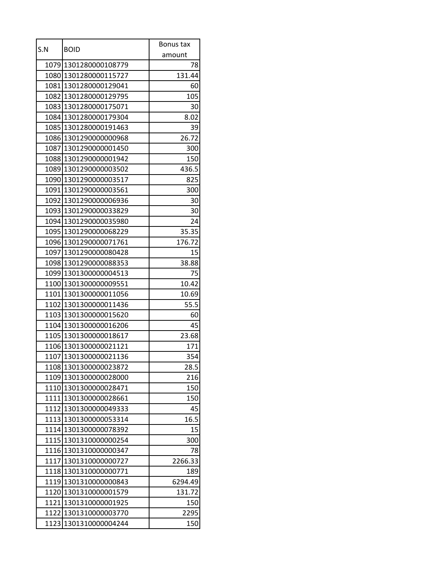| S.N  | <b>BOID</b>           | Bonus tax |
|------|-----------------------|-----------|
|      |                       | amount    |
|      | 1079 1301280000108779 | 78        |
|      | 1080 1301280000115727 | 131.44    |
|      | 1081 1301280000129041 | 60        |
|      | 1082 1301280000129795 | 105       |
|      | 1083 1301280000175071 | 30        |
|      | 1084 1301280000179304 | 8.02      |
|      | 1085 1301280000191463 | 39        |
|      | 1086 1301290000000968 | 26.72     |
|      | 1087 1301290000001450 | 300       |
|      | 1088 1301290000001942 | 150       |
|      | 1089 1301290000003502 | 436.5     |
|      | 1090 1301290000003517 | 825       |
|      | 1091 1301290000003561 | 300       |
|      | 1092 1301290000006936 | 30        |
|      | 1093 1301290000033829 | 30        |
|      | 1094 1301290000035980 | 24        |
|      | 1095 1301290000068229 | 35.35     |
|      | 1096 1301290000071761 | 176.72    |
|      | 1097 1301290000080428 | 15        |
|      | 1098 1301290000088353 | 38.88     |
|      | 1099 1301300000004513 | 75        |
|      | 1100 1301300000009551 | 10.42     |
|      | 1101 1301300000011056 | 10.69     |
|      | 1102 1301300000011436 | 55.5      |
|      | 1103 1301300000015620 | 60        |
|      | 1104 1301300000016206 | 45        |
|      | 1105 1301300000018617 | 23.68     |
|      | 1106 1301300000021121 | 171       |
|      | 1107 1301300000021136 | 354       |
|      | 1108 1301300000023872 | 28.5      |
|      | 1109 1301300000028000 | 216       |
|      | 1110 1301300000028471 | 150       |
|      | 1111 1301300000028661 | 150       |
|      | 1112 1301300000049333 | 45        |
|      | 1113 1301300000053314 | 16.5      |
|      | 1114 1301300000078392 | 15        |
|      | 1115 1301310000000254 | 300       |
| 1116 | 1301310000000347      | 78        |
|      | 1117 1301310000000727 | 2266.33   |
|      | 1118 1301310000000771 | 189       |
|      | 1119 1301310000000843 | 6294.49   |
|      | 1120 1301310000001579 | 131.72    |
|      | 1121 1301310000001925 | 150       |
|      | 1122 1301310000003770 | 2295      |
| 1123 | 1301310000004244      | 150       |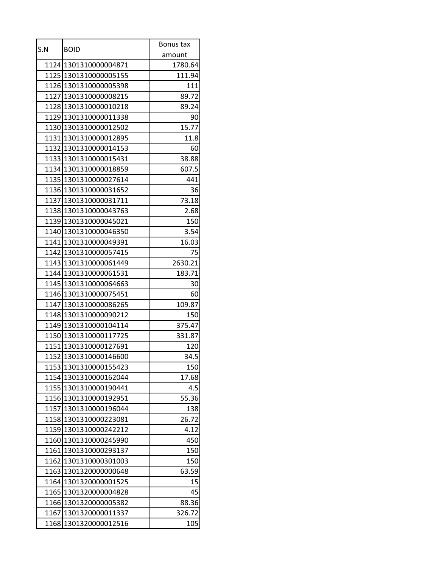| S.N  | <b>BOID</b>           | Bonus tax |
|------|-----------------------|-----------|
|      |                       | amount    |
|      | 1124 1301310000004871 | 1780.64   |
|      | 1125 1301310000005155 | 111.94    |
|      | 1126 1301310000005398 | 111       |
|      | 1127 1301310000008215 | 89.72     |
|      | 1128 1301310000010218 | 89.24     |
|      | 1129 1301310000011338 | 90        |
|      | 1130 1301310000012502 | 15.77     |
|      | 1131 1301310000012895 | 11.8      |
|      | 1132 1301310000014153 | 60        |
|      | 1133 1301310000015431 | 38.88     |
|      | 1134 1301310000018859 | 607.5     |
|      | 1135 1301310000027614 | 441       |
|      | 1136 1301310000031652 | 36        |
|      | 1137 1301310000031711 | 73.18     |
|      | 1138 1301310000043763 | 2.68      |
|      | 1139 1301310000045021 | 150       |
|      | 1140 1301310000046350 | 3.54      |
|      | 1141 1301310000049391 | 16.03     |
|      | 1142 1301310000057415 | 75        |
|      | 1143 1301310000061449 | 2630.21   |
|      | 1144 1301310000061531 | 183.71    |
|      | 1145 1301310000064663 | 30        |
|      | 1146 1301310000075451 | 60        |
|      | 1147 1301310000086265 | 109.87    |
|      | 1148 1301310000090212 | 150       |
|      | 1149 1301310000104114 | 375.47    |
|      | 1150 1301310000117725 | 331.87    |
|      | 1151 1301310000127691 | 120       |
|      | 1152 1301310000146600 | 34.5      |
|      | 1153 1301310000155423 | 150       |
|      | 1154 1301310000162044 | 17.68     |
|      | 1155 1301310000190441 | 4.5       |
| 1156 | 1301310000192951      | 55.36     |
|      | 1157 1301310000196044 | 138       |
|      | 1158 1301310000223081 | 26.72     |
|      | 1159 1301310000242212 | 4.12      |
|      | 1160 1301310000245990 | 450       |
|      | 1161 1301310000293137 | 150       |
|      | 1162 1301310000301003 | 150       |
| 1163 | 1301320000000648      | 63.59     |
|      | 1164 1301320000001525 | 15        |
|      | 1165 1301320000004828 | 45        |
| 1166 | 1301320000005382      | 88.36     |
|      | 1167 1301320000011337 | 326.72    |
| 1168 | 1301320000012516      | 105       |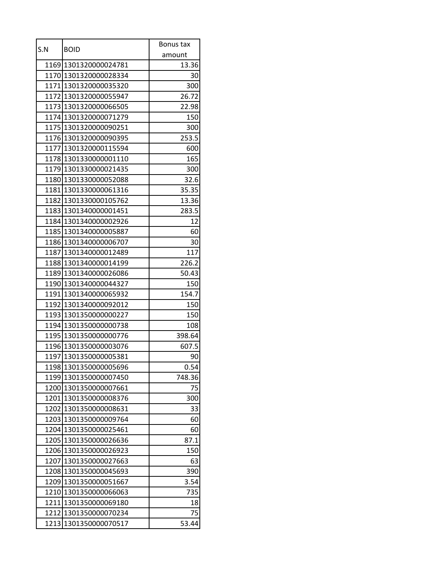| S.N  | <b>BOID</b>           | Bonus tax |
|------|-----------------------|-----------|
|      |                       | amount    |
|      | 1169 1301320000024781 | 13.36     |
|      | 1170 1301320000028334 | 30        |
|      | 1171 1301320000035320 | 300       |
|      | 1172 1301320000055947 | 26.72     |
|      | 1173 1301320000066505 | 22.98     |
|      | 1174 1301320000071279 | 150       |
|      | 1175 1301320000090251 | 300       |
|      | 1176 1301320000090395 | 253.5     |
|      | 1177 1301320000115594 | 600       |
|      | 1178 1301330000001110 | 165       |
|      | 1179 1301330000021435 | 300       |
|      | 1180 1301330000052088 | 32.6      |
|      | 1181 1301330000061316 | 35.35     |
|      | 1182 1301330000105762 | 13.36     |
|      | 1183 1301340000001451 | 283.5     |
|      | 1184 1301340000002926 | 12        |
|      | 1185 1301340000005887 | 60        |
|      | 1186 1301340000006707 | 30        |
|      | 1187 1301340000012489 | 117       |
|      | 1188 1301340000014199 | 226.2     |
|      | 1189 1301340000026086 | 50.43     |
|      | 1190 1301340000044327 | 150       |
|      | 1191 1301340000065932 | 154.7     |
|      | 1192 1301340000092012 | 150       |
|      | 1193 1301350000000227 | 150       |
|      | 1194 1301350000000738 | 108       |
|      | 1195 1301350000000776 | 398.64    |
|      | 1196 1301350000003076 | 607.5     |
|      | 1197 1301350000005381 | 90        |
|      | 1198 1301350000005696 | 0.54      |
|      | 1199 1301350000007450 | 748.36    |
|      | 1200 1301350000007661 | 75        |
|      | 1201 1301350000008376 | 300       |
|      | 1202 1301350000008631 | 33        |
|      | 1203 1301350000009764 | 60        |
|      | 1204 1301350000025461 | 60        |
|      | 1205 1301350000026636 | 87.1      |
|      | 1206 1301350000026923 | 150       |
|      | 1207 1301350000027663 | 63        |
|      | 1208 1301350000045693 | 390       |
|      | 1209 1301350000051667 | 3.54      |
|      | 1210 1301350000066063 | 735       |
|      | 1211 1301350000069180 | 18        |
|      | 1212 1301350000070234 | 75        |
| 1213 | 1301350000070517      | 53.44     |
|      |                       |           |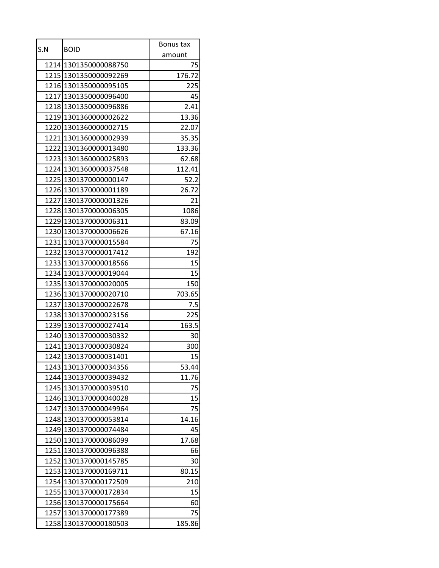| S.N  |                       | Bonus tax |
|------|-----------------------|-----------|
|      | <b>BOID</b>           | amount    |
|      | 1214 1301350000088750 | 75        |
|      | 1215 1301350000092269 | 176.72    |
|      | 1216 1301350000095105 | 225       |
|      | 1217 1301350000096400 | 45        |
|      | 1218 1301350000096886 | 2.41      |
|      | 1219 1301360000002622 | 13.36     |
|      | 1220 1301360000002715 | 22.07     |
|      | 1221 1301360000002939 | 35.35     |
|      | 1222 1301360000013480 | 133.36    |
|      | 1223 1301360000025893 | 62.68     |
|      | 1224 1301360000037548 | 112.41    |
|      | 1225 1301370000000147 | 52.2      |
|      | 1226 1301370000001189 | 26.72     |
|      | 1227 1301370000001326 | 21        |
|      | 1228 1301370000006305 | 1086      |
|      | 1229 1301370000006311 | 83.09     |
|      | 1230 1301370000006626 | 67.16     |
|      | 1231 1301370000015584 | 75        |
|      | 1232 1301370000017412 | 192       |
|      | 1233 1301370000018566 | 15        |
|      | 1234 1301370000019044 | 15        |
|      | 1235 1301370000020005 | 150       |
|      | 1236 1301370000020710 | 703.65    |
| 1237 | 1301370000022678      | 7.5       |
|      | 1238 1301370000023156 | 225       |
|      | 1239 1301370000027414 | 163.5     |
|      | 1240 1301370000030332 | 30        |
|      | 1241 1301370000030824 | 300       |
|      | 1242 1301370000031401 | 15        |
|      | 1243 1301370000034356 | 53.44     |
| 1244 | 1301370000039432      | 11.76     |
|      | 1245 1301370000039510 | 75        |
| 1246 | 1301370000040028      | 15        |
| 1247 | 1301370000049964      | 75        |
|      | 1248 1301370000053814 | 14.16     |
| 1249 | 1301370000074484      | 45        |
|      | 1250 1301370000086099 | 17.68     |
| 1251 | 1301370000096388      | 66        |
|      | 1252 1301370000145785 | 30        |
| 1253 | 1301370000169711      | 80.15     |
|      | 1254 1301370000172509 | 210       |
|      | 1255 1301370000172834 | 15        |
| 1256 | 1301370000175664      | 60        |
|      | 1257 1301370000177389 | 75        |
| 1258 | 1301370000180503      | 185.86    |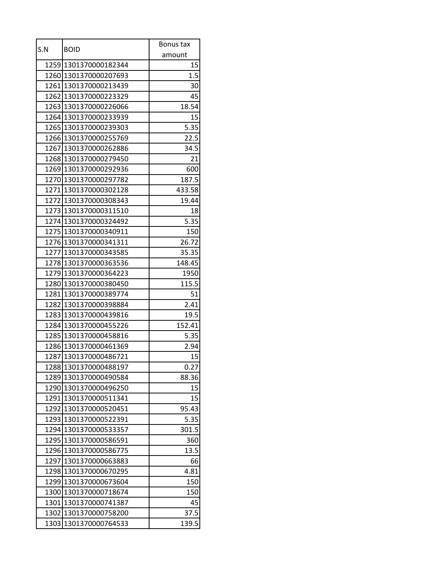| amount<br>1259 1301370000182344<br>15<br>1.5<br>1260 1301370000207693<br>1261 1301370000213439<br>30<br>1262 1301370000223329<br>45<br>18.54<br>1263 1301370000226066<br>15<br>1264 1301370000233939<br>5.35<br>1265 1301370000239303<br>22.5<br>1266 1301370000255769<br>34.5<br>1267 1301370000262886<br>1268 1301370000279450<br>21<br>1269 1301370000292936<br>600<br>187.5<br>1270 1301370000297782<br>1271 1301370000302128<br>433.58<br>1272 1301370000308343<br>19.44<br>1273 1301370000311510<br>18<br>1274 1301370000324492<br>5.35<br>1275 1301370000340911<br>150<br>1276 1301370000341311<br>26.72<br>1277 1301370000343585<br>35.35<br>1278 1301370000363536<br>148.45<br>1279 1301370000364223<br>1950<br>1280 1301370000380450<br>115.5<br>1281 1301370000389774<br>51<br>1282 1301370000398884<br>2.41<br>1283 1301370000439816<br>19.5<br>1284 1301370000455226<br>152.41<br>1285 1301370000458816<br>5.35<br>1286 1301370000461369<br>2.94<br>1287 1301370000486721<br>15<br>1288 1301370000488197<br>0.27<br>1289<br>1301370000490584<br>88.36<br>1290 1301370000496250<br>15<br>15<br>1291 1301370000511341<br>1292 1301370000520451<br>95.43<br>1293 1301370000522391<br>5.35<br>1294 1301370000533357<br>301.5<br>1295 1301370000586591<br>360<br>1296<br>1301370000586775<br>13.5<br>1297 1301370000663883<br>66<br>4.81<br>1298 1301370000670295<br>1299 1301370000673604<br>150<br>1300 1301370000718674<br>150<br>1301 1301370000741387<br>45<br>1302 1301370000758200<br>37.5<br>1301370000764533<br>139.5<br>1303 |     |             | Bonus tax |
|------------------------------------------------------------------------------------------------------------------------------------------------------------------------------------------------------------------------------------------------------------------------------------------------------------------------------------------------------------------------------------------------------------------------------------------------------------------------------------------------------------------------------------------------------------------------------------------------------------------------------------------------------------------------------------------------------------------------------------------------------------------------------------------------------------------------------------------------------------------------------------------------------------------------------------------------------------------------------------------------------------------------------------------------------------------------------------------------------------------------------------------------------------------------------------------------------------------------------------------------------------------------------------------------------------------------------------------------------------------------------------------------------------------------------------------------------------------------------------------------------------------------------------------------|-----|-------------|-----------|
|                                                                                                                                                                                                                                                                                                                                                                                                                                                                                                                                                                                                                                                                                                                                                                                                                                                                                                                                                                                                                                                                                                                                                                                                                                                                                                                                                                                                                                                                                                                                                | S.N | <b>BOID</b> |           |
|                                                                                                                                                                                                                                                                                                                                                                                                                                                                                                                                                                                                                                                                                                                                                                                                                                                                                                                                                                                                                                                                                                                                                                                                                                                                                                                                                                                                                                                                                                                                                |     |             |           |
|                                                                                                                                                                                                                                                                                                                                                                                                                                                                                                                                                                                                                                                                                                                                                                                                                                                                                                                                                                                                                                                                                                                                                                                                                                                                                                                                                                                                                                                                                                                                                |     |             |           |
|                                                                                                                                                                                                                                                                                                                                                                                                                                                                                                                                                                                                                                                                                                                                                                                                                                                                                                                                                                                                                                                                                                                                                                                                                                                                                                                                                                                                                                                                                                                                                |     |             |           |
|                                                                                                                                                                                                                                                                                                                                                                                                                                                                                                                                                                                                                                                                                                                                                                                                                                                                                                                                                                                                                                                                                                                                                                                                                                                                                                                                                                                                                                                                                                                                                |     |             |           |
|                                                                                                                                                                                                                                                                                                                                                                                                                                                                                                                                                                                                                                                                                                                                                                                                                                                                                                                                                                                                                                                                                                                                                                                                                                                                                                                                                                                                                                                                                                                                                |     |             |           |
|                                                                                                                                                                                                                                                                                                                                                                                                                                                                                                                                                                                                                                                                                                                                                                                                                                                                                                                                                                                                                                                                                                                                                                                                                                                                                                                                                                                                                                                                                                                                                |     |             |           |
|                                                                                                                                                                                                                                                                                                                                                                                                                                                                                                                                                                                                                                                                                                                                                                                                                                                                                                                                                                                                                                                                                                                                                                                                                                                                                                                                                                                                                                                                                                                                                |     |             |           |
|                                                                                                                                                                                                                                                                                                                                                                                                                                                                                                                                                                                                                                                                                                                                                                                                                                                                                                                                                                                                                                                                                                                                                                                                                                                                                                                                                                                                                                                                                                                                                |     |             |           |
|                                                                                                                                                                                                                                                                                                                                                                                                                                                                                                                                                                                                                                                                                                                                                                                                                                                                                                                                                                                                                                                                                                                                                                                                                                                                                                                                                                                                                                                                                                                                                |     |             |           |
|                                                                                                                                                                                                                                                                                                                                                                                                                                                                                                                                                                                                                                                                                                                                                                                                                                                                                                                                                                                                                                                                                                                                                                                                                                                                                                                                                                                                                                                                                                                                                |     |             |           |
|                                                                                                                                                                                                                                                                                                                                                                                                                                                                                                                                                                                                                                                                                                                                                                                                                                                                                                                                                                                                                                                                                                                                                                                                                                                                                                                                                                                                                                                                                                                                                |     |             |           |
|                                                                                                                                                                                                                                                                                                                                                                                                                                                                                                                                                                                                                                                                                                                                                                                                                                                                                                                                                                                                                                                                                                                                                                                                                                                                                                                                                                                                                                                                                                                                                |     |             |           |
|                                                                                                                                                                                                                                                                                                                                                                                                                                                                                                                                                                                                                                                                                                                                                                                                                                                                                                                                                                                                                                                                                                                                                                                                                                                                                                                                                                                                                                                                                                                                                |     |             |           |
|                                                                                                                                                                                                                                                                                                                                                                                                                                                                                                                                                                                                                                                                                                                                                                                                                                                                                                                                                                                                                                                                                                                                                                                                                                                                                                                                                                                                                                                                                                                                                |     |             |           |
|                                                                                                                                                                                                                                                                                                                                                                                                                                                                                                                                                                                                                                                                                                                                                                                                                                                                                                                                                                                                                                                                                                                                                                                                                                                                                                                                                                                                                                                                                                                                                |     |             |           |
|                                                                                                                                                                                                                                                                                                                                                                                                                                                                                                                                                                                                                                                                                                                                                                                                                                                                                                                                                                                                                                                                                                                                                                                                                                                                                                                                                                                                                                                                                                                                                |     |             |           |
|                                                                                                                                                                                                                                                                                                                                                                                                                                                                                                                                                                                                                                                                                                                                                                                                                                                                                                                                                                                                                                                                                                                                                                                                                                                                                                                                                                                                                                                                                                                                                |     |             |           |
|                                                                                                                                                                                                                                                                                                                                                                                                                                                                                                                                                                                                                                                                                                                                                                                                                                                                                                                                                                                                                                                                                                                                                                                                                                                                                                                                                                                                                                                                                                                                                |     |             |           |
|                                                                                                                                                                                                                                                                                                                                                                                                                                                                                                                                                                                                                                                                                                                                                                                                                                                                                                                                                                                                                                                                                                                                                                                                                                                                                                                                                                                                                                                                                                                                                |     |             |           |
|                                                                                                                                                                                                                                                                                                                                                                                                                                                                                                                                                                                                                                                                                                                                                                                                                                                                                                                                                                                                                                                                                                                                                                                                                                                                                                                                                                                                                                                                                                                                                |     |             |           |
|                                                                                                                                                                                                                                                                                                                                                                                                                                                                                                                                                                                                                                                                                                                                                                                                                                                                                                                                                                                                                                                                                                                                                                                                                                                                                                                                                                                                                                                                                                                                                |     |             |           |
|                                                                                                                                                                                                                                                                                                                                                                                                                                                                                                                                                                                                                                                                                                                                                                                                                                                                                                                                                                                                                                                                                                                                                                                                                                                                                                                                                                                                                                                                                                                                                |     |             |           |
|                                                                                                                                                                                                                                                                                                                                                                                                                                                                                                                                                                                                                                                                                                                                                                                                                                                                                                                                                                                                                                                                                                                                                                                                                                                                                                                                                                                                                                                                                                                                                |     |             |           |
|                                                                                                                                                                                                                                                                                                                                                                                                                                                                                                                                                                                                                                                                                                                                                                                                                                                                                                                                                                                                                                                                                                                                                                                                                                                                                                                                                                                                                                                                                                                                                |     |             |           |
|                                                                                                                                                                                                                                                                                                                                                                                                                                                                                                                                                                                                                                                                                                                                                                                                                                                                                                                                                                                                                                                                                                                                                                                                                                                                                                                                                                                                                                                                                                                                                |     |             |           |
|                                                                                                                                                                                                                                                                                                                                                                                                                                                                                                                                                                                                                                                                                                                                                                                                                                                                                                                                                                                                                                                                                                                                                                                                                                                                                                                                                                                                                                                                                                                                                |     |             |           |
|                                                                                                                                                                                                                                                                                                                                                                                                                                                                                                                                                                                                                                                                                                                                                                                                                                                                                                                                                                                                                                                                                                                                                                                                                                                                                                                                                                                                                                                                                                                                                |     |             |           |
|                                                                                                                                                                                                                                                                                                                                                                                                                                                                                                                                                                                                                                                                                                                                                                                                                                                                                                                                                                                                                                                                                                                                                                                                                                                                                                                                                                                                                                                                                                                                                |     |             |           |
|                                                                                                                                                                                                                                                                                                                                                                                                                                                                                                                                                                                                                                                                                                                                                                                                                                                                                                                                                                                                                                                                                                                                                                                                                                                                                                                                                                                                                                                                                                                                                |     |             |           |
|                                                                                                                                                                                                                                                                                                                                                                                                                                                                                                                                                                                                                                                                                                                                                                                                                                                                                                                                                                                                                                                                                                                                                                                                                                                                                                                                                                                                                                                                                                                                                |     |             |           |
|                                                                                                                                                                                                                                                                                                                                                                                                                                                                                                                                                                                                                                                                                                                                                                                                                                                                                                                                                                                                                                                                                                                                                                                                                                                                                                                                                                                                                                                                                                                                                |     |             |           |
|                                                                                                                                                                                                                                                                                                                                                                                                                                                                                                                                                                                                                                                                                                                                                                                                                                                                                                                                                                                                                                                                                                                                                                                                                                                                                                                                                                                                                                                                                                                                                |     |             |           |
|                                                                                                                                                                                                                                                                                                                                                                                                                                                                                                                                                                                                                                                                                                                                                                                                                                                                                                                                                                                                                                                                                                                                                                                                                                                                                                                                                                                                                                                                                                                                                |     |             |           |
|                                                                                                                                                                                                                                                                                                                                                                                                                                                                                                                                                                                                                                                                                                                                                                                                                                                                                                                                                                                                                                                                                                                                                                                                                                                                                                                                                                                                                                                                                                                                                |     |             |           |
|                                                                                                                                                                                                                                                                                                                                                                                                                                                                                                                                                                                                                                                                                                                                                                                                                                                                                                                                                                                                                                                                                                                                                                                                                                                                                                                                                                                                                                                                                                                                                |     |             |           |
|                                                                                                                                                                                                                                                                                                                                                                                                                                                                                                                                                                                                                                                                                                                                                                                                                                                                                                                                                                                                                                                                                                                                                                                                                                                                                                                                                                                                                                                                                                                                                |     |             |           |
|                                                                                                                                                                                                                                                                                                                                                                                                                                                                                                                                                                                                                                                                                                                                                                                                                                                                                                                                                                                                                                                                                                                                                                                                                                                                                                                                                                                                                                                                                                                                                |     |             |           |
|                                                                                                                                                                                                                                                                                                                                                                                                                                                                                                                                                                                                                                                                                                                                                                                                                                                                                                                                                                                                                                                                                                                                                                                                                                                                                                                                                                                                                                                                                                                                                |     |             |           |
|                                                                                                                                                                                                                                                                                                                                                                                                                                                                                                                                                                                                                                                                                                                                                                                                                                                                                                                                                                                                                                                                                                                                                                                                                                                                                                                                                                                                                                                                                                                                                |     |             |           |
|                                                                                                                                                                                                                                                                                                                                                                                                                                                                                                                                                                                                                                                                                                                                                                                                                                                                                                                                                                                                                                                                                                                                                                                                                                                                                                                                                                                                                                                                                                                                                |     |             |           |
|                                                                                                                                                                                                                                                                                                                                                                                                                                                                                                                                                                                                                                                                                                                                                                                                                                                                                                                                                                                                                                                                                                                                                                                                                                                                                                                                                                                                                                                                                                                                                |     |             |           |
|                                                                                                                                                                                                                                                                                                                                                                                                                                                                                                                                                                                                                                                                                                                                                                                                                                                                                                                                                                                                                                                                                                                                                                                                                                                                                                                                                                                                                                                                                                                                                |     |             |           |
|                                                                                                                                                                                                                                                                                                                                                                                                                                                                                                                                                                                                                                                                                                                                                                                                                                                                                                                                                                                                                                                                                                                                                                                                                                                                                                                                                                                                                                                                                                                                                |     |             |           |
|                                                                                                                                                                                                                                                                                                                                                                                                                                                                                                                                                                                                                                                                                                                                                                                                                                                                                                                                                                                                                                                                                                                                                                                                                                                                                                                                                                                                                                                                                                                                                |     |             |           |
|                                                                                                                                                                                                                                                                                                                                                                                                                                                                                                                                                                                                                                                                                                                                                                                                                                                                                                                                                                                                                                                                                                                                                                                                                                                                                                                                                                                                                                                                                                                                                |     |             |           |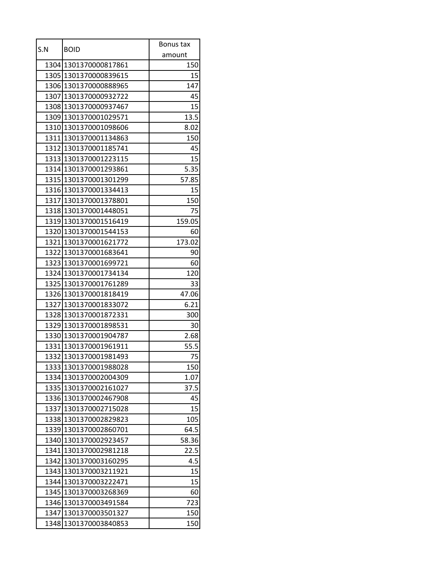| S.N  |                       | Bonus tax |
|------|-----------------------|-----------|
|      | <b>BOID</b>           | amount    |
|      | 1304 1301370000817861 | 150       |
|      | 1305 1301370000839615 | 15        |
|      | 1306 1301370000888965 | 147       |
|      | 1307 1301370000932722 | 45        |
|      | 1308 1301370000937467 | 15        |
|      | 1309 1301370001029571 | 13.5      |
|      | 1310 1301370001098606 | 8.02      |
|      | 1311 1301370001134863 | 150       |
|      | 1312 1301370001185741 | 45        |
|      | 1313 1301370001223115 | 15        |
|      | 1314 1301370001293861 | 5.35      |
|      | 1315 1301370001301299 | 57.85     |
|      | 1316 1301370001334413 | 15        |
|      | 1317 1301370001378801 | 150       |
|      | 1318 1301370001448051 | 75        |
|      | 1319 1301370001516419 | 159.05    |
|      | 1320 1301370001544153 | 60        |
|      | 1321 1301370001621772 | 173.02    |
|      | 1322 1301370001683641 | 90        |
|      | 1323 1301370001699721 | 60        |
|      | 1324 1301370001734134 | 120       |
|      | 1325 1301370001761289 | 33        |
|      | 1326 1301370001818419 | 47.06     |
| 1327 | 1301370001833072      | 6.21      |
|      | 1328 1301370001872331 | 300       |
|      | 1329 1301370001898531 | 30        |
|      | 1330 1301370001904787 | 2.68      |
|      | 1331 1301370001961911 | 55.5      |
|      | 1332 1301370001981493 | 75        |
|      | 1333 1301370001988028 | 150       |
| 1334 | 1301370002004309      | 1.07      |
|      | 1335 1301370002161027 | 37.5      |
| 1336 | 1301370002467908      | 45        |
| 1337 | 1301370002715028      | 15        |
| 1338 | 1301370002829823      | 105       |
| 1339 | 1301370002860701      | 64.5      |
|      | 1340 1301370002923457 | 58.36     |
| 1341 | 1301370002981218      | 22.5      |
| 1342 | 1301370003160295      | 4.5       |
| 1343 | 1301370003211921      | 15        |
| 1344 | 1301370003222471      | 15        |
| 1345 | 1301370003268369      | 60        |
| 1346 | 1301370003491584      | 723       |
| 1347 | 1301370003501327      | 150       |
| 1348 | 1301370003840853      | 150       |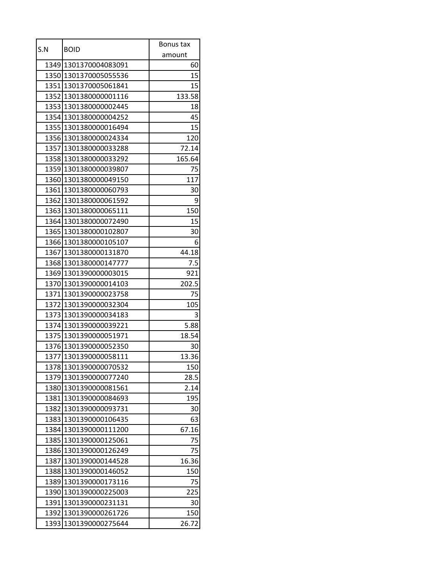| S.N  | <b>BOID</b>           | Bonus tax |
|------|-----------------------|-----------|
|      |                       | amount    |
|      | 1349 1301370004083091 | 60        |
|      | 1350 1301370005055536 | 15        |
|      | 1351 1301370005061841 | 15        |
|      | 1352 1301380000001116 | 133.58    |
|      | 1353 1301380000002445 | 18        |
|      | 1354 1301380000004252 | 45        |
|      | 1355 1301380000016494 | 15        |
|      | 1356 1301380000024334 | 120       |
|      | 1357 1301380000033288 | 72.14     |
|      | 1358 1301380000033292 | 165.64    |
|      | 1359 1301380000039807 | 75        |
|      | 1360 1301380000049150 | 117       |
|      | 1361 1301380000060793 | 30        |
|      | 1362 1301380000061592 | 9         |
|      | 1363 1301380000065111 | 150       |
|      | 1364 1301380000072490 | 15        |
|      | 1365 1301380000102807 | 30        |
|      | 1366 1301380000105107 | 6         |
|      | 1367 1301380000131870 | 44.18     |
|      | 1368 1301380000147777 | 7.5       |
|      | 1369 1301390000003015 | 921       |
|      | 1370 1301390000014103 | 202.5     |
|      | 1371 1301390000023758 | 75        |
| 1372 | 1301390000032304      | 105       |
|      | 1373 1301390000034183 | 3         |
|      | 1374 1301390000039221 | 5.88      |
|      | 1375 1301390000051971 | 18.54     |
|      | 1376 1301390000052350 | 30        |
|      | 1377 1301390000058111 | 13.36     |
|      | 1378 1301390000070532 | 150       |
|      | 1379 1301390000077240 | 28.5      |
|      | 1380 1301390000081561 | 2.14      |
|      | 1381 1301390000084693 | 195       |
|      | 1382 1301390000093731 | 30        |
|      | 1383 1301390000106435 | 63        |
|      | 1384 1301390000111200 | 67.16     |
|      | 1385 1301390000125061 | 75        |
| 1386 | 1301390000126249      | 75        |
|      | 1387 1301390000144528 | 16.36     |
|      | 1388 1301390000146052 | 150       |
|      | 1389 1301390000173116 | 75        |
|      | 1390 1301390000225003 | 225       |
|      | 1391 1301390000231131 | 30        |
|      | 1392 1301390000261726 | 150       |
| 1393 | 1301390000275644      | 26.72     |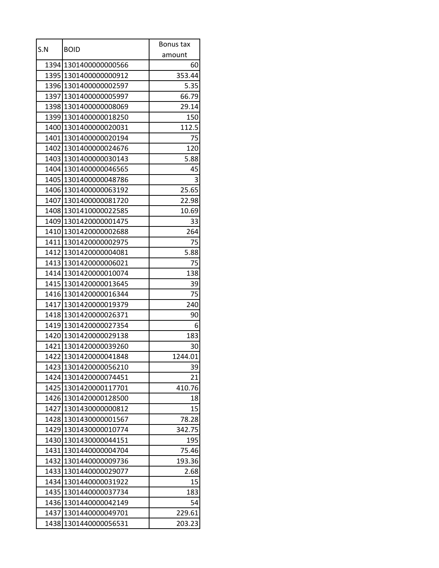| S.N  | <b>BOID</b>             | Bonus tax |
|------|-------------------------|-----------|
|      |                         | amount    |
|      | 1394 1301400000000566   | 60        |
|      | 1395 1301400000000912   | 353.44    |
|      | 1396 1301400000002597   | 5.35      |
|      | 1397 1301400000005997   | 66.79     |
|      | 1398 1301400000008069   | 29.14     |
|      | 1399 1301400000018250   | 150       |
|      | 1400 1301400000020031   | 112.5     |
|      | 1401 1301400000020194   | 75        |
|      | 1402 1301400000024676   | 120       |
|      | 1403 1301400000030143   | 5.88      |
|      | 1404 1301400000046565   | 45        |
|      | 1405 1301400000048786   | 3         |
|      | 1406 1301400000063192   | 25.65     |
|      | 1407 1301400000081720   | 22.98     |
|      | 1408 1301410000022585   | 10.69     |
|      | 1409 1301420000001475   | 33        |
|      | 1410 1301420000002688   | 264       |
|      | 1411 1301420000002975   | 75        |
|      | 1412 1301420000004081   | 5.88      |
|      | 1413 1301420000006021   | 75        |
|      | 1414 13014 2000 0010074 | 138       |
|      | 1415 13014 2000 0013645 | 39        |
|      | 1416 1301420000016344   | 75        |
| 1417 | 1301420000019379        | 240       |
|      | 1418 1301420000026371   | 90        |
|      | 1419 1301420000027354   | 6         |
|      | 1420 1301420000029138   | 183       |
|      | 1421 1301420000039260   | 30        |
|      | 1422 1301420000041848   | 1244.01   |
|      | 1423 1301420000056210   | 39        |
|      | 1424 1301420000074451   | 21        |
|      | 1425 1301420000117701   | 410.76    |
| 1426 | 1301420000128500        | 18        |
|      | 1427 1301430000000812   | 15        |
|      | 1428 1301430000001567   | 78.28     |
| 1429 | 1301430000010774        | 342.75    |
|      | 1430 1301430000044151   | 195       |
|      | 1431 1301440000004704   | 75.46     |
|      | 1432 1301440000009736   | 193.36    |
| 1433 | 1301440000029077        | 2.68      |
|      | 1434 1301440000031922   | 15        |
|      | 1435 1301440000037734   | 183       |
|      | 1436 1301440000042149   | 54        |
|      | 1437 1301440000049701   | 229.61    |
| 1438 | 1301440000056531        | 203.23    |
|      |                         |           |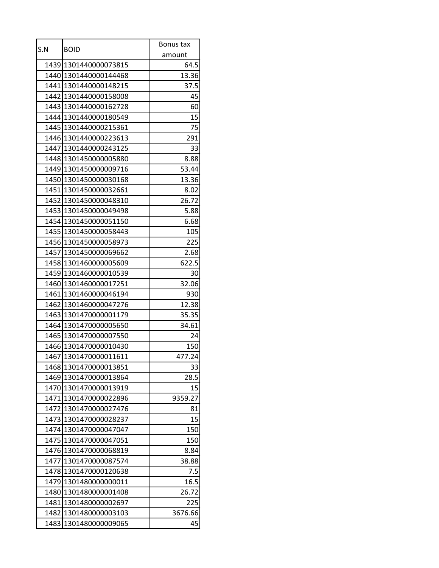| S.N  |                       | Bonus tax |
|------|-----------------------|-----------|
|      | <b>BOID</b>           | amount    |
|      | 1439 1301440000073815 | 64.5      |
|      | 1440 1301440000144468 | 13.36     |
|      | 1441 1301440000148215 | 37.5      |
|      | 1442 1301440000158008 | 45        |
|      | 1443 1301440000162728 | 60        |
|      | 1444 1301440000180549 | 15        |
|      | 1445 1301440000215361 | 75        |
|      | 1446 1301440000223613 | 291       |
|      | 1447 1301440000243125 | 33        |
|      | 1448 1301450000005880 | 8.88      |
|      | 1449 1301450000009716 | 53.44     |
|      | 1450 1301450000030168 | 13.36     |
|      | 1451 1301450000032661 | 8.02      |
|      | 1452 1301450000048310 | 26.72     |
|      | 1453 1301450000049498 | 5.88      |
|      | 1454 1301450000051150 | 6.68      |
|      | 1455 1301450000058443 | 105       |
|      | 1456 1301450000058973 | 225       |
|      | 1457 1301450000069662 | 2.68      |
|      | 1458 1301460000005609 | 622.5     |
|      | 1459 1301460000010539 | 30        |
|      | 1460 1301460000017251 | 32.06     |
|      | 1461 1301460000046194 | 930       |
|      | 1462 1301460000047276 | 12.38     |
|      | 1463 1301470000001179 | 35.35     |
|      | 1464 1301470000005650 | 34.61     |
|      | 1465 1301470000007550 | 24        |
|      | 1466 1301470000010430 | 150       |
|      | 1467 1301470000011611 | 477.24    |
|      | 1468 1301470000013851 | 33        |
| 1469 | 1301470000013864      | 28.5      |
|      | 1470 1301470000013919 | 15        |
|      | 1471 1301470000022896 | 9359.27   |
|      | 1472 1301470000027476 | 81        |
|      | 1473 1301470000028237 | 15        |
|      | 1474 1301470000047047 | 150       |
|      | 1475 1301470000047051 | 150       |
|      | 1476 1301470000068819 | 8.84      |
|      | 1477 1301470000087574 | 38.88     |
|      | 1478 1301470000120638 | 7.5       |
|      | 1479 1301480000000011 | 16.5      |
|      | 1480 1301480000001408 | 26.72     |
|      | 1481 1301480000002697 | 225       |
|      | 1482 1301480000003103 | 3676.66   |
| 1483 | 1301480000009065      | 45        |
|      |                       |           |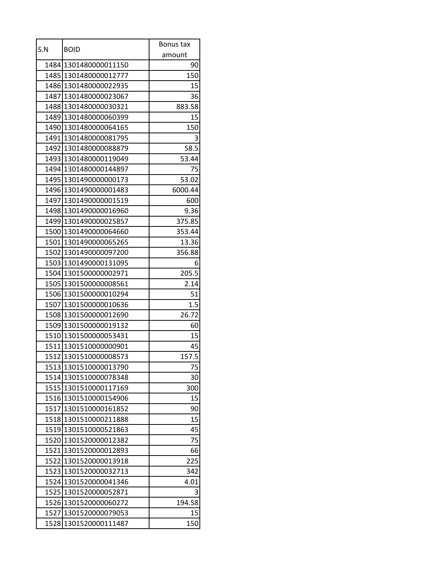| S.N  |                       | Bonus tax |
|------|-----------------------|-----------|
|      | <b>BOID</b>           | amount    |
|      | 1484 1301480000011150 | 90        |
|      | 1485 1301480000012777 | 150       |
|      | 1486 1301480000022935 | 15        |
|      | 1487 1301480000023067 | 36        |
|      | 1488 1301480000030321 | 883.58    |
|      | 1489 1301480000060399 | 15        |
|      | 1490 1301480000064165 | 150       |
|      | 1491 1301480000081795 | 3         |
|      | 1492 1301480000088879 | 58.5      |
|      | 1493 1301480000119049 | 53.44     |
|      | 1494 1301480000144897 | 75        |
|      | 1495 1301490000000173 | 53.02     |
|      | 1496 1301490000001483 | 6000.44   |
|      | 1497 1301490000001519 | 600       |
|      | 1498 1301490000016960 | 9.36      |
|      | 1499 1301490000025857 | 375.85    |
|      | 1500 1301490000064660 | 353.44    |
|      | 1501 1301490000065265 | 13.36     |
|      | 1502 1301490000097200 | 356.88    |
|      | 1503 1301490000131095 | 6         |
|      | 1504 1301500000002971 | 205.5     |
|      | 1505 1301500000008561 | 2.14      |
|      | 1506 1301500000010294 | 51        |
|      | 1507 1301500000010636 | 1.5       |
|      | 1508 1301500000012690 | 26.72     |
|      | 1509 1301500000019132 | 60        |
|      | 1510 1301500000053431 | 15        |
|      | 1511 1301510000000901 | 45        |
|      | 1512 1301510000008573 | 157.5     |
|      | 1513 1301510000013790 | 75        |
|      | 1514 1301510000078348 | 30        |
|      | 1515 1301510000117169 | 300       |
|      | 1516 1301510000154906 | 15        |
|      | 1517 1301510000161852 | 90        |
|      | 1518 1301510000211888 | 15        |
|      | 1519 1301510000521863 | 45        |
|      | 1520 1301520000012382 | 75        |
| 1521 | 1301520000012893      | 66        |
|      | 1522 1301520000013918 | 225       |
|      | 1523 1301520000032713 | 342       |
|      | 1524 1301520000041346 | 4.01      |
|      | 1525 1301520000052871 | 3         |
|      | 1526 1301520000060272 | 194.58    |
|      | 1527 1301520000079053 | 15        |
| 1528 | 1301520000111487      | 150       |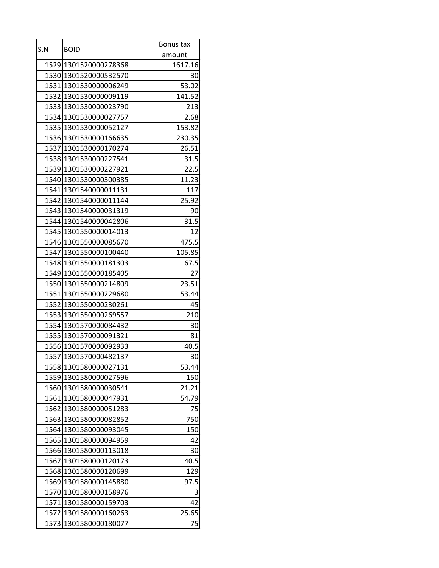| amount<br>1529 1301520000278368<br>1617.16<br>1530 1301520000532570<br>30<br>53.02<br>1531 1301530000006249<br>1532 1301530000009119<br>141.52<br>1533 1301530000023790<br>213<br>1534 1301530000027757<br>2.68<br>1535 1301530000052127<br>153.82<br>1536 1301530000166635<br>230.35<br>1537 1301530000170274<br>26.51<br>1538 1301530000227541<br>31.5<br>1539 1301530000227921<br>22.5<br>1540 1301530000300385<br>11.23<br>1541 1301540000011131<br>117<br>25.92<br>1542 1301540000011144<br>1543 1301540000031319<br>90<br>1544 1301540000042806<br>31.5<br>12<br>1545 1301550000014013<br>1546 1301550000085670<br>475.5<br>1547 1301550000100440<br>105.85<br>1548 1301550000181303<br>67.5<br>1549 1301550000185405<br>27<br>1550 1301550000214809<br>23.51<br>1551 1301550000229680<br>53.44<br>1552 1301550000230261<br>45<br>210<br>1553 1301550000269557<br>1554 1301570000084432<br>30<br>1555 1301570000091321<br>81<br>1556 1301570000092933<br>40.5<br>30<br>1557 1301570000482137<br>1558 1301580000027131<br>53.44<br>1559<br>1301580000027596<br>150<br>1560 1301580000030541<br>21.21<br>1561 1301580000047931<br>54.79<br>1301580000051283<br>1562<br>75<br>1563 1301580000082852<br>750<br>1564 1301580000093045<br>150<br>1565 1301580000094959<br>42<br>1301580000113018<br>1566<br>30<br>40.5<br>1567<br>1301580000120173<br>1568 1301580000120699<br>129<br>1301580000145880<br>97.5<br>1569<br>3<br>1570 1301580000158976<br>42<br>1571 1301580000159703<br>1572 1301580000160263<br>25.65<br>75<br>1573<br>1301580000180077 | S.N | <b>BOID</b> | Bonus tax |
|---------------------------------------------------------------------------------------------------------------------------------------------------------------------------------------------------------------------------------------------------------------------------------------------------------------------------------------------------------------------------------------------------------------------------------------------------------------------------------------------------------------------------------------------------------------------------------------------------------------------------------------------------------------------------------------------------------------------------------------------------------------------------------------------------------------------------------------------------------------------------------------------------------------------------------------------------------------------------------------------------------------------------------------------------------------------------------------------------------------------------------------------------------------------------------------------------------------------------------------------------------------------------------------------------------------------------------------------------------------------------------------------------------------------------------------------------------------------------------------------------------------------------------------------------------|-----|-------------|-----------|
|                                                                                                                                                                                                                                                                                                                                                                                                                                                                                                                                                                                                                                                                                                                                                                                                                                                                                                                                                                                                                                                                                                                                                                                                                                                                                                                                                                                                                                                                                                                                                         |     |             |           |
|                                                                                                                                                                                                                                                                                                                                                                                                                                                                                                                                                                                                                                                                                                                                                                                                                                                                                                                                                                                                                                                                                                                                                                                                                                                                                                                                                                                                                                                                                                                                                         |     |             |           |
|                                                                                                                                                                                                                                                                                                                                                                                                                                                                                                                                                                                                                                                                                                                                                                                                                                                                                                                                                                                                                                                                                                                                                                                                                                                                                                                                                                                                                                                                                                                                                         |     |             |           |
|                                                                                                                                                                                                                                                                                                                                                                                                                                                                                                                                                                                                                                                                                                                                                                                                                                                                                                                                                                                                                                                                                                                                                                                                                                                                                                                                                                                                                                                                                                                                                         |     |             |           |
|                                                                                                                                                                                                                                                                                                                                                                                                                                                                                                                                                                                                                                                                                                                                                                                                                                                                                                                                                                                                                                                                                                                                                                                                                                                                                                                                                                                                                                                                                                                                                         |     |             |           |
|                                                                                                                                                                                                                                                                                                                                                                                                                                                                                                                                                                                                                                                                                                                                                                                                                                                                                                                                                                                                                                                                                                                                                                                                                                                                                                                                                                                                                                                                                                                                                         |     |             |           |
|                                                                                                                                                                                                                                                                                                                                                                                                                                                                                                                                                                                                                                                                                                                                                                                                                                                                                                                                                                                                                                                                                                                                                                                                                                                                                                                                                                                                                                                                                                                                                         |     |             |           |
|                                                                                                                                                                                                                                                                                                                                                                                                                                                                                                                                                                                                                                                                                                                                                                                                                                                                                                                                                                                                                                                                                                                                                                                                                                                                                                                                                                                                                                                                                                                                                         |     |             |           |
|                                                                                                                                                                                                                                                                                                                                                                                                                                                                                                                                                                                                                                                                                                                                                                                                                                                                                                                                                                                                                                                                                                                                                                                                                                                                                                                                                                                                                                                                                                                                                         |     |             |           |
|                                                                                                                                                                                                                                                                                                                                                                                                                                                                                                                                                                                                                                                                                                                                                                                                                                                                                                                                                                                                                                                                                                                                                                                                                                                                                                                                                                                                                                                                                                                                                         |     |             |           |
|                                                                                                                                                                                                                                                                                                                                                                                                                                                                                                                                                                                                                                                                                                                                                                                                                                                                                                                                                                                                                                                                                                                                                                                                                                                                                                                                                                                                                                                                                                                                                         |     |             |           |
|                                                                                                                                                                                                                                                                                                                                                                                                                                                                                                                                                                                                                                                                                                                                                                                                                                                                                                                                                                                                                                                                                                                                                                                                                                                                                                                                                                                                                                                                                                                                                         |     |             |           |
|                                                                                                                                                                                                                                                                                                                                                                                                                                                                                                                                                                                                                                                                                                                                                                                                                                                                                                                                                                                                                                                                                                                                                                                                                                                                                                                                                                                                                                                                                                                                                         |     |             |           |
|                                                                                                                                                                                                                                                                                                                                                                                                                                                                                                                                                                                                                                                                                                                                                                                                                                                                                                                                                                                                                                                                                                                                                                                                                                                                                                                                                                                                                                                                                                                                                         |     |             |           |
|                                                                                                                                                                                                                                                                                                                                                                                                                                                                                                                                                                                                                                                                                                                                                                                                                                                                                                                                                                                                                                                                                                                                                                                                                                                                                                                                                                                                                                                                                                                                                         |     |             |           |
|                                                                                                                                                                                                                                                                                                                                                                                                                                                                                                                                                                                                                                                                                                                                                                                                                                                                                                                                                                                                                                                                                                                                                                                                                                                                                                                                                                                                                                                                                                                                                         |     |             |           |
|                                                                                                                                                                                                                                                                                                                                                                                                                                                                                                                                                                                                                                                                                                                                                                                                                                                                                                                                                                                                                                                                                                                                                                                                                                                                                                                                                                                                                                                                                                                                                         |     |             |           |
|                                                                                                                                                                                                                                                                                                                                                                                                                                                                                                                                                                                                                                                                                                                                                                                                                                                                                                                                                                                                                                                                                                                                                                                                                                                                                                                                                                                                                                                                                                                                                         |     |             |           |
|                                                                                                                                                                                                                                                                                                                                                                                                                                                                                                                                                                                                                                                                                                                                                                                                                                                                                                                                                                                                                                                                                                                                                                                                                                                                                                                                                                                                                                                                                                                                                         |     |             |           |
|                                                                                                                                                                                                                                                                                                                                                                                                                                                                                                                                                                                                                                                                                                                                                                                                                                                                                                                                                                                                                                                                                                                                                                                                                                                                                                                                                                                                                                                                                                                                                         |     |             |           |
|                                                                                                                                                                                                                                                                                                                                                                                                                                                                                                                                                                                                                                                                                                                                                                                                                                                                                                                                                                                                                                                                                                                                                                                                                                                                                                                                                                                                                                                                                                                                                         |     |             |           |
|                                                                                                                                                                                                                                                                                                                                                                                                                                                                                                                                                                                                                                                                                                                                                                                                                                                                                                                                                                                                                                                                                                                                                                                                                                                                                                                                                                                                                                                                                                                                                         |     |             |           |
|                                                                                                                                                                                                                                                                                                                                                                                                                                                                                                                                                                                                                                                                                                                                                                                                                                                                                                                                                                                                                                                                                                                                                                                                                                                                                                                                                                                                                                                                                                                                                         |     |             |           |
|                                                                                                                                                                                                                                                                                                                                                                                                                                                                                                                                                                                                                                                                                                                                                                                                                                                                                                                                                                                                                                                                                                                                                                                                                                                                                                                                                                                                                                                                                                                                                         |     |             |           |
|                                                                                                                                                                                                                                                                                                                                                                                                                                                                                                                                                                                                                                                                                                                                                                                                                                                                                                                                                                                                                                                                                                                                                                                                                                                                                                                                                                                                                                                                                                                                                         |     |             |           |
|                                                                                                                                                                                                                                                                                                                                                                                                                                                                                                                                                                                                                                                                                                                                                                                                                                                                                                                                                                                                                                                                                                                                                                                                                                                                                                                                                                                                                                                                                                                                                         |     |             |           |
|                                                                                                                                                                                                                                                                                                                                                                                                                                                                                                                                                                                                                                                                                                                                                                                                                                                                                                                                                                                                                                                                                                                                                                                                                                                                                                                                                                                                                                                                                                                                                         |     |             |           |
|                                                                                                                                                                                                                                                                                                                                                                                                                                                                                                                                                                                                                                                                                                                                                                                                                                                                                                                                                                                                                                                                                                                                                                                                                                                                                                                                                                                                                                                                                                                                                         |     |             |           |
|                                                                                                                                                                                                                                                                                                                                                                                                                                                                                                                                                                                                                                                                                                                                                                                                                                                                                                                                                                                                                                                                                                                                                                                                                                                                                                                                                                                                                                                                                                                                                         |     |             |           |
|                                                                                                                                                                                                                                                                                                                                                                                                                                                                                                                                                                                                                                                                                                                                                                                                                                                                                                                                                                                                                                                                                                                                                                                                                                                                                                                                                                                                                                                                                                                                                         |     |             |           |
|                                                                                                                                                                                                                                                                                                                                                                                                                                                                                                                                                                                                                                                                                                                                                                                                                                                                                                                                                                                                                                                                                                                                                                                                                                                                                                                                                                                                                                                                                                                                                         |     |             |           |
|                                                                                                                                                                                                                                                                                                                                                                                                                                                                                                                                                                                                                                                                                                                                                                                                                                                                                                                                                                                                                                                                                                                                                                                                                                                                                                                                                                                                                                                                                                                                                         |     |             |           |
|                                                                                                                                                                                                                                                                                                                                                                                                                                                                                                                                                                                                                                                                                                                                                                                                                                                                                                                                                                                                                                                                                                                                                                                                                                                                                                                                                                                                                                                                                                                                                         |     |             |           |
|                                                                                                                                                                                                                                                                                                                                                                                                                                                                                                                                                                                                                                                                                                                                                                                                                                                                                                                                                                                                                                                                                                                                                                                                                                                                                                                                                                                                                                                                                                                                                         |     |             |           |
|                                                                                                                                                                                                                                                                                                                                                                                                                                                                                                                                                                                                                                                                                                                                                                                                                                                                                                                                                                                                                                                                                                                                                                                                                                                                                                                                                                                                                                                                                                                                                         |     |             |           |
|                                                                                                                                                                                                                                                                                                                                                                                                                                                                                                                                                                                                                                                                                                                                                                                                                                                                                                                                                                                                                                                                                                                                                                                                                                                                                                                                                                                                                                                                                                                                                         |     |             |           |
|                                                                                                                                                                                                                                                                                                                                                                                                                                                                                                                                                                                                                                                                                                                                                                                                                                                                                                                                                                                                                                                                                                                                                                                                                                                                                                                                                                                                                                                                                                                                                         |     |             |           |
|                                                                                                                                                                                                                                                                                                                                                                                                                                                                                                                                                                                                                                                                                                                                                                                                                                                                                                                                                                                                                                                                                                                                                                                                                                                                                                                                                                                                                                                                                                                                                         |     |             |           |
|                                                                                                                                                                                                                                                                                                                                                                                                                                                                                                                                                                                                                                                                                                                                                                                                                                                                                                                                                                                                                                                                                                                                                                                                                                                                                                                                                                                                                                                                                                                                                         |     |             |           |
|                                                                                                                                                                                                                                                                                                                                                                                                                                                                                                                                                                                                                                                                                                                                                                                                                                                                                                                                                                                                                                                                                                                                                                                                                                                                                                                                                                                                                                                                                                                                                         |     |             |           |
|                                                                                                                                                                                                                                                                                                                                                                                                                                                                                                                                                                                                                                                                                                                                                                                                                                                                                                                                                                                                                                                                                                                                                                                                                                                                                                                                                                                                                                                                                                                                                         |     |             |           |
|                                                                                                                                                                                                                                                                                                                                                                                                                                                                                                                                                                                                                                                                                                                                                                                                                                                                                                                                                                                                                                                                                                                                                                                                                                                                                                                                                                                                                                                                                                                                                         |     |             |           |
|                                                                                                                                                                                                                                                                                                                                                                                                                                                                                                                                                                                                                                                                                                                                                                                                                                                                                                                                                                                                                                                                                                                                                                                                                                                                                                                                                                                                                                                                                                                                                         |     |             |           |
|                                                                                                                                                                                                                                                                                                                                                                                                                                                                                                                                                                                                                                                                                                                                                                                                                                                                                                                                                                                                                                                                                                                                                                                                                                                                                                                                                                                                                                                                                                                                                         |     |             |           |
|                                                                                                                                                                                                                                                                                                                                                                                                                                                                                                                                                                                                                                                                                                                                                                                                                                                                                                                                                                                                                                                                                                                                                                                                                                                                                                                                                                                                                                                                                                                                                         |     |             |           |
|                                                                                                                                                                                                                                                                                                                                                                                                                                                                                                                                                                                                                                                                                                                                                                                                                                                                                                                                                                                                                                                                                                                                                                                                                                                                                                                                                                                                                                                                                                                                                         |     |             |           |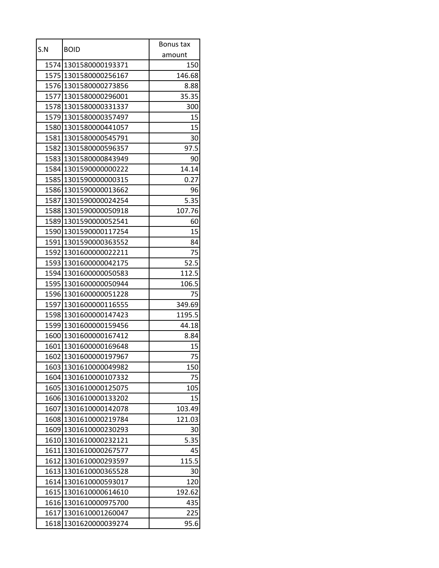| S.N  | <b>BOID</b>           | Bonus tax |
|------|-----------------------|-----------|
|      |                       | amount    |
|      | 1574 1301580000193371 | 150       |
|      | 1575 1301580000256167 | 146.68    |
|      | 1576 1301580000273856 | 8.88      |
|      | 1577 1301580000296001 | 35.35     |
|      | 1578 1301580000331337 | 300       |
|      | 1579 1301580000357497 | 15        |
|      | 1580 1301580000441057 | 15        |
|      | 1581 1301580000545791 | 30        |
|      | 1582 1301580000596357 | 97.5      |
|      | 1583 1301580000843949 | 90        |
|      | 1584 1301590000000222 | 14.14     |
|      | 1585 1301590000000315 | 0.27      |
|      | 1586 1301590000013662 | 96        |
|      | 1587 1301590000024254 | 5.35      |
|      | 1588 1301590000050918 | 107.76    |
|      | 1589 1301590000052541 | 60        |
|      | 1590 1301590000117254 | 15        |
|      | 1591 1301590000363552 | 84        |
|      | 1592 1301600000022211 | 75        |
|      | 1593 1301600000042175 | 52.5      |
|      | 1594 1301600000050583 | 112.5     |
|      | 1595 1301600000050944 | 106.5     |
|      | 1596 1301600000051228 | 75        |
|      | 1597 1301600000116555 | 349.69    |
|      | 1598 1301600000147423 | 1195.5    |
|      | 1599 1301600000159456 | 44.18     |
|      | 1600 1301600000167412 | 8.84      |
|      | 1601 1301600000169648 | 15        |
|      | 1602 1301600000197967 | 75        |
|      | 1603 1301610000049982 | 150       |
| 1604 | 1301610000107332      | 75        |
|      | 1605 1301610000125075 | 105       |
| 1606 | 1301610000133202      | 15        |
| 1607 | 1301610000142078      | 103.49    |
|      | 1608 1301610000219784 | 121.03    |
| 1609 | 1301610000230293      | 30        |
|      | 1610 1301610000232121 | 5.35      |
| 1611 | 1301610000267577      | 45        |
| 1612 | 1301610000293597      | 115.5     |
|      | 1613 1301610000365528 | 30        |
|      | 1614 1301610000593017 | 120       |
|      | 1615 1301610000614610 | 192.62    |
| 1616 | 1301610000975700      | 435       |
|      | 1617 1301610001260047 | 225       |
| 1618 | 1301620000039274      | 95.6      |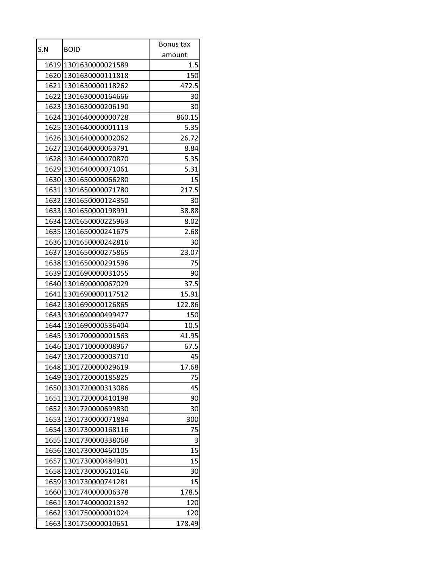| S.N  | <b>BOID</b>           | Bonus tax |
|------|-----------------------|-----------|
|      |                       | amount    |
|      | 1619 1301630000021589 | 1.5       |
|      | 1620 1301630000111818 | 150       |
|      | 1621 1301630000118262 | 472.5     |
|      | 1622 1301630000164666 | 30        |
|      | 1623 1301630000206190 | 30        |
|      | 1624 1301640000000728 | 860.15    |
|      | 1625 1301640000001113 | 5.35      |
|      | 1626 1301640000002062 | 26.72     |
|      | 1627 1301640000063791 | 8.84      |
|      | 1628 1301640000070870 | 5.35      |
|      | 1629 1301640000071061 | 5.31      |
|      | 1630 1301650000066280 | 15        |
|      | 1631 1301650000071780 | 217.5     |
|      | 1632 1301650000124350 | 30        |
|      | 1633 1301650000198991 | 38.88     |
|      | 1634 1301650000225963 | 8.02      |
|      | 1635 1301650000241675 | 2.68      |
|      | 1636 1301650000242816 | 30        |
|      | 1637 1301650000275865 | 23.07     |
|      | 1638 1301650000291596 | 75        |
|      | 1639 1301690000031055 | 90        |
|      | 1640 1301690000067029 | 37.5      |
|      | 1641 1301690000117512 | 15.91     |
|      | 1642 1301690000126865 | 122.86    |
|      | 1643 1301690000499477 | 150       |
|      | 1644 1301690000536404 | 10.5      |
|      | 1645 1301700000001563 | 41.95     |
|      | 1646 1301710000008967 | 67.5      |
|      | 1647 1301720000003710 | 45        |
|      | 1648 1301720000029619 | 17.68     |
| 1649 | 1301720000185825      | 75        |
|      | 1650 1301720000313086 | 45        |
|      | 1651 1301720000410198 | 90        |
|      | 1652 1301720000699830 | 30        |
|      | 1653 1301730000071884 | 300       |
|      | 1654 1301730000168116 | 75        |
|      | 1655 1301730000338068 | 3         |
| 1656 | 1301730000460105      | 15        |
| 1657 | 1301730000484901      | 15        |
|      | 1658 1301730000610146 | 30        |
|      | 1659 1301730000741281 | 15        |
|      | 1660 1301740000006378 | 178.5     |
| 1661 | 1301740000021392      | 120       |
|      | 1662 1301750000001024 | 120       |
| 1663 | 1301750000010651      | 178.49    |
|      |                       |           |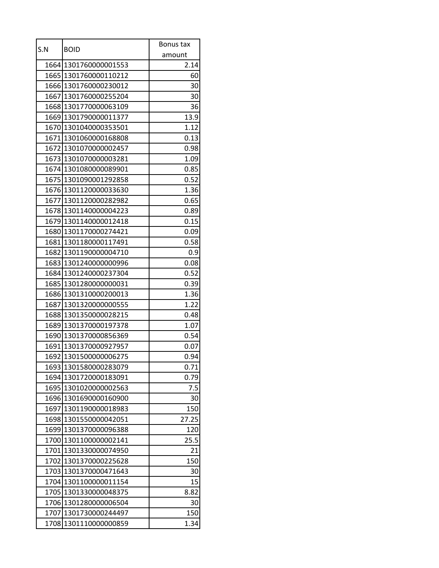| amount<br>1664 1301760000001553<br>2.14<br>1665 1301760000110212<br>60<br>1666 1301760000230012<br>30<br>1667 1301760000255204<br>30<br>1668 1301770000063109<br>36<br>1669 1301790000011377<br>13.9<br>1670 1301040000353501<br>1.12<br>1671 1301060000168808<br>0.13<br>0.98<br>1672 1301070000002457<br>1673 1301070000003281<br>1.09<br>1674 1301080000089901<br>0.85<br>1675 1301090001292858<br>0.52<br>1676 1301120000033630<br>1.36<br>1677 1301120000282982<br>0.65<br>1678 1301140000004223<br>0.89<br>1679 1301140000012418<br>0.15<br>1680 1301170000274421<br>0.09<br>1681 1301180000117491<br>0.58<br>1682 1301190000004710<br>0.9<br>1683 1301240000000996<br>0.08<br>0.52<br>1684 1301240000237304<br>0.39<br>1685 1301280000000031<br>1686 1301310000200013<br>1.36<br>1687<br>1301320000000555<br>1.22<br>1688 1301350000028215<br>0.48<br>1689 1301370000197378<br>1.07<br>1690 1301370000856369<br>0.54<br>1691 1301370000927957<br>0.07<br>1692 1301500000006275<br>0.94<br>1693 1301580000283079<br>0.71<br>1694 1301720000183091<br>0.79<br>1695 1301020000002563<br>7.5<br>1696<br>1301690000160900<br>30<br>1697 1301190000018983<br>150<br>1698 1301550000042051<br>27.25<br>1301370000096388<br>1699<br>120<br>1700 1301100000002141<br>25.5<br>1701 1301330000074950<br>21<br>1702 1301370000225628<br>150<br>1703 1301370000471643<br>30<br>1704 1301100000011154 | S.N | <b>BOID</b> | Bonus tax |
|------------------------------------------------------------------------------------------------------------------------------------------------------------------------------------------------------------------------------------------------------------------------------------------------------------------------------------------------------------------------------------------------------------------------------------------------------------------------------------------------------------------------------------------------------------------------------------------------------------------------------------------------------------------------------------------------------------------------------------------------------------------------------------------------------------------------------------------------------------------------------------------------------------------------------------------------------------------------------------------------------------------------------------------------------------------------------------------------------------------------------------------------------------------------------------------------------------------------------------------------------------------------------------------------------------------------------------------------------------------------------------------------|-----|-------------|-----------|
|                                                                                                                                                                                                                                                                                                                                                                                                                                                                                                                                                                                                                                                                                                                                                                                                                                                                                                                                                                                                                                                                                                                                                                                                                                                                                                                                                                                                |     |             |           |
|                                                                                                                                                                                                                                                                                                                                                                                                                                                                                                                                                                                                                                                                                                                                                                                                                                                                                                                                                                                                                                                                                                                                                                                                                                                                                                                                                                                                |     |             |           |
|                                                                                                                                                                                                                                                                                                                                                                                                                                                                                                                                                                                                                                                                                                                                                                                                                                                                                                                                                                                                                                                                                                                                                                                                                                                                                                                                                                                                |     |             |           |
|                                                                                                                                                                                                                                                                                                                                                                                                                                                                                                                                                                                                                                                                                                                                                                                                                                                                                                                                                                                                                                                                                                                                                                                                                                                                                                                                                                                                |     |             |           |
|                                                                                                                                                                                                                                                                                                                                                                                                                                                                                                                                                                                                                                                                                                                                                                                                                                                                                                                                                                                                                                                                                                                                                                                                                                                                                                                                                                                                |     |             |           |
|                                                                                                                                                                                                                                                                                                                                                                                                                                                                                                                                                                                                                                                                                                                                                                                                                                                                                                                                                                                                                                                                                                                                                                                                                                                                                                                                                                                                |     |             |           |
|                                                                                                                                                                                                                                                                                                                                                                                                                                                                                                                                                                                                                                                                                                                                                                                                                                                                                                                                                                                                                                                                                                                                                                                                                                                                                                                                                                                                |     |             |           |
|                                                                                                                                                                                                                                                                                                                                                                                                                                                                                                                                                                                                                                                                                                                                                                                                                                                                                                                                                                                                                                                                                                                                                                                                                                                                                                                                                                                                |     |             |           |
|                                                                                                                                                                                                                                                                                                                                                                                                                                                                                                                                                                                                                                                                                                                                                                                                                                                                                                                                                                                                                                                                                                                                                                                                                                                                                                                                                                                                |     |             |           |
|                                                                                                                                                                                                                                                                                                                                                                                                                                                                                                                                                                                                                                                                                                                                                                                                                                                                                                                                                                                                                                                                                                                                                                                                                                                                                                                                                                                                |     |             |           |
|                                                                                                                                                                                                                                                                                                                                                                                                                                                                                                                                                                                                                                                                                                                                                                                                                                                                                                                                                                                                                                                                                                                                                                                                                                                                                                                                                                                                |     |             |           |
|                                                                                                                                                                                                                                                                                                                                                                                                                                                                                                                                                                                                                                                                                                                                                                                                                                                                                                                                                                                                                                                                                                                                                                                                                                                                                                                                                                                                |     |             |           |
|                                                                                                                                                                                                                                                                                                                                                                                                                                                                                                                                                                                                                                                                                                                                                                                                                                                                                                                                                                                                                                                                                                                                                                                                                                                                                                                                                                                                |     |             |           |
|                                                                                                                                                                                                                                                                                                                                                                                                                                                                                                                                                                                                                                                                                                                                                                                                                                                                                                                                                                                                                                                                                                                                                                                                                                                                                                                                                                                                |     |             |           |
|                                                                                                                                                                                                                                                                                                                                                                                                                                                                                                                                                                                                                                                                                                                                                                                                                                                                                                                                                                                                                                                                                                                                                                                                                                                                                                                                                                                                |     |             |           |
|                                                                                                                                                                                                                                                                                                                                                                                                                                                                                                                                                                                                                                                                                                                                                                                                                                                                                                                                                                                                                                                                                                                                                                                                                                                                                                                                                                                                |     |             |           |
|                                                                                                                                                                                                                                                                                                                                                                                                                                                                                                                                                                                                                                                                                                                                                                                                                                                                                                                                                                                                                                                                                                                                                                                                                                                                                                                                                                                                |     |             |           |
|                                                                                                                                                                                                                                                                                                                                                                                                                                                                                                                                                                                                                                                                                                                                                                                                                                                                                                                                                                                                                                                                                                                                                                                                                                                                                                                                                                                                |     |             |           |
|                                                                                                                                                                                                                                                                                                                                                                                                                                                                                                                                                                                                                                                                                                                                                                                                                                                                                                                                                                                                                                                                                                                                                                                                                                                                                                                                                                                                |     |             |           |
|                                                                                                                                                                                                                                                                                                                                                                                                                                                                                                                                                                                                                                                                                                                                                                                                                                                                                                                                                                                                                                                                                                                                                                                                                                                                                                                                                                                                |     |             |           |
|                                                                                                                                                                                                                                                                                                                                                                                                                                                                                                                                                                                                                                                                                                                                                                                                                                                                                                                                                                                                                                                                                                                                                                                                                                                                                                                                                                                                |     |             |           |
|                                                                                                                                                                                                                                                                                                                                                                                                                                                                                                                                                                                                                                                                                                                                                                                                                                                                                                                                                                                                                                                                                                                                                                                                                                                                                                                                                                                                |     |             |           |
|                                                                                                                                                                                                                                                                                                                                                                                                                                                                                                                                                                                                                                                                                                                                                                                                                                                                                                                                                                                                                                                                                                                                                                                                                                                                                                                                                                                                |     |             |           |
|                                                                                                                                                                                                                                                                                                                                                                                                                                                                                                                                                                                                                                                                                                                                                                                                                                                                                                                                                                                                                                                                                                                                                                                                                                                                                                                                                                                                |     |             |           |
|                                                                                                                                                                                                                                                                                                                                                                                                                                                                                                                                                                                                                                                                                                                                                                                                                                                                                                                                                                                                                                                                                                                                                                                                                                                                                                                                                                                                |     |             |           |
|                                                                                                                                                                                                                                                                                                                                                                                                                                                                                                                                                                                                                                                                                                                                                                                                                                                                                                                                                                                                                                                                                                                                                                                                                                                                                                                                                                                                |     |             |           |
|                                                                                                                                                                                                                                                                                                                                                                                                                                                                                                                                                                                                                                                                                                                                                                                                                                                                                                                                                                                                                                                                                                                                                                                                                                                                                                                                                                                                |     |             |           |
|                                                                                                                                                                                                                                                                                                                                                                                                                                                                                                                                                                                                                                                                                                                                                                                                                                                                                                                                                                                                                                                                                                                                                                                                                                                                                                                                                                                                |     |             |           |
|                                                                                                                                                                                                                                                                                                                                                                                                                                                                                                                                                                                                                                                                                                                                                                                                                                                                                                                                                                                                                                                                                                                                                                                                                                                                                                                                                                                                |     |             |           |
|                                                                                                                                                                                                                                                                                                                                                                                                                                                                                                                                                                                                                                                                                                                                                                                                                                                                                                                                                                                                                                                                                                                                                                                                                                                                                                                                                                                                |     |             |           |
|                                                                                                                                                                                                                                                                                                                                                                                                                                                                                                                                                                                                                                                                                                                                                                                                                                                                                                                                                                                                                                                                                                                                                                                                                                                                                                                                                                                                |     |             |           |
|                                                                                                                                                                                                                                                                                                                                                                                                                                                                                                                                                                                                                                                                                                                                                                                                                                                                                                                                                                                                                                                                                                                                                                                                                                                                                                                                                                                                |     |             |           |
|                                                                                                                                                                                                                                                                                                                                                                                                                                                                                                                                                                                                                                                                                                                                                                                                                                                                                                                                                                                                                                                                                                                                                                                                                                                                                                                                                                                                |     |             |           |
|                                                                                                                                                                                                                                                                                                                                                                                                                                                                                                                                                                                                                                                                                                                                                                                                                                                                                                                                                                                                                                                                                                                                                                                                                                                                                                                                                                                                |     |             |           |
|                                                                                                                                                                                                                                                                                                                                                                                                                                                                                                                                                                                                                                                                                                                                                                                                                                                                                                                                                                                                                                                                                                                                                                                                                                                                                                                                                                                                |     |             |           |
|                                                                                                                                                                                                                                                                                                                                                                                                                                                                                                                                                                                                                                                                                                                                                                                                                                                                                                                                                                                                                                                                                                                                                                                                                                                                                                                                                                                                |     |             |           |
|                                                                                                                                                                                                                                                                                                                                                                                                                                                                                                                                                                                                                                                                                                                                                                                                                                                                                                                                                                                                                                                                                                                                                                                                                                                                                                                                                                                                |     |             |           |
|                                                                                                                                                                                                                                                                                                                                                                                                                                                                                                                                                                                                                                                                                                                                                                                                                                                                                                                                                                                                                                                                                                                                                                                                                                                                                                                                                                                                |     |             |           |
|                                                                                                                                                                                                                                                                                                                                                                                                                                                                                                                                                                                                                                                                                                                                                                                                                                                                                                                                                                                                                                                                                                                                                                                                                                                                                                                                                                                                |     |             |           |
|                                                                                                                                                                                                                                                                                                                                                                                                                                                                                                                                                                                                                                                                                                                                                                                                                                                                                                                                                                                                                                                                                                                                                                                                                                                                                                                                                                                                |     |             |           |
|                                                                                                                                                                                                                                                                                                                                                                                                                                                                                                                                                                                                                                                                                                                                                                                                                                                                                                                                                                                                                                                                                                                                                                                                                                                                                                                                                                                                |     |             |           |
|                                                                                                                                                                                                                                                                                                                                                                                                                                                                                                                                                                                                                                                                                                                                                                                                                                                                                                                                                                                                                                                                                                                                                                                                                                                                                                                                                                                                |     |             | 15        |
| 1705 1301330000048375<br>8.82                                                                                                                                                                                                                                                                                                                                                                                                                                                                                                                                                                                                                                                                                                                                                                                                                                                                                                                                                                                                                                                                                                                                                                                                                                                                                                                                                                  |     |             |           |
| 1706 1301280000006504<br>30                                                                                                                                                                                                                                                                                                                                                                                                                                                                                                                                                                                                                                                                                                                                                                                                                                                                                                                                                                                                                                                                                                                                                                                                                                                                                                                                                                    |     |             |           |
| 1707 1301730000244497<br>150                                                                                                                                                                                                                                                                                                                                                                                                                                                                                                                                                                                                                                                                                                                                                                                                                                                                                                                                                                                                                                                                                                                                                                                                                                                                                                                                                                   |     |             |           |
| 1708<br>1301110000000859<br>1.34                                                                                                                                                                                                                                                                                                                                                                                                                                                                                                                                                                                                                                                                                                                                                                                                                                                                                                                                                                                                                                                                                                                                                                                                                                                                                                                                                               |     |             |           |